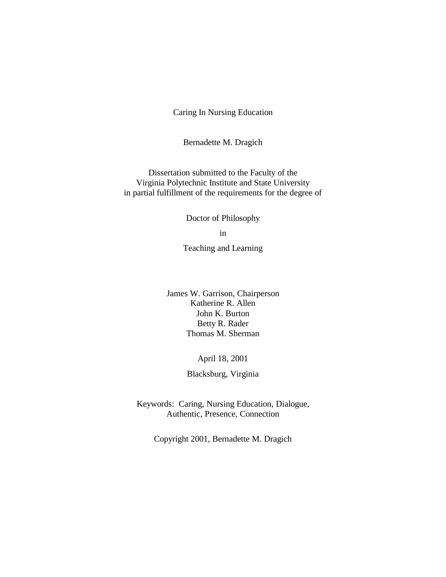Caring In Nursing Education

Bernadette M. Dragich

Dissertation submitted to the Faculty of the Virginia Polytechnic Institute and State University in partial fulfillment of the requirements for the degree of

Doctor of Philosophy

in

Teaching and Learning

James W. Garrison, Chairperson Katherine R. Allen John K. Burton Betty R. Rader Thomas M. Sherman

April 18, 2001

Blacksburg, Virginia

Keywords: Caring, Nursing Education, Dialogue, Authentic, Presence, Connection

Copyright 2001, Bernadette M. Dragich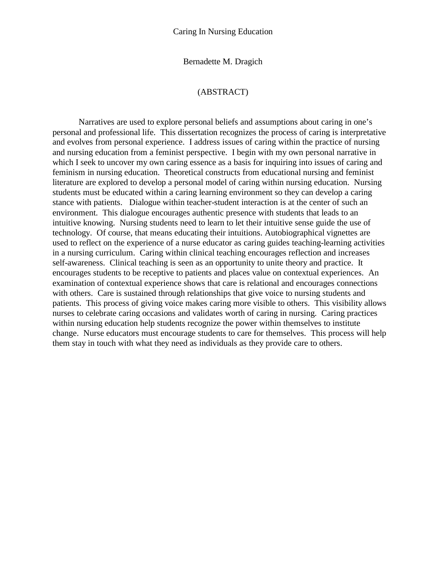Bernadette M. Dragich

## (ABSTRACT)

Narratives are used to explore personal beliefs and assumptions about caring in one's personal and professional life. This dissertation recognizes the process of caring is interpretative and evolves from personal experience. I address issues of caring within the practice of nursing and nursing education from a feminist perspective. I begin with my own personal narrative in which I seek to uncover my own caring essence as a basis for inquiring into issues of caring and feminism in nursing education. Theoretical constructs from educational nursing and feminist literature are explored to develop a personal model of caring within nursing education. Nursing students must be educated within a caring learning environment so they can develop a caring stance with patients. Dialogue within teacher-student interaction is at the center of such an environment. This dialogue encourages authentic presence with students that leads to an intuitive knowing. Nursing students need to learn to let their intuitive sense guide the use of technology. Of course, that means educating their intuitions. Autobiographical vignettes are used to reflect on the experience of a nurse educator as caring guides teaching-learning activities in a nursing curriculum. Caring within clinical teaching encourages reflection and increases self-awareness. Clinical teaching is seen as an opportunity to unite theory and practice. It encourages students to be receptive to patients and places value on contextual experiences. An examination of contextual experience shows that care is relational and encourages connections with others. Care is sustained through relationships that give voice to nursing students and patients. This process of giving voice makes caring more visible to others. This visibility allows nurses to celebrate caring occasions and validates worth of caring in nursing. Caring practices within nursing education help students recognize the power within themselves to institute change. Nurse educators must encourage students to care for themselves. This process will help them stay in touch with what they need as individuals as they provide care to others.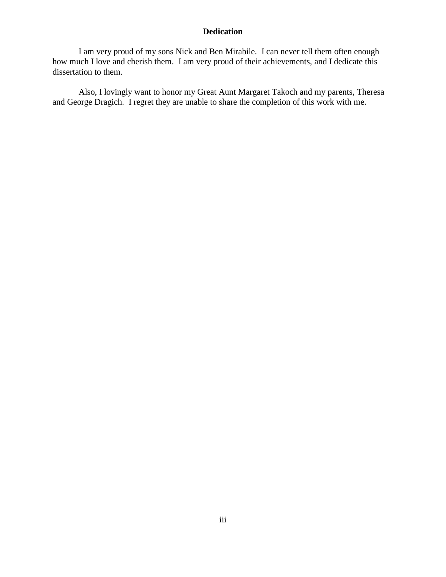# **Dedication**

I am very proud of my sons Nick and Ben Mirabile. I can never tell them often enough how much I love and cherish them. I am very proud of their achievements, and I dedicate this dissertation to them.

Also, I lovingly want to honor my Great Aunt Margaret Takoch and my parents, Theresa and George Dragich. I regret they are unable to share the completion of this work with me.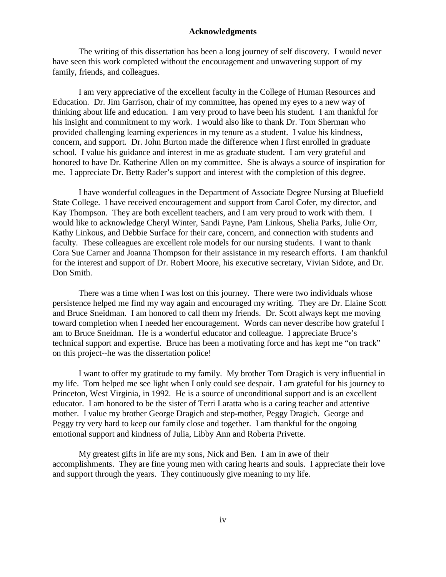## **Acknowledgments**

The writing of this dissertation has been a long journey of self discovery. I would never have seen this work completed without the encouragement and unwavering support of my family, friends, and colleagues.

I am very appreciative of the excellent faculty in the College of Human Resources and Education. Dr. Jim Garrison, chair of my committee, has opened my eyes to a new way of thinking about life and education. I am very proud to have been his student. I am thankful for his insight and commitment to my work. I would also like to thank Dr. Tom Sherman who provided challenging learning experiences in my tenure as a student. I value his kindness, concern, and support. Dr. John Burton made the difference when I first enrolled in graduate school. I value his guidance and interest in me as graduate student. I am very grateful and honored to have Dr. Katherine Allen on my committee. She is always a source of inspiration for me. I appreciate Dr. Betty Rader's support and interest with the completion of this degree.

I have wonderful colleagues in the Department of Associate Degree Nursing at Bluefield State College. I have received encouragement and support from Carol Cofer, my director, and Kay Thompson. They are both excellent teachers, and I am very proud to work with them. I would like to acknowledge Cheryl Winter, Sandi Payne, Pam Linkous, Shelia Parks, Julie Orr, Kathy Linkous, and Debbie Surface for their care, concern, and connection with students and faculty. These colleagues are excellent role models for our nursing students. I want to thank Cora Sue Carner and Joanna Thompson for their assistance in my research efforts. I am thankful for the interest and support of Dr. Robert Moore, his executive secretary, Vivian Sidote, and Dr. Don Smith.

There was a time when I was lost on this journey. There were two individuals whose persistence helped me find my way again and encouraged my writing. They are Dr. Elaine Scott and Bruce Sneidman. I am honored to call them my friends. Dr. Scott always kept me moving toward completion when I needed her encouragement. Words can never describe how grateful I am to Bruce Sneidman. He is a wonderful educator and colleague. I appreciate Bruce's technical support and expertise. Bruce has been a motivating force and has kept me "on track" on this project--he was the dissertation police!

I want to offer my gratitude to my family. My brother Tom Dragich is very influential in my life. Tom helped me see light when I only could see despair. I am grateful for his journey to Princeton, West Virginia, in 1992. He is a source of unconditional support and is an excellent educator. I am honored to be the sister of Terri Laratta who is a caring teacher and attentive mother. I value my brother George Dragich and step-mother, Peggy Dragich. George and Peggy try very hard to keep our family close and together. I am thankful for the ongoing emotional support and kindness of Julia, Libby Ann and Roberta Privette.

My greatest gifts in life are my sons, Nick and Ben. I am in awe of their accomplishments. They are fine young men with caring hearts and souls. I appreciate their love and support through the years. They continuously give meaning to my life.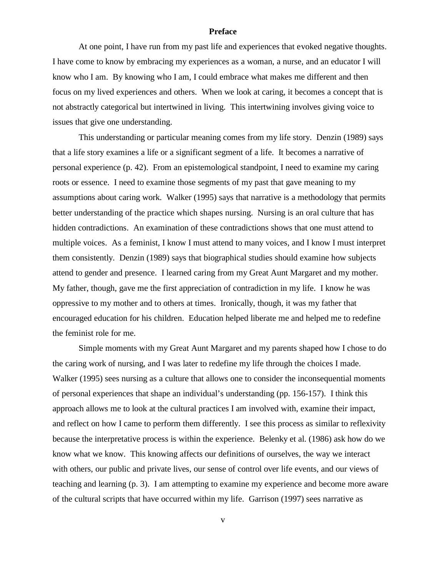## **Preface**

At one point, I have run from my past life and experiences that evoked negative thoughts. I have come to know by embracing my experiences as a woman, a nurse, and an educator I will know who I am. By knowing who I am, I could embrace what makes me different and then focus on my lived experiences and others. When we look at caring, it becomes a concept that is not abstractly categorical but intertwined in living. This intertwining involves giving voice to issues that give one understanding.

This understanding or particular meaning comes from my life story. Denzin (1989) says that a life story examines a life or a significant segment of a life. It becomes a narrative of personal experience (p. 42). From an epistemological standpoint, I need to examine my caring roots or essence. I need to examine those segments of my past that gave meaning to my assumptions about caring work. Walker (1995) says that narrative is a methodology that permits better understanding of the practice which shapes nursing. Nursing is an oral culture that has hidden contradictions. An examination of these contradictions shows that one must attend to multiple voices. As a feminist, I know I must attend to many voices, and I know I must interpret them consistently. Denzin (1989) says that biographical studies should examine how subjects attend to gender and presence. I learned caring from my Great Aunt Margaret and my mother. My father, though, gave me the first appreciation of contradiction in my life. I know he was oppressive to my mother and to others at times. Ironically, though, it was my father that encouraged education for his children. Education helped liberate me and helped me to redefine the feminist role for me.

Simple moments with my Great Aunt Margaret and my parents shaped how I chose to do the caring work of nursing, and I was later to redefine my life through the choices I made. Walker (1995) sees nursing as a culture that allows one to consider the inconsequential moments of personal experiences that shape an individual's understanding (pp. 156-157). I think this approach allows me to look at the cultural practices I am involved with, examine their impact, and reflect on how I came to perform them differently. I see this process as similar to reflexivity because the interpretative process is within the experience. Belenky et al. (1986) ask how do we know what we know. This knowing affects our definitions of ourselves, the way we interact with others, our public and private lives, our sense of control over life events, and our views of teaching and learning (p. 3). I am attempting to examine my experience and become more aware of the cultural scripts that have occurred within my life. Garrison (1997) sees narrative as

v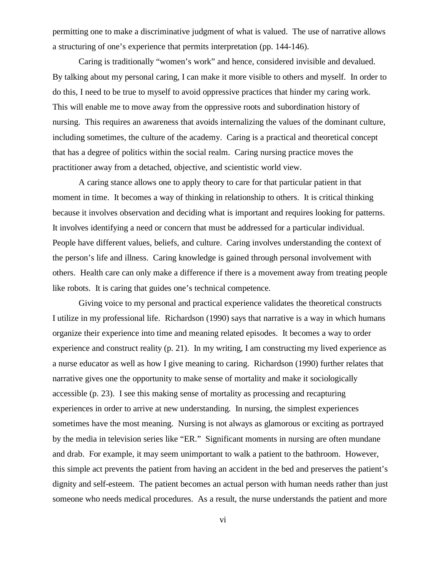permitting one to make a discriminative judgment of what is valued. The use of narrative allows a structuring of one's experience that permits interpretation (pp. 144-146).

Caring is traditionally "women's work" and hence, considered invisible and devalued. By talking about my personal caring, I can make it more visible to others and myself. In order to do this, I need to be true to myself to avoid oppressive practices that hinder my caring work. This will enable me to move away from the oppressive roots and subordination history of nursing. This requires an awareness that avoids internalizing the values of the dominant culture, including sometimes, the culture of the academy. Caring is a practical and theoretical concept that has a degree of politics within the social realm. Caring nursing practice moves the practitioner away from a detached, objective, and scientistic world view.

A caring stance allows one to apply theory to care for that particular patient in that moment in time. It becomes a way of thinking in relationship to others. It is critical thinking because it involves observation and deciding what is important and requires looking for patterns. It involves identifying a need or concern that must be addressed for a particular individual. People have different values, beliefs, and culture. Caring involves understanding the context of the person's life and illness. Caring knowledge is gained through personal involvement with others. Health care can only make a difference if there is a movement away from treating people like robots. It is caring that guides one's technical competence.

Giving voice to my personal and practical experience validates the theoretical constructs I utilize in my professional life. Richardson (1990) says that narrative is a way in which humans organize their experience into time and meaning related episodes. It becomes a way to order experience and construct reality (p. 21). In my writing, I am constructing my lived experience as a nurse educator as well as how I give meaning to caring. Richardson (1990) further relates that narrative gives one the opportunity to make sense of mortality and make it sociologically accessible (p. 23). I see this making sense of mortality as processing and recapturing experiences in order to arrive at new understanding. In nursing, the simplest experiences sometimes have the most meaning. Nursing is not always as glamorous or exciting as portrayed by the media in television series like "ER." Significant moments in nursing are often mundane and drab. For example, it may seem unimportant to walk a patient to the bathroom. However, this simple act prevents the patient from having an accident in the bed and preserves the patient's dignity and self-esteem. The patient becomes an actual person with human needs rather than just someone who needs medical procedures. As a result, the nurse understands the patient and more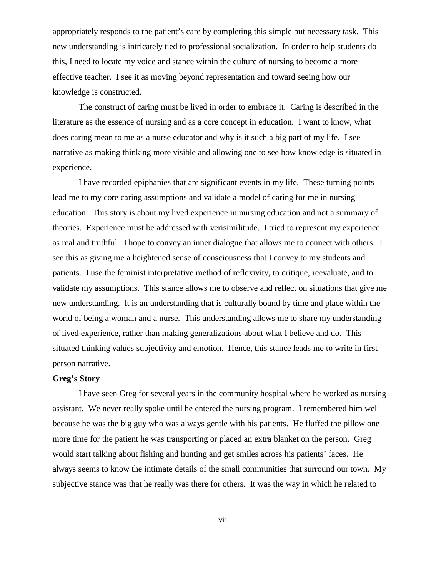appropriately responds to the patient's care by completing this simple but necessary task. This new understanding is intricately tied to professional socialization. In order to help students do this, I need to locate my voice and stance within the culture of nursing to become a more effective teacher. I see it as moving beyond representation and toward seeing how our knowledge is constructed.

The construct of caring must be lived in order to embrace it. Caring is described in the literature as the essence of nursing and as a core concept in education. I want to know, what does caring mean to me as a nurse educator and why is it such a big part of my life. I see narrative as making thinking more visible and allowing one to see how knowledge is situated in experience.

I have recorded epiphanies that are significant events in my life. These turning points lead me to my core caring assumptions and validate a model of caring for me in nursing education. This story is about my lived experience in nursing education and not a summary of theories. Experience must be addressed with verisimilitude. I tried to represent my experience as real and truthful. I hope to convey an inner dialogue that allows me to connect with others. I see this as giving me a heightened sense of consciousness that I convey to my students and patients. I use the feminist interpretative method of reflexivity, to critique, reevaluate, and to validate my assumptions. This stance allows me to observe and reflect on situations that give me new understanding. It is an understanding that is culturally bound by time and place within the world of being a woman and a nurse. This understanding allows me to share my understanding of lived experience, rather than making generalizations about what I believe and do. This situated thinking values subjectivity and emotion. Hence, this stance leads me to write in first person narrative.

## **Greg's Story**

I have seen Greg for several years in the community hospital where he worked as nursing assistant. We never really spoke until he entered the nursing program. I remembered him well because he was the big guy who was always gentle with his patients. He fluffed the pillow one more time for the patient he was transporting or placed an extra blanket on the person. Greg would start talking about fishing and hunting and get smiles across his patients' faces. He always seems to know the intimate details of the small communities that surround our town. My subjective stance was that he really was there for others. It was the way in which he related to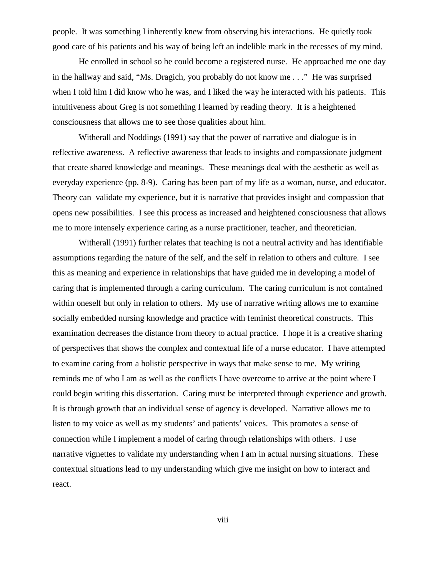people. It was something I inherently knew from observing his interactions. He quietly took good care of his patients and his way of being left an indelible mark in the recesses of my mind.

He enrolled in school so he could become a registered nurse. He approached me one day in the hallway and said, "Ms. Dragich, you probably do not know me . . ." He was surprised when I told him I did know who he was, and I liked the way he interacted with his patients. This intuitiveness about Greg is not something I learned by reading theory. It is a heightened consciousness that allows me to see those qualities about him.

Witherall and Noddings (1991) say that the power of narrative and dialogue is in reflective awareness. A reflective awareness that leads to insights and compassionate judgment that create shared knowledge and meanings. These meanings deal with the aesthetic as well as everyday experience (pp. 8-9). Caring has been part of my life as a woman, nurse, and educator. Theory can validate my experience, but it is narrative that provides insight and compassion that opens new possibilities. I see this process as increased and heightened consciousness that allows me to more intensely experience caring as a nurse practitioner, teacher, and theoretician.

Witherall (1991) further relates that teaching is not a neutral activity and has identifiable assumptions regarding the nature of the self, and the self in relation to others and culture. I see this as meaning and experience in relationships that have guided me in developing a model of caring that is implemented through a caring curriculum. The caring curriculum is not contained within oneself but only in relation to others. My use of narrative writing allows me to examine socially embedded nursing knowledge and practice with feminist theoretical constructs. This examination decreases the distance from theory to actual practice. I hope it is a creative sharing of perspectives that shows the complex and contextual life of a nurse educator. I have attempted to examine caring from a holistic perspective in ways that make sense to me. My writing reminds me of who I am as well as the conflicts I have overcome to arrive at the point where I could begin writing this dissertation. Caring must be interpreted through experience and growth. It is through growth that an individual sense of agency is developed. Narrative allows me to listen to my voice as well as my students' and patients' voices. This promotes a sense of connection while I implement a model of caring through relationships with others. I use narrative vignettes to validate my understanding when I am in actual nursing situations. These contextual situations lead to my understanding which give me insight on how to interact and react.

viii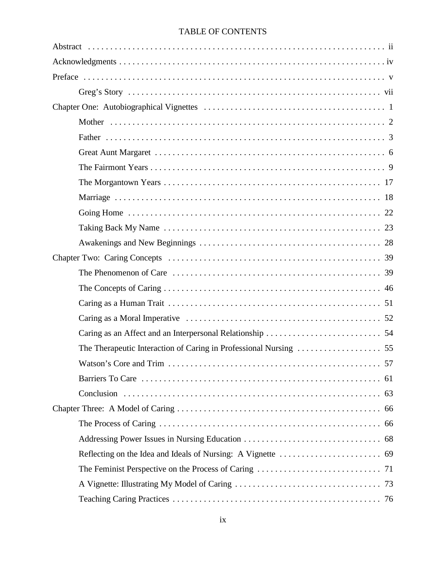# TABLE OF CONTENTS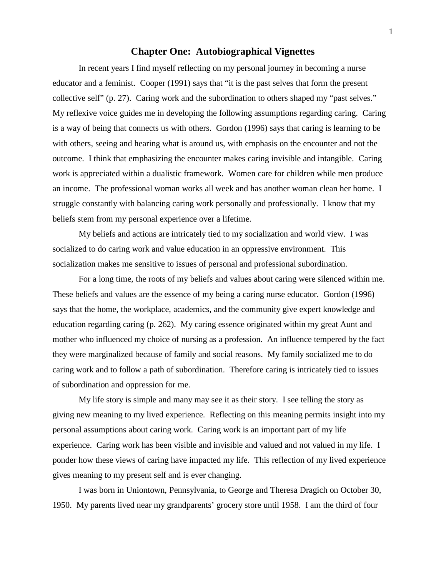# **Chapter One: Autobiographical Vignettes**

In recent years I find myself reflecting on my personal journey in becoming a nurse educator and a feminist. Cooper (1991) says that "it is the past selves that form the present collective self" (p. 27). Caring work and the subordination to others shaped my "past selves." My reflexive voice guides me in developing the following assumptions regarding caring. Caring is a way of being that connects us with others. Gordon (1996) says that caring is learning to be with others, seeing and hearing what is around us, with emphasis on the encounter and not the outcome. I think that emphasizing the encounter makes caring invisible and intangible. Caring work is appreciated within a dualistic framework. Women care for children while men produce an income. The professional woman works all week and has another woman clean her home. I struggle constantly with balancing caring work personally and professionally. I know that my beliefs stem from my personal experience over a lifetime.

My beliefs and actions are intricately tied to my socialization and world view. I was socialized to do caring work and value education in an oppressive environment. This socialization makes me sensitive to issues of personal and professional subordination.

For a long time, the roots of my beliefs and values about caring were silenced within me. These beliefs and values are the essence of my being a caring nurse educator. Gordon (1996) says that the home, the workplace, academics, and the community give expert knowledge and education regarding caring (p. 262). My caring essence originated within my great Aunt and mother who influenced my choice of nursing as a profession. An influence tempered by the fact they were marginalized because of family and social reasons. My family socialized me to do caring work and to follow a path of subordination. Therefore caring is intricately tied to issues of subordination and oppression for me.

My life story is simple and many may see it as their story. I see telling the story as giving new meaning to my lived experience. Reflecting on this meaning permits insight into my personal assumptions about caring work. Caring work is an important part of my life experience. Caring work has been visible and invisible and valued and not valued in my life. I ponder how these views of caring have impacted my life. This reflection of my lived experience gives meaning to my present self and is ever changing.

I was born in Uniontown, Pennsylvania, to George and Theresa Dragich on October 30, 1950. My parents lived near my grandparents' grocery store until 1958. I am the third of four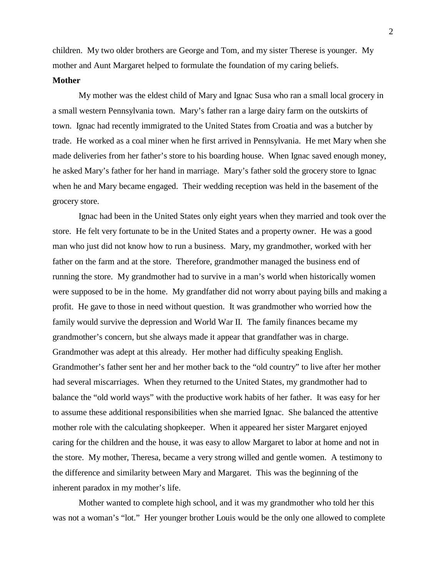children. My two older brothers are George and Tom, and my sister Therese is younger. My mother and Aunt Margaret helped to formulate the foundation of my caring beliefs.

## **Mother**

My mother was the eldest child of Mary and Ignac Susa who ran a small local grocery in a small western Pennsylvania town. Mary's father ran a large dairy farm on the outskirts of town. Ignac had recently immigrated to the United States from Croatia and was a butcher by trade. He worked as a coal miner when he first arrived in Pennsylvania. He met Mary when she made deliveries from her father's store to his boarding house. When Ignac saved enough money, he asked Mary's father for her hand in marriage. Mary's father sold the grocery store to Ignac when he and Mary became engaged. Their wedding reception was held in the basement of the grocery store.

Ignac had been in the United States only eight years when they married and took over the store. He felt very fortunate to be in the United States and a property owner. He was a good man who just did not know how to run a business. Mary, my grandmother, worked with her father on the farm and at the store. Therefore, grandmother managed the business end of running the store. My grandmother had to survive in a man's world when historically women were supposed to be in the home. My grandfather did not worry about paying bills and making a profit. He gave to those in need without question. It was grandmother who worried how the family would survive the depression and World War II. The family finances became my grandmother's concern, but she always made it appear that grandfather was in charge. Grandmother was adept at this already. Her mother had difficulty speaking English. Grandmother's father sent her and her mother back to the "old country" to live after her mother had several miscarriages. When they returned to the United States, my grandmother had to balance the "old world ways" with the productive work habits of her father. It was easy for her to assume these additional responsibilities when she married Ignac. She balanced the attentive mother role with the calculating shopkeeper. When it appeared her sister Margaret enjoyed caring for the children and the house, it was easy to allow Margaret to labor at home and not in the store. My mother, Theresa, became a very strong willed and gentle women. A testimony to the difference and similarity between Mary and Margaret. This was the beginning of the inherent paradox in my mother's life.

Mother wanted to complete high school, and it was my grandmother who told her this was not a woman's "lot." Her younger brother Louis would be the only one allowed to complete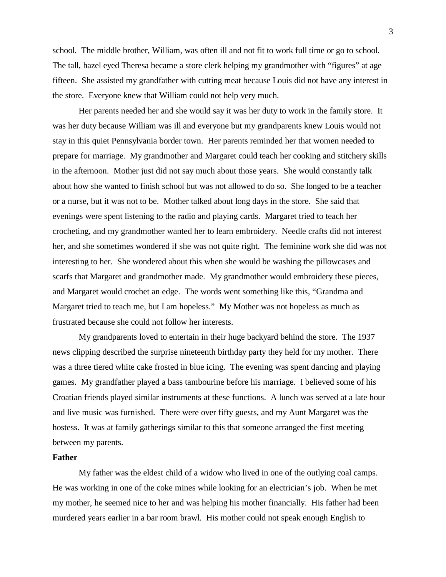school. The middle brother, William, was often ill and not fit to work full time or go to school. The tall, hazel eyed Theresa became a store clerk helping my grandmother with "figures" at age fifteen. She assisted my grandfather with cutting meat because Louis did not have any interest in the store. Everyone knew that William could not help very much.

Her parents needed her and she would say it was her duty to work in the family store. It was her duty because William was ill and everyone but my grandparents knew Louis would not stay in this quiet Pennsylvania border town. Her parents reminded her that women needed to prepare for marriage. My grandmother and Margaret could teach her cooking and stitchery skills in the afternoon. Mother just did not say much about those years. She would constantly talk about how she wanted to finish school but was not allowed to do so. She longed to be a teacher or a nurse, but it was not to be. Mother talked about long days in the store. She said that evenings were spent listening to the radio and playing cards. Margaret tried to teach her crocheting, and my grandmother wanted her to learn embroidery. Needle crafts did not interest her, and she sometimes wondered if she was not quite right. The feminine work she did was not interesting to her. She wondered about this when she would be washing the pillowcases and scarfs that Margaret and grandmother made. My grandmother would embroidery these pieces, and Margaret would crochet an edge. The words went something like this, "Grandma and Margaret tried to teach me, but I am hopeless." My Mother was not hopeless as much as frustrated because she could not follow her interests.

My grandparents loved to entertain in their huge backyard behind the store. The 1937 news clipping described the surprise nineteenth birthday party they held for my mother. There was a three tiered white cake frosted in blue icing. The evening was spent dancing and playing games. My grandfather played a bass tambourine before his marriage. I believed some of his Croatian friends played similar instruments at these functions. A lunch was served at a late hour and live music was furnished. There were over fifty guests, and my Aunt Margaret was the hostess. It was at family gatherings similar to this that someone arranged the first meeting between my parents.

#### **Father**

My father was the eldest child of a widow who lived in one of the outlying coal camps. He was working in one of the coke mines while looking for an electrician's job. When he met my mother, he seemed nice to her and was helping his mother financially. His father had been murdered years earlier in a bar room brawl. His mother could not speak enough English to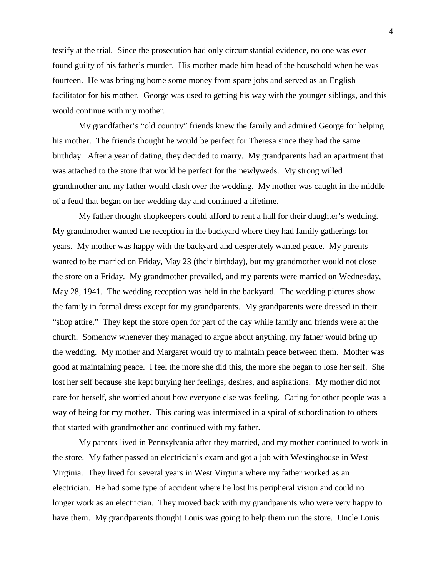testify at the trial. Since the prosecution had only circumstantial evidence, no one was ever found guilty of his father's murder. His mother made him head of the household when he was fourteen. He was bringing home some money from spare jobs and served as an English facilitator for his mother. George was used to getting his way with the younger siblings, and this would continue with my mother.

My grandfather's "old country" friends knew the family and admired George for helping his mother. The friends thought he would be perfect for Theresa since they had the same birthday. After a year of dating, they decided to marry. My grandparents had an apartment that was attached to the store that would be perfect for the newlyweds. My strong willed grandmother and my father would clash over the wedding. My mother was caught in the middle of a feud that began on her wedding day and continued a lifetime.

My father thought shopkeepers could afford to rent a hall for their daughter's wedding. My grandmother wanted the reception in the backyard where they had family gatherings for years. My mother was happy with the backyard and desperately wanted peace. My parents wanted to be married on Friday, May 23 (their birthday), but my grandmother would not close the store on a Friday. My grandmother prevailed, and my parents were married on Wednesday, May 28, 1941. The wedding reception was held in the backyard. The wedding pictures show the family in formal dress except for my grandparents. My grandparents were dressed in their "shop attire." They kept the store open for part of the day while family and friends were at the church. Somehow whenever they managed to argue about anything, my father would bring up the wedding. My mother and Margaret would try to maintain peace between them. Mother was good at maintaining peace. I feel the more she did this, the more she began to lose her self. She lost her self because she kept burying her feelings, desires, and aspirations. My mother did not care for herself, she worried about how everyone else was feeling. Caring for other people was a way of being for my mother. This caring was intermixed in a spiral of subordination to others that started with grandmother and continued with my father.

My parents lived in Pennsylvania after they married, and my mother continued to work in the store. My father passed an electrician's exam and got a job with Westinghouse in West Virginia. They lived for several years in West Virginia where my father worked as an electrician. He had some type of accident where he lost his peripheral vision and could no longer work as an electrician. They moved back with my grandparents who were very happy to have them. My grandparents thought Louis was going to help them run the store. Uncle Louis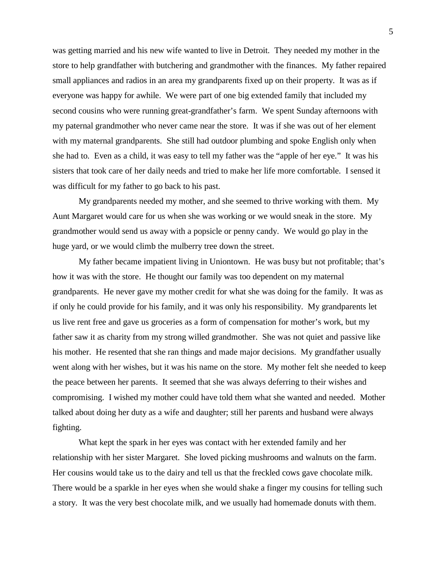was getting married and his new wife wanted to live in Detroit. They needed my mother in the store to help grandfather with butchering and grandmother with the finances. My father repaired small appliances and radios in an area my grandparents fixed up on their property. It was as if everyone was happy for awhile. We were part of one big extended family that included my second cousins who were running great-grandfather's farm. We spent Sunday afternoons with my paternal grandmother who never came near the store. It was if she was out of her element with my maternal grandparents. She still had outdoor plumbing and spoke English only when she had to. Even as a child, it was easy to tell my father was the "apple of her eye." It was his sisters that took care of her daily needs and tried to make her life more comfortable. I sensed it was difficult for my father to go back to his past.

My grandparents needed my mother, and she seemed to thrive working with them. My Aunt Margaret would care for us when she was working or we would sneak in the store. My grandmother would send us away with a popsicle or penny candy. We would go play in the huge yard, or we would climb the mulberry tree down the street.

My father became impatient living in Uniontown. He was busy but not profitable; that's how it was with the store. He thought our family was too dependent on my maternal grandparents. He never gave my mother credit for what she was doing for the family. It was as if only he could provide for his family, and it was only his responsibility. My grandparents let us live rent free and gave us groceries as a form of compensation for mother's work, but my father saw it as charity from my strong willed grandmother. She was not quiet and passive like his mother. He resented that she ran things and made major decisions. My grandfather usually went along with her wishes, but it was his name on the store. My mother felt she needed to keep the peace between her parents. It seemed that she was always deferring to their wishes and compromising. I wished my mother could have told them what she wanted and needed. Mother talked about doing her duty as a wife and daughter; still her parents and husband were always fighting.

What kept the spark in her eyes was contact with her extended family and her relationship with her sister Margaret. She loved picking mushrooms and walnuts on the farm. Her cousins would take us to the dairy and tell us that the freckled cows gave chocolate milk. There would be a sparkle in her eyes when she would shake a finger my cousins for telling such a story. It was the very best chocolate milk, and we usually had homemade donuts with them.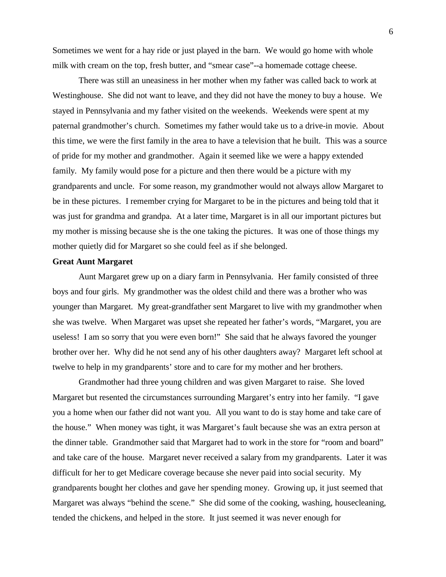Sometimes we went for a hay ride or just played in the barn. We would go home with whole milk with cream on the top, fresh butter, and "smear case"--a homemade cottage cheese.

There was still an uneasiness in her mother when my father was called back to work at Westinghouse. She did not want to leave, and they did not have the money to buy a house. We stayed in Pennsylvania and my father visited on the weekends. Weekends were spent at my paternal grandmother's church. Sometimes my father would take us to a drive-in movie. About this time, we were the first family in the area to have a television that he built. This was a source of pride for my mother and grandmother. Again it seemed like we were a happy extended family. My family would pose for a picture and then there would be a picture with my grandparents and uncle. For some reason, my grandmother would not always allow Margaret to be in these pictures. I remember crying for Margaret to be in the pictures and being told that it was just for grandma and grandpa. At a later time, Margaret is in all our important pictures but my mother is missing because she is the one taking the pictures. It was one of those things my mother quietly did for Margaret so she could feel as if she belonged.

#### **Great Aunt Margaret**

Aunt Margaret grew up on a diary farm in Pennsylvania. Her family consisted of three boys and four girls. My grandmother was the oldest child and there was a brother who was younger than Margaret. My great-grandfather sent Margaret to live with my grandmother when she was twelve. When Margaret was upset she repeated her father's words, "Margaret, you are useless! I am so sorry that you were even born!" She said that he always favored the younger brother over her. Why did he not send any of his other daughters away? Margaret left school at twelve to help in my grandparents' store and to care for my mother and her brothers.

Grandmother had three young children and was given Margaret to raise. She loved Margaret but resented the circumstances surrounding Margaret's entry into her family. "I gave you a home when our father did not want you. All you want to do is stay home and take care of the house." When money was tight, it was Margaret's fault because she was an extra person at the dinner table. Grandmother said that Margaret had to work in the store for "room and board" and take care of the house. Margaret never received a salary from my grandparents. Later it was difficult for her to get Medicare coverage because she never paid into social security. My grandparents bought her clothes and gave her spending money. Growing up, it just seemed that Margaret was always "behind the scene." She did some of the cooking, washing, housecleaning, tended the chickens, and helped in the store. It just seemed it was never enough for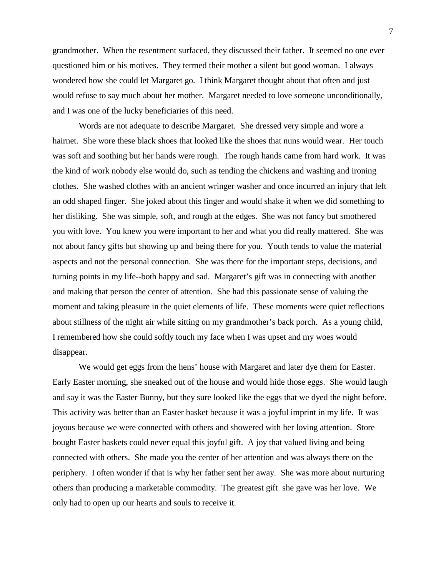grandmother. When the resentment surfaced, they discussed their father. It seemed no one ever questioned him or his motives. They termed their mother a silent but good woman. I always wondered how she could let Margaret go. I think Margaret thought about that often and just would refuse to say much about her mother. Margaret needed to love someone unconditionally, and I was one of the lucky beneficiaries of this need.

Words are not adequate to describe Margaret. She dressed very simple and wore a hairnet. She wore these black shoes that looked like the shoes that nuns would wear. Her touch was soft and soothing but her hands were rough. The rough hands came from hard work. It was the kind of work nobody else would do, such as tending the chickens and washing and ironing clothes. She washed clothes with an ancient wringer washer and once incurred an injury that left an odd shaped finger. She joked about this finger and would shake it when we did something to her disliking. She was simple, soft, and rough at the edges. She was not fancy but smothered you with love. You knew you were important to her and what you did really mattered. She was not about fancy gifts but showing up and being there for you. Youth tends to value the material aspects and not the personal connection. She was there for the important steps, decisions, and turning points in my life--both happy and sad. Margaret's gift was in connecting with another and making that person the center of attention. She had this passionate sense of valuing the moment and taking pleasure in the quiet elements of life. These moments were quiet reflections about stillness of the night air while sitting on my grandmother's back porch. As a young child, I remembered how she could softly touch my face when I was upset and my woes would disappear.

We would get eggs from the hens' house with Margaret and later dye them for Easter. Early Easter morning, she sneaked out of the house and would hide those eggs. She would laugh and say it was the Easter Bunny, but they sure looked like the eggs that we dyed the night before. This activity was better than an Easter basket because it was a joyful imprint in my life. It was joyous because we were connected with others and showered with her loving attention. Store bought Easter baskets could never equal this joyful gift. A joy that valued living and being connected with others. She made you the center of her attention and was always there on the periphery. I often wonder if that is why her father sent her away. She was more about nurturing others than producing a marketable commodity. The greatest gift she gave was her love. We only had to open up our hearts and souls to receive it.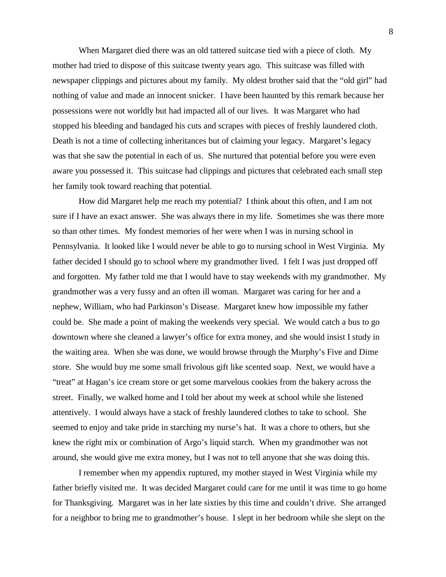When Margaret died there was an old tattered suitcase tied with a piece of cloth. My mother had tried to dispose of this suitcase twenty years ago. This suitcase was filled with newspaper clippings and pictures about my family. My oldest brother said that the "old girl" had nothing of value and made an innocent snicker. I have been haunted by this remark because her possessions were not worldly but had impacted all of our lives. It was Margaret who had stopped his bleeding and bandaged his cuts and scrapes with pieces of freshly laundered cloth. Death is not a time of collecting inheritances but of claiming your legacy. Margaret's legacy was that she saw the potential in each of us. She nurtured that potential before you were even aware you possessed it. This suitcase had clippings and pictures that celebrated each small step her family took toward reaching that potential.

How did Margaret help me reach my potential? I think about this often, and I am not sure if I have an exact answer. She was always there in my life. Sometimes she was there more so than other times. My fondest memories of her were when I was in nursing school in Pennsylvania. It looked like I would never be able to go to nursing school in West Virginia. My father decided I should go to school where my grandmother lived. I felt I was just dropped off and forgotten. My father told me that I would have to stay weekends with my grandmother. My grandmother was a very fussy and an often ill woman. Margaret was caring for her and a nephew, William, who had Parkinson's Disease. Margaret knew how impossible my father could be. She made a point of making the weekends very special. We would catch a bus to go downtown where she cleaned a lawyer's office for extra money, and she would insist I study in the waiting area. When she was done, we would browse through the Murphy's Five and Dime store. She would buy me some small frivolous gift like scented soap. Next, we would have a "treat" at Hagan's ice cream store or get some marvelous cookies from the bakery across the street. Finally, we walked home and I told her about my week at school while she listened attentively. I would always have a stack of freshly laundered clothes to take to school. She seemed to enjoy and take pride in starching my nurse's hat. It was a chore to others, but she knew the right mix or combination of Argo's liquid starch. When my grandmother was not around, she would give me extra money, but I was not to tell anyone that she was doing this.

I remember when my appendix ruptured, my mother stayed in West Virginia while my father briefly visited me. It was decided Margaret could care for me until it was time to go home for Thanksgiving. Margaret was in her late sixties by this time and couldn't drive. She arranged for a neighbor to bring me to grandmother's house. I slept in her bedroom while she slept on the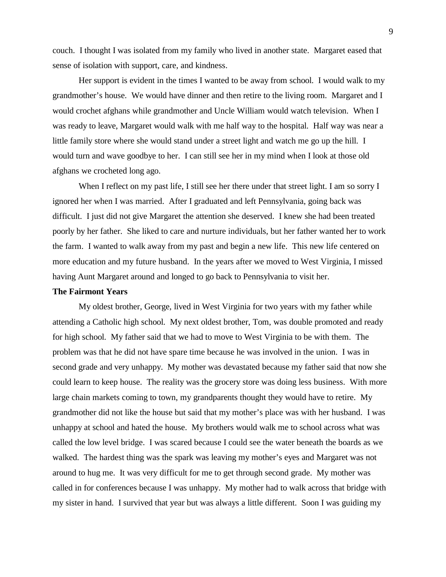couch. I thought I was isolated from my family who lived in another state. Margaret eased that sense of isolation with support, care, and kindness.

Her support is evident in the times I wanted to be away from school. I would walk to my grandmother's house. We would have dinner and then retire to the living room. Margaret and I would crochet afghans while grandmother and Uncle William would watch television. When I was ready to leave, Margaret would walk with me half way to the hospital. Half way was near a little family store where she would stand under a street light and watch me go up the hill. I would turn and wave goodbye to her. I can still see her in my mind when I look at those old afghans we crocheted long ago.

When I reflect on my past life, I still see her there under that street light. I am so sorry I ignored her when I was married. After I graduated and left Pennsylvania, going back was difficult. I just did not give Margaret the attention she deserved. I knew she had been treated poorly by her father. She liked to care and nurture individuals, but her father wanted her to work the farm. I wanted to walk away from my past and begin a new life. This new life centered on more education and my future husband. In the years after we moved to West Virginia, I missed having Aunt Margaret around and longed to go back to Pennsylvania to visit her.

## **The Fairmont Years**

My oldest brother, George, lived in West Virginia for two years with my father while attending a Catholic high school. My next oldest brother, Tom, was double promoted and ready for high school. My father said that we had to move to West Virginia to be with them. The problem was that he did not have spare time because he was involved in the union. I was in second grade and very unhappy. My mother was devastated because my father said that now she could learn to keep house. The reality was the grocery store was doing less business. With more large chain markets coming to town, my grandparents thought they would have to retire. My grandmother did not like the house but said that my mother's place was with her husband. I was unhappy at school and hated the house. My brothers would walk me to school across what was called the low level bridge. I was scared because I could see the water beneath the boards as we walked. The hardest thing was the spark was leaving my mother's eyes and Margaret was not around to hug me. It was very difficult for me to get through second grade. My mother was called in for conferences because I was unhappy. My mother had to walk across that bridge with my sister in hand. I survived that year but was always a little different. Soon I was guiding my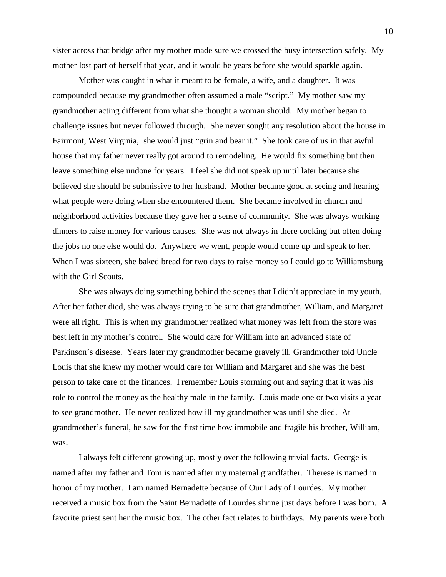sister across that bridge after my mother made sure we crossed the busy intersection safely. My mother lost part of herself that year, and it would be years before she would sparkle again.

Mother was caught in what it meant to be female, a wife, and a daughter. It was compounded because my grandmother often assumed a male "script." My mother saw my grandmother acting different from what she thought a woman should. My mother began to challenge issues but never followed through. She never sought any resolution about the house in Fairmont, West Virginia, she would just "grin and bear it." She took care of us in that awful house that my father never really got around to remodeling. He would fix something but then leave something else undone for years. I feel she did not speak up until later because she believed she should be submissive to her husband. Mother became good at seeing and hearing what people were doing when she encountered them. She became involved in church and neighborhood activities because they gave her a sense of community. She was always working dinners to raise money for various causes. She was not always in there cooking but often doing the jobs no one else would do. Anywhere we went, people would come up and speak to her. When I was sixteen, she baked bread for two days to raise money so I could go to Williamsburg with the Girl Scouts.

She was always doing something behind the scenes that I didn't appreciate in my youth. After her father died, she was always trying to be sure that grandmother, William, and Margaret were all right. This is when my grandmother realized what money was left from the store was best left in my mother's control. She would care for William into an advanced state of Parkinson's disease. Years later my grandmother became gravely ill. Grandmother told Uncle Louis that she knew my mother would care for William and Margaret and she was the best person to take care of the finances. I remember Louis storming out and saying that it was his role to control the money as the healthy male in the family. Louis made one or two visits a year to see grandmother. He never realized how ill my grandmother was until she died. At grandmother's funeral, he saw for the first time how immobile and fragile his brother, William, was.

I always felt different growing up, mostly over the following trivial facts. George is named after my father and Tom is named after my maternal grandfather. Therese is named in honor of my mother. I am named Bernadette because of Our Lady of Lourdes. My mother received a music box from the Saint Bernadette of Lourdes shrine just days before I was born. A favorite priest sent her the music box. The other fact relates to birthdays. My parents were both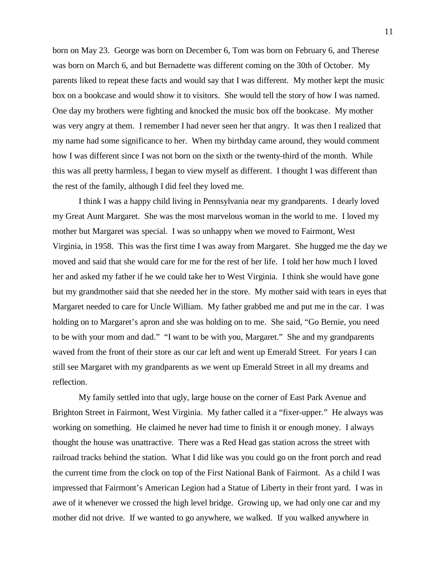born on May 23. George was born on December 6, Tom was born on February 6, and Therese was born on March 6, and but Bernadette was different coming on the 30th of October. My parents liked to repeat these facts and would say that I was different. My mother kept the music box on a bookcase and would show it to visitors. She would tell the story of how I was named. One day my brothers were fighting and knocked the music box off the bookcase. My mother was very angry at them. I remember I had never seen her that angry. It was then I realized that my name had some significance to her. When my birthday came around, they would comment how I was different since I was not born on the sixth or the twenty-third of the month. While this was all pretty harmless, I began to view myself as different. I thought I was different than the rest of the family, although I did feel they loved me.

I think I was a happy child living in Pennsylvania near my grandparents. I dearly loved my Great Aunt Margaret. She was the most marvelous woman in the world to me. I loved my mother but Margaret was special. I was so unhappy when we moved to Fairmont, West Virginia, in 1958. This was the first time I was away from Margaret. She hugged me the day we moved and said that she would care for me for the rest of her life. I told her how much I loved her and asked my father if he we could take her to West Virginia. I think she would have gone but my grandmother said that she needed her in the store. My mother said with tears in eyes that Margaret needed to care for Uncle William. My father grabbed me and put me in the car. I was holding on to Margaret's apron and she was holding on to me. She said, "Go Bernie, you need to be with your mom and dad." "I want to be with you, Margaret." She and my grandparents waved from the front of their store as our car left and went up Emerald Street. For years I can still see Margaret with my grandparents as we went up Emerald Street in all my dreams and reflection.

My family settled into that ugly, large house on the corner of East Park Avenue and Brighton Street in Fairmont, West Virginia. My father called it a "fixer-upper." He always was working on something. He claimed he never had time to finish it or enough money. I always thought the house was unattractive. There was a Red Head gas station across the street with railroad tracks behind the station. What I did like was you could go on the front porch and read the current time from the clock on top of the First National Bank of Fairmont. As a child I was impressed that Fairmont's American Legion had a Statue of Liberty in their front yard. I was in awe of it whenever we crossed the high level bridge. Growing up, we had only one car and my mother did not drive. If we wanted to go anywhere, we walked. If you walked anywhere in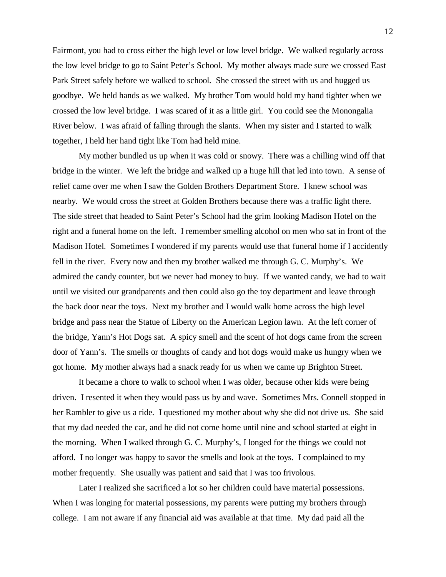Fairmont, you had to cross either the high level or low level bridge. We walked regularly across the low level bridge to go to Saint Peter's School. My mother always made sure we crossed East Park Street safely before we walked to school. She crossed the street with us and hugged us goodbye. We held hands as we walked. My brother Tom would hold my hand tighter when we crossed the low level bridge. I was scared of it as a little girl. You could see the Monongalia River below. I was afraid of falling through the slants. When my sister and I started to walk together, I held her hand tight like Tom had held mine.

My mother bundled us up when it was cold or snowy. There was a chilling wind off that bridge in the winter. We left the bridge and walked up a huge hill that led into town. A sense of relief came over me when I saw the Golden Brothers Department Store. I knew school was nearby. We would cross the street at Golden Brothers because there was a traffic light there. The side street that headed to Saint Peter's School had the grim looking Madison Hotel on the right and a funeral home on the left. I remember smelling alcohol on men who sat in front of the Madison Hotel. Sometimes I wondered if my parents would use that funeral home if I accidently fell in the river. Every now and then my brother walked me through G. C. Murphy's. We admired the candy counter, but we never had money to buy. If we wanted candy, we had to wait until we visited our grandparents and then could also go the toy department and leave through the back door near the toys. Next my brother and I would walk home across the high level bridge and pass near the Statue of Liberty on the American Legion lawn. At the left corner of the bridge, Yann's Hot Dogs sat. A spicy smell and the scent of hot dogs came from the screen door of Yann's. The smells or thoughts of candy and hot dogs would make us hungry when we got home. My mother always had a snack ready for us when we came up Brighton Street.

It became a chore to walk to school when I was older, because other kids were being driven. I resented it when they would pass us by and wave. Sometimes Mrs. Connell stopped in her Rambler to give us a ride. I questioned my mother about why she did not drive us. She said that my dad needed the car, and he did not come home until nine and school started at eight in the morning. When I walked through G. C. Murphy's, I longed for the things we could not afford. I no longer was happy to savor the smells and look at the toys. I complained to my mother frequently. She usually was patient and said that I was too frivolous.

Later I realized she sacrificed a lot so her children could have material possessions. When I was longing for material possessions, my parents were putting my brothers through college. I am not aware if any financial aid was available at that time. My dad paid all the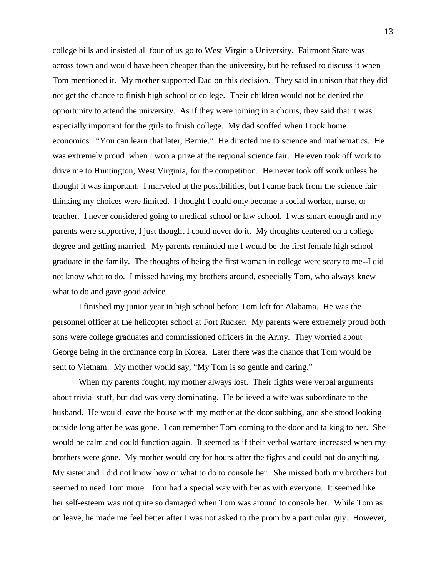college bills and insisted all four of us go to West Virginia University. Fairmont State was across town and would have been cheaper than the university, but he refused to discuss it when Tom mentioned it. My mother supported Dad on this decision. They said in unison that they did not get the chance to finish high school or college. Their children would not be denied the opportunity to attend the university. As if they were joining in a chorus, they said that it was especially important for the girls to finish college. My dad scoffed when I took home economics. "You can learn that later, Bernie." He directed me to science and mathematics. He was extremely proud when I won a prize at the regional science fair. He even took off work to drive me to Huntington, West Virginia, for the competition. He never took off work unless he thought it was important. I marveled at the possibilities, but I came back from the science fair thinking my choices were limited. I thought I could only become a social worker, nurse, or teacher. I never considered going to medical school or law school. I was smart enough and my parents were supportive, I just thought I could never do it. My thoughts centered on a college degree and getting married. My parents reminded me I would be the first female high school graduate in the family. The thoughts of being the first woman in college were scary to me--I did not know what to do. I missed having my brothers around, especially Tom, who always knew what to do and gave good advice.

I finished my junior year in high school before Tom left for Alabama. He was the personnel officer at the helicopter school at Fort Rucker. My parents were extremely proud both sons were college graduates and commissioned officers in the Army. They worried about George being in the ordinance corp in Korea. Later there was the chance that Tom would be sent to Vietnam. My mother would say, "My Tom is so gentle and caring."

When my parents fought, my mother always lost. Their fights were verbal arguments about trivial stuff, but dad was very dominating. He believed a wife was subordinate to the husband. He would leave the house with my mother at the door sobbing, and she stood looking outside long after he was gone. I can remember Tom coming to the door and talking to her. She would be calm and could function again. It seemed as if their verbal warfare increased when my brothers were gone. My mother would cry for hours after the fights and could not do anything. My sister and I did not know how or what to do to console her. She missed both my brothers but seemed to need Tom more. Tom had a special way with her as with everyone. It seemed like her self-esteem was not quite so damaged when Tom was around to console her. While Tom as on leave, he made me feel better after I was not asked to the prom by a particular guy. However,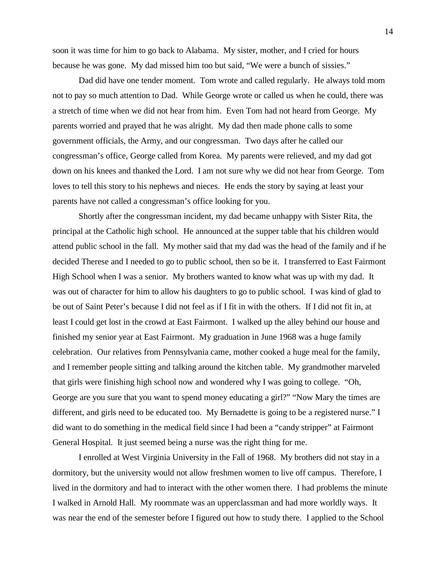soon it was time for him to go back to Alabama. My sister, mother, and I cried for hours because he was gone. My dad missed him too but said, "We were a bunch of sissies."

Dad did have one tender moment. Tom wrote and called regularly. He always told mom not to pay so much attention to Dad. While George wrote or called us when he could, there was a stretch of time when we did not hear from him. Even Tom had not heard from George. My parents worried and prayed that he was alright. My dad then made phone calls to some government officials, the Army, and our congressman. Two days after he called our congressman's office, George called from Korea. My parents were relieved, and my dad got down on his knees and thanked the Lord. I am not sure why we did not hear from George. Tom loves to tell this story to his nephews and nieces. He ends the story by saying at least your parents have not called a congressman's office looking for you.

Shortly after the congressman incident, my dad became unhappy with Sister Rita, the principal at the Catholic high school. He announced at the supper table that his children would attend public school in the fall. My mother said that my dad was the head of the family and if he decided Therese and I needed to go to public school, then so be it. I transferred to East Fairmont High School when I was a senior. My brothers wanted to know what was up with my dad. It was out of character for him to allow his daughters to go to public school. I was kind of glad to be out of Saint Peter's because I did not feel as if I fit in with the others. If I did not fit in, at least I could get lost in the crowd at East Fairmont. I walked up the alley behind our house and finished my senior year at East Fairmont. My graduation in June 1968 was a huge family celebration. Our relatives from Pennsylvania came, mother cooked a huge meal for the family, and I remember people sitting and talking around the kitchen table. My grandmother marveled that girls were finishing high school now and wondered why I was going to college. "Oh, George are you sure that you want to spend money educating a girl?" "Now Mary the times are different, and girls need to be educated too. My Bernadette is going to be a registered nurse." I did want to do something in the medical field since I had been a "candy stripper" at Fairmont General Hospital. It just seemed being a nurse was the right thing for me.

I enrolled at West Virginia University in the Fall of 1968. My brothers did not stay in a dormitory, but the university would not allow freshmen women to live off campus. Therefore, I lived in the dormitory and had to interact with the other women there. I had problems the minute I walked in Arnold Hall. My roommate was an upperclassman and had more worldly ways. It was near the end of the semester before I figured out how to study there. I applied to the School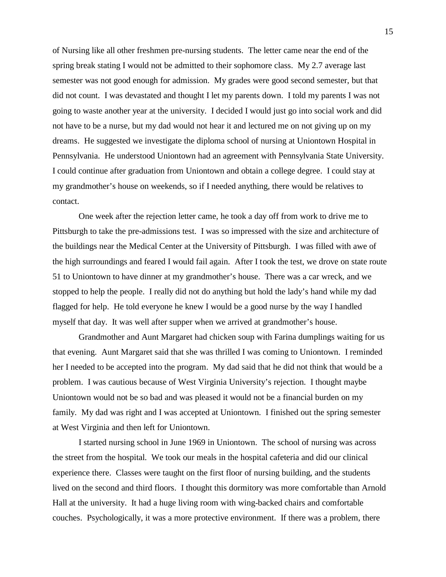of Nursing like all other freshmen pre-nursing students. The letter came near the end of the spring break stating I would not be admitted to their sophomore class. My 2.7 average last semester was not good enough for admission. My grades were good second semester, but that did not count. I was devastated and thought I let my parents down. I told my parents I was not going to waste another year at the university. I decided I would just go into social work and did not have to be a nurse, but my dad would not hear it and lectured me on not giving up on my dreams. He suggested we investigate the diploma school of nursing at Uniontown Hospital in Pennsylvania. He understood Uniontown had an agreement with Pennsylvania State University. I could continue after graduation from Uniontown and obtain a college degree. I could stay at my grandmother's house on weekends, so if I needed anything, there would be relatives to contact.

One week after the rejection letter came, he took a day off from work to drive me to Pittsburgh to take the pre-admissions test. I was so impressed with the size and architecture of the buildings near the Medical Center at the University of Pittsburgh. I was filled with awe of the high surroundings and feared I would fail again. After I took the test, we drove on state route 51 to Uniontown to have dinner at my grandmother's house. There was a car wreck, and we stopped to help the people. I really did not do anything but hold the lady's hand while my dad flagged for help. He told everyone he knew I would be a good nurse by the way I handled myself that day. It was well after supper when we arrived at grandmother's house.

Grandmother and Aunt Margaret had chicken soup with Farina dumplings waiting for us that evening. Aunt Margaret said that she was thrilled I was coming to Uniontown. I reminded her I needed to be accepted into the program. My dad said that he did not think that would be a problem. I was cautious because of West Virginia University's rejection. I thought maybe Uniontown would not be so bad and was pleased it would not be a financial burden on my family. My dad was right and I was accepted at Uniontown. I finished out the spring semester at West Virginia and then left for Uniontown.

I started nursing school in June 1969 in Uniontown. The school of nursing was across the street from the hospital. We took our meals in the hospital cafeteria and did our clinical experience there. Classes were taught on the first floor of nursing building, and the students lived on the second and third floors. I thought this dormitory was more comfortable than Arnold Hall at the university. It had a huge living room with wing-backed chairs and comfortable couches. Psychologically, it was a more protective environment. If there was a problem, there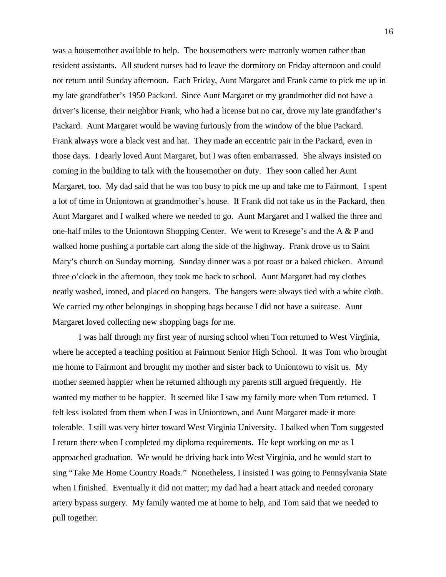was a housemother available to help. The housemothers were matronly women rather than resident assistants. All student nurses had to leave the dormitory on Friday afternoon and could not return until Sunday afternoon. Each Friday, Aunt Margaret and Frank came to pick me up in my late grandfather's 1950 Packard. Since Aunt Margaret or my grandmother did not have a driver's license, their neighbor Frank, who had a license but no car, drove my late grandfather's Packard. Aunt Margaret would be waving furiously from the window of the blue Packard. Frank always wore a black vest and hat. They made an eccentric pair in the Packard, even in those days. I dearly loved Aunt Margaret, but I was often embarrassed. She always insisted on coming in the building to talk with the housemother on duty. They soon called her Aunt Margaret, too. My dad said that he was too busy to pick me up and take me to Fairmont. I spent a lot of time in Uniontown at grandmother's house. If Frank did not take us in the Packard, then Aunt Margaret and I walked where we needed to go. Aunt Margaret and I walked the three and one-half miles to the Uniontown Shopping Center. We went to Kresege's and the A & P and walked home pushing a portable cart along the side of the highway. Frank drove us to Saint Mary's church on Sunday morning. Sunday dinner was a pot roast or a baked chicken. Around three o'clock in the afternoon, they took me back to school. Aunt Margaret had my clothes neatly washed, ironed, and placed on hangers. The hangers were always tied with a white cloth. We carried my other belongings in shopping bags because I did not have a suitcase. Aunt Margaret loved collecting new shopping bags for me.

I was half through my first year of nursing school when Tom returned to West Virginia, where he accepted a teaching position at Fairmont Senior High School. It was Tom who brought me home to Fairmont and brought my mother and sister back to Uniontown to visit us. My mother seemed happier when he returned although my parents still argued frequently. He wanted my mother to be happier. It seemed like I saw my family more when Tom returned. I felt less isolated from them when I was in Uniontown, and Aunt Margaret made it more tolerable. I still was very bitter toward West Virginia University. I balked when Tom suggested I return there when I completed my diploma requirements. He kept working on me as I approached graduation. We would be driving back into West Virginia, and he would start to sing "Take Me Home Country Roads." Nonetheless, I insisted I was going to Pennsylvania State when I finished. Eventually it did not matter; my dad had a heart attack and needed coronary artery bypass surgery. My family wanted me at home to help, and Tom said that we needed to pull together.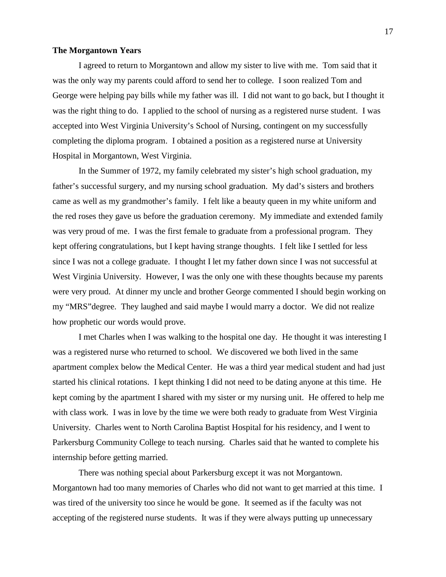## **The Morgantown Years**

I agreed to return to Morgantown and allow my sister to live with me. Tom said that it was the only way my parents could afford to send her to college. I soon realized Tom and George were helping pay bills while my father was ill. I did not want to go back, but I thought it was the right thing to do. I applied to the school of nursing as a registered nurse student. I was accepted into West Virginia University's School of Nursing, contingent on my successfully completing the diploma program. I obtained a position as a registered nurse at University Hospital in Morgantown, West Virginia.

In the Summer of 1972, my family celebrated my sister's high school graduation, my father's successful surgery, and my nursing school graduation. My dad's sisters and brothers came as well as my grandmother's family. I felt like a beauty queen in my white uniform and the red roses they gave us before the graduation ceremony. My immediate and extended family was very proud of me. I was the first female to graduate from a professional program. They kept offering congratulations, but I kept having strange thoughts. I felt like I settled for less since I was not a college graduate. I thought I let my father down since I was not successful at West Virginia University. However, I was the only one with these thoughts because my parents were very proud. At dinner my uncle and brother George commented I should begin working on my "MRS"degree. They laughed and said maybe I would marry a doctor. We did not realize how prophetic our words would prove.

I met Charles when I was walking to the hospital one day. He thought it was interesting I was a registered nurse who returned to school. We discovered we both lived in the same apartment complex below the Medical Center. He was a third year medical student and had just started his clinical rotations. I kept thinking I did not need to be dating anyone at this time. He kept coming by the apartment I shared with my sister or my nursing unit. He offered to help me with class work. I was in love by the time we were both ready to graduate from West Virginia University. Charles went to North Carolina Baptist Hospital for his residency, and I went to Parkersburg Community College to teach nursing. Charles said that he wanted to complete his internship before getting married.

There was nothing special about Parkersburg except it was not Morgantown. Morgantown had too many memories of Charles who did not want to get married at this time. I was tired of the university too since he would be gone. It seemed as if the faculty was not accepting of the registered nurse students. It was if they were always putting up unnecessary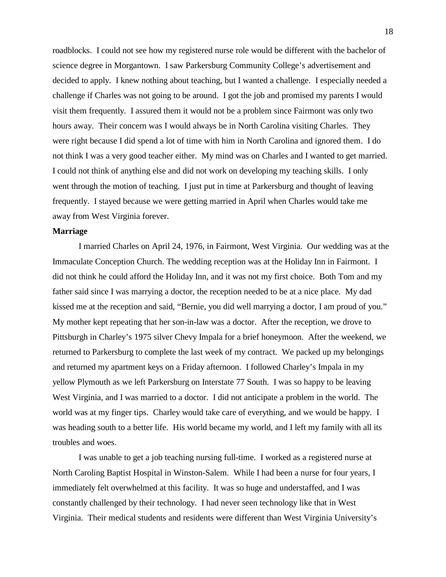roadblocks. I could not see how my registered nurse role would be different with the bachelor of science degree in Morgantown. I saw Parkersburg Community College's advertisement and decided to apply. I knew nothing about teaching, but I wanted a challenge. I especially needed a challenge if Charles was not going to be around. I got the job and promised my parents I would visit them frequently. I assured them it would not be a problem since Fairmont was only two hours away. Their concern was I would always be in North Carolina visiting Charles. They were right because I did spend a lot of time with him in North Carolina and ignored them. I do not think I was a very good teacher either. My mind was on Charles and I wanted to get married. I could not think of anything else and did not work on developing my teaching skills. I only went through the motion of teaching. I just put in time at Parkersburg and thought of leaving frequently. I stayed because we were getting married in April when Charles would take me away from West Virginia forever.

#### **Marriage**

I married Charles on April 24, 1976, in Fairmont, West Virginia. Our wedding was at the Immaculate Conception Church. The wedding reception was at the Holiday Inn in Fairmont. I did not think he could afford the Holiday Inn, and it was not my first choice. Both Tom and my father said since I was marrying a doctor, the reception needed to be at a nice place. My dad kissed me at the reception and said, "Bernie, you did well marrying a doctor, I am proud of you." My mother kept repeating that her son-in-law was a doctor. After the reception, we drove to Pittsburgh in Charley's 1975 silver Chevy Impala for a brief honeymoon. After the weekend, we returned to Parkersburg to complete the last week of my contract. We packed up my belongings and returned my apartment keys on a Friday afternoon. I followed Charley's Impala in my yellow Plymouth as we left Parkersburg on Interstate 77 South. I was so happy to be leaving West Virginia, and I was married to a doctor. I did not anticipate a problem in the world. The world was at my finger tips. Charley would take care of everything, and we would be happy. I was heading south to a better life. His world became my world, and I left my family with all its troubles and woes.

I was unable to get a job teaching nursing full-time. I worked as a registered nurse at North Caroling Baptist Hospital in Winston-Salem. While I had been a nurse for four years, I immediately felt overwhelmed at this facility. It was so huge and understaffed, and I was constantly challenged by their technology. I had never seen technology like that in West Virginia. Their medical students and residents were different than West Virginia University's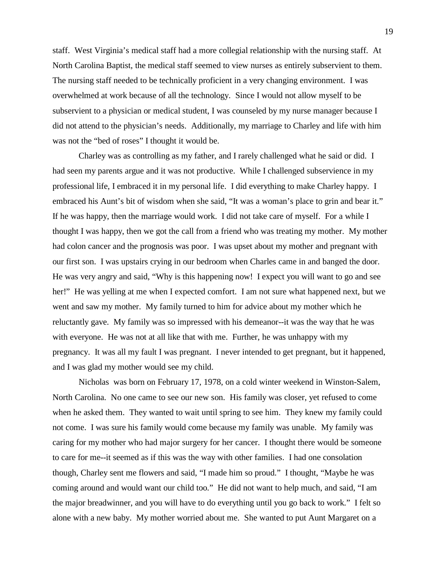staff. West Virginia's medical staff had a more collegial relationship with the nursing staff. At North Carolina Baptist, the medical staff seemed to view nurses as entirely subservient to them. The nursing staff needed to be technically proficient in a very changing environment. I was overwhelmed at work because of all the technology. Since I would not allow myself to be subservient to a physician or medical student, I was counseled by my nurse manager because I did not attend to the physician's needs. Additionally, my marriage to Charley and life with him was not the "bed of roses" I thought it would be.

Charley was as controlling as my father, and I rarely challenged what he said or did. I had seen my parents argue and it was not productive. While I challenged subservience in my professional life, I embraced it in my personal life. I did everything to make Charley happy. I embraced his Aunt's bit of wisdom when she said, "It was a woman's place to grin and bear it." If he was happy, then the marriage would work. I did not take care of myself. For a while I thought I was happy, then we got the call from a friend who was treating my mother. My mother had colon cancer and the prognosis was poor. I was upset about my mother and pregnant with our first son. I was upstairs crying in our bedroom when Charles came in and banged the door. He was very angry and said, "Why is this happening now! I expect you will want to go and see her!" He was yelling at me when I expected comfort. I am not sure what happened next, but we went and saw my mother. My family turned to him for advice about my mother which he reluctantly gave. My family was so impressed with his demeanor--it was the way that he was with everyone. He was not at all like that with me. Further, he was unhappy with my pregnancy. It was all my fault I was pregnant. I never intended to get pregnant, but it happened, and I was glad my mother would see my child.

Nicholas was born on February 17, 1978, on a cold winter weekend in Winston-Salem, North Carolina. No one came to see our new son. His family was closer, yet refused to come when he asked them. They wanted to wait until spring to see him. They knew my family could not come. I was sure his family would come because my family was unable. My family was caring for my mother who had major surgery for her cancer. I thought there would be someone to care for me--it seemed as if this was the way with other families. I had one consolation though, Charley sent me flowers and said, "I made him so proud." I thought, "Maybe he was coming around and would want our child too." He did not want to help much, and said, "I am the major breadwinner, and you will have to do everything until you go back to work." I felt so alone with a new baby. My mother worried about me. She wanted to put Aunt Margaret on a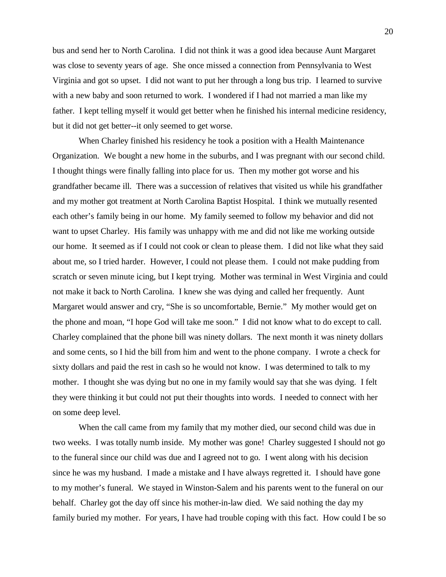bus and send her to North Carolina. I did not think it was a good idea because Aunt Margaret was close to seventy years of age. She once missed a connection from Pennsylvania to West Virginia and got so upset. I did not want to put her through a long bus trip. I learned to survive with a new baby and soon returned to work. I wondered if I had not married a man like my father. I kept telling myself it would get better when he finished his internal medicine residency, but it did not get better--it only seemed to get worse.

When Charley finished his residency he took a position with a Health Maintenance Organization. We bought a new home in the suburbs, and I was pregnant with our second child. I thought things were finally falling into place for us. Then my mother got worse and his grandfather became ill. There was a succession of relatives that visited us while his grandfather and my mother got treatment at North Carolina Baptist Hospital. I think we mutually resented each other's family being in our home. My family seemed to follow my behavior and did not want to upset Charley. His family was unhappy with me and did not like me working outside our home. It seemed as if I could not cook or clean to please them. I did not like what they said about me, so I tried harder. However, I could not please them. I could not make pudding from scratch or seven minute icing, but I kept trying. Mother was terminal in West Virginia and could not make it back to North Carolina. I knew she was dying and called her frequently. Aunt Margaret would answer and cry, "She is so uncomfortable, Bernie." My mother would get on the phone and moan, "I hope God will take me soon." I did not know what to do except to call. Charley complained that the phone bill was ninety dollars. The next month it was ninety dollars and some cents, so I hid the bill from him and went to the phone company. I wrote a check for sixty dollars and paid the rest in cash so he would not know. I was determined to talk to my mother. I thought she was dying but no one in my family would say that she was dying. I felt they were thinking it but could not put their thoughts into words. I needed to connect with her on some deep level.

When the call came from my family that my mother died, our second child was due in two weeks. I was totally numb inside. My mother was gone! Charley suggested I should not go to the funeral since our child was due and I agreed not to go. I went along with his decision since he was my husband. I made a mistake and I have always regretted it. I should have gone to my mother's funeral. We stayed in Winston-Salem and his parents went to the funeral on our behalf. Charley got the day off since his mother-in-law died. We said nothing the day my family buried my mother. For years, I have had trouble coping with this fact. How could I be so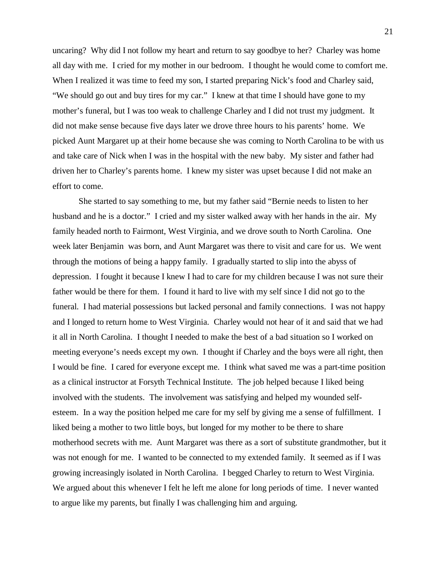uncaring? Why did I not follow my heart and return to say goodbye to her? Charley was home all day with me. I cried for my mother in our bedroom. I thought he would come to comfort me. When I realized it was time to feed my son, I started preparing Nick's food and Charley said, "We should go out and buy tires for my car." I knew at that time I should have gone to my mother's funeral, but I was too weak to challenge Charley and I did not trust my judgment. It did not make sense because five days later we drove three hours to his parents' home. We picked Aunt Margaret up at their home because she was coming to North Carolina to be with us and take care of Nick when I was in the hospital with the new baby. My sister and father had driven her to Charley's parents home. I knew my sister was upset because I did not make an effort to come.

She started to say something to me, but my father said "Bernie needs to listen to her husband and he is a doctor." I cried and my sister walked away with her hands in the air. My family headed north to Fairmont, West Virginia, and we drove south to North Carolina. One week later Benjamin was born, and Aunt Margaret was there to visit and care for us. We went through the motions of being a happy family. I gradually started to slip into the abyss of depression. I fought it because I knew I had to care for my children because I was not sure their father would be there for them. I found it hard to live with my self since I did not go to the funeral. I had material possessions but lacked personal and family connections. I was not happy and I longed to return home to West Virginia. Charley would not hear of it and said that we had it all in North Carolina. I thought I needed to make the best of a bad situation so I worked on meeting everyone's needs except my own. I thought if Charley and the boys were all right, then I would be fine. I cared for everyone except me. I think what saved me was a part-time position as a clinical instructor at Forsyth Technical Institute. The job helped because I liked being involved with the students. The involvement was satisfying and helped my wounded selfesteem. In a way the position helped me care for my self by giving me a sense of fulfillment. I liked being a mother to two little boys, but longed for my mother to be there to share motherhood secrets with me. Aunt Margaret was there as a sort of substitute grandmother, but it was not enough for me. I wanted to be connected to my extended family. It seemed as if I was growing increasingly isolated in North Carolina. I begged Charley to return to West Virginia. We argued about this whenever I felt he left me alone for long periods of time. I never wanted to argue like my parents, but finally I was challenging him and arguing.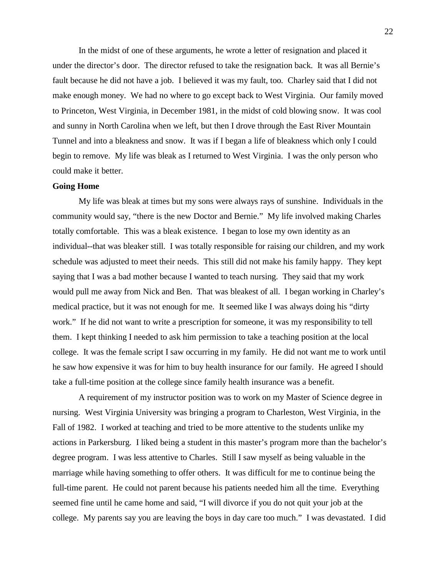In the midst of one of these arguments, he wrote a letter of resignation and placed it under the director's door. The director refused to take the resignation back. It was all Bernie's fault because he did not have a job. I believed it was my fault, too. Charley said that I did not make enough money. We had no where to go except back to West Virginia. Our family moved to Princeton, West Virginia, in December 1981, in the midst of cold blowing snow. It was cool and sunny in North Carolina when we left, but then I drove through the East River Mountain Tunnel and into a bleakness and snow. It was if I began a life of bleakness which only I could begin to remove. My life was bleak as I returned to West Virginia. I was the only person who could make it better.

#### **Going Home**

My life was bleak at times but my sons were always rays of sunshine. Individuals in the community would say, "there is the new Doctor and Bernie." My life involved making Charles totally comfortable. This was a bleak existence. I began to lose my own identity as an individual--that was bleaker still. I was totally responsible for raising our children, and my work schedule was adjusted to meet their needs. This still did not make his family happy. They kept saying that I was a bad mother because I wanted to teach nursing. They said that my work would pull me away from Nick and Ben. That was bleakest of all. I began working in Charley's medical practice, but it was not enough for me. It seemed like I was always doing his "dirty work." If he did not want to write a prescription for someone, it was my responsibility to tell them. I kept thinking I needed to ask him permission to take a teaching position at the local college. It was the female script I saw occurring in my family. He did not want me to work until he saw how expensive it was for him to buy health insurance for our family. He agreed I should take a full-time position at the college since family health insurance was a benefit.

A requirement of my instructor position was to work on my Master of Science degree in nursing. West Virginia University was bringing a program to Charleston, West Virginia, in the Fall of 1982. I worked at teaching and tried to be more attentive to the students unlike my actions in Parkersburg. I liked being a student in this master's program more than the bachelor's degree program. I was less attentive to Charles. Still I saw myself as being valuable in the marriage while having something to offer others. It was difficult for me to continue being the full-time parent. He could not parent because his patients needed him all the time. Everything seemed fine until he came home and said, "I will divorce if you do not quit your job at the college. My parents say you are leaving the boys in day care too much." I was devastated. I did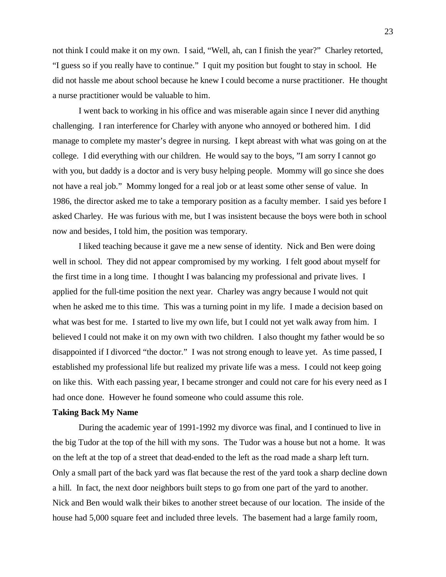not think I could make it on my own. I said, "Well, ah, can I finish the year?" Charley retorted, "I guess so if you really have to continue." I quit my position but fought to stay in school. He did not hassle me about school because he knew I could become a nurse practitioner. He thought a nurse practitioner would be valuable to him.

I went back to working in his office and was miserable again since I never did anything challenging. I ran interference for Charley with anyone who annoyed or bothered him. I did manage to complete my master's degree in nursing. I kept abreast with what was going on at the college. I did everything with our children. He would say to the boys, "I am sorry I cannot go with you, but daddy is a doctor and is very busy helping people. Mommy will go since she does not have a real job." Mommy longed for a real job or at least some other sense of value. In 1986, the director asked me to take a temporary position as a faculty member. I said yes before I asked Charley. He was furious with me, but I was insistent because the boys were both in school now and besides, I told him, the position was temporary.

I liked teaching because it gave me a new sense of identity. Nick and Ben were doing well in school. They did not appear compromised by my working. I felt good about myself for the first time in a long time. I thought I was balancing my professional and private lives. I applied for the full-time position the next year. Charley was angry because I would not quit when he asked me to this time. This was a turning point in my life. I made a decision based on what was best for me. I started to live my own life, but I could not yet walk away from him. I believed I could not make it on my own with two children. I also thought my father would be so disappointed if I divorced "the doctor." I was not strong enough to leave yet. As time passed, I established my professional life but realized my private life was a mess. I could not keep going on like this. With each passing year, I became stronger and could not care for his every need as I had once done. However he found someone who could assume this role.

## **Taking Back My Name**

During the academic year of 1991-1992 my divorce was final, and I continued to live in the big Tudor at the top of the hill with my sons. The Tudor was a house but not a home. It was on the left at the top of a street that dead-ended to the left as the road made a sharp left turn. Only a small part of the back yard was flat because the rest of the yard took a sharp decline down a hill. In fact, the next door neighbors built steps to go from one part of the yard to another. Nick and Ben would walk their bikes to another street because of our location. The inside of the house had 5,000 square feet and included three levels. The basement had a large family room,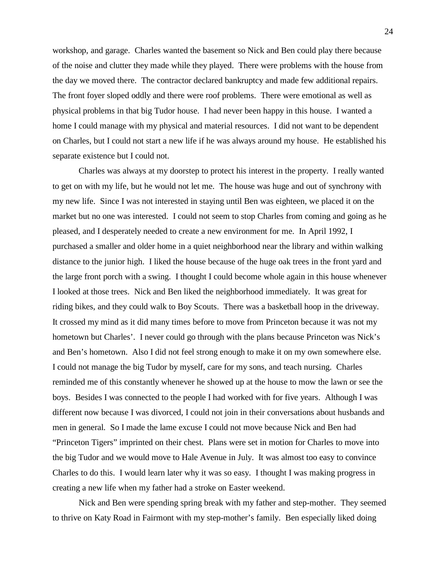workshop, and garage. Charles wanted the basement so Nick and Ben could play there because of the noise and clutter they made while they played. There were problems with the house from the day we moved there. The contractor declared bankruptcy and made few additional repairs. The front foyer sloped oddly and there were roof problems. There were emotional as well as physical problems in that big Tudor house. I had never been happy in this house. I wanted a home I could manage with my physical and material resources. I did not want to be dependent on Charles, but I could not start a new life if he was always around my house. He established his separate existence but I could not.

Charles was always at my doorstep to protect his interest in the property. I really wanted to get on with my life, but he would not let me. The house was huge and out of synchrony with my new life. Since I was not interested in staying until Ben was eighteen, we placed it on the market but no one was interested. I could not seem to stop Charles from coming and going as he pleased, and I desperately needed to create a new environment for me. In April 1992, I purchased a smaller and older home in a quiet neighborhood near the library and within walking distance to the junior high. I liked the house because of the huge oak trees in the front yard and the large front porch with a swing. I thought I could become whole again in this house whenever I looked at those trees. Nick and Ben liked the neighborhood immediately. It was great for riding bikes, and they could walk to Boy Scouts. There was a basketball hoop in the driveway. It crossed my mind as it did many times before to move from Princeton because it was not my hometown but Charles'. I never could go through with the plans because Princeton was Nick's and Ben's hometown. Also I did not feel strong enough to make it on my own somewhere else. I could not manage the big Tudor by myself, care for my sons, and teach nursing. Charles reminded me of this constantly whenever he showed up at the house to mow the lawn or see the boys. Besides I was connected to the people I had worked with for five years. Although I was different now because I was divorced, I could not join in their conversations about husbands and men in general. So I made the lame excuse I could not move because Nick and Ben had "Princeton Tigers" imprinted on their chest. Plans were set in motion for Charles to move into the big Tudor and we would move to Hale Avenue in July. It was almost too easy to convince Charles to do this. I would learn later why it was so easy. I thought I was making progress in creating a new life when my father had a stroke on Easter weekend.

Nick and Ben were spending spring break with my father and step-mother. They seemed to thrive on Katy Road in Fairmont with my step-mother's family. Ben especially liked doing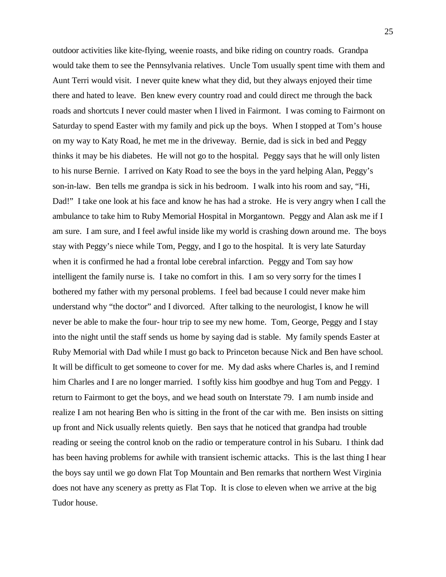outdoor activities like kite-flying, weenie roasts, and bike riding on country roads. Grandpa would take them to see the Pennsylvania relatives. Uncle Tom usually spent time with them and Aunt Terri would visit. I never quite knew what they did, but they always enjoyed their time there and hated to leave. Ben knew every country road and could direct me through the back roads and shortcuts I never could master when I lived in Fairmont. I was coming to Fairmont on Saturday to spend Easter with my family and pick up the boys. When I stopped at Tom's house on my way to Katy Road, he met me in the driveway. Bernie, dad is sick in bed and Peggy thinks it may be his diabetes. He will not go to the hospital. Peggy says that he will only listen to his nurse Bernie. I arrived on Katy Road to see the boys in the yard helping Alan, Peggy's son-in-law. Ben tells me grandpa is sick in his bedroom. I walk into his room and say, "Hi, Dad!" I take one look at his face and know he has had a stroke. He is very angry when I call the ambulance to take him to Ruby Memorial Hospital in Morgantown. Peggy and Alan ask me if I am sure. I am sure, and I feel awful inside like my world is crashing down around me. The boys stay with Peggy's niece while Tom, Peggy, and I go to the hospital. It is very late Saturday when it is confirmed he had a frontal lobe cerebral infarction. Peggy and Tom say how intelligent the family nurse is. I take no comfort in this. I am so very sorry for the times I bothered my father with my personal problems. I feel bad because I could never make him understand why "the doctor" and I divorced. After talking to the neurologist, I know he will never be able to make the four- hour trip to see my new home. Tom, George, Peggy and I stay into the night until the staff sends us home by saying dad is stable. My family spends Easter at Ruby Memorial with Dad while I must go back to Princeton because Nick and Ben have school. It will be difficult to get someone to cover for me. My dad asks where Charles is, and I remind him Charles and I are no longer married. I softly kiss him goodbye and hug Tom and Peggy. I return to Fairmont to get the boys, and we head south on Interstate 79. I am numb inside and realize I am not hearing Ben who is sitting in the front of the car with me. Ben insists on sitting up front and Nick usually relents quietly. Ben says that he noticed that grandpa had trouble reading or seeing the control knob on the radio or temperature control in his Subaru. I think dad has been having problems for awhile with transient ischemic attacks. This is the last thing I hear the boys say until we go down Flat Top Mountain and Ben remarks that northern West Virginia does not have any scenery as pretty as Flat Top. It is close to eleven when we arrive at the big Tudor house.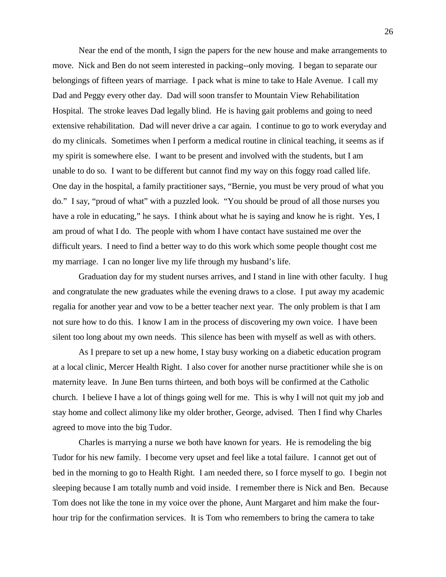Near the end of the month, I sign the papers for the new house and make arrangements to move. Nick and Ben do not seem interested in packing--only moving. I began to separate our belongings of fifteen years of marriage. I pack what is mine to take to Hale Avenue. I call my Dad and Peggy every other day. Dad will soon transfer to Mountain View Rehabilitation Hospital. The stroke leaves Dad legally blind. He is having gait problems and going to need extensive rehabilitation. Dad will never drive a car again. I continue to go to work everyday and do my clinicals. Sometimes when I perform a medical routine in clinical teaching, it seems as if my spirit is somewhere else. I want to be present and involved with the students, but I am unable to do so. I want to be different but cannot find my way on this foggy road called life. One day in the hospital, a family practitioner says, "Bernie, you must be very proud of what you do." I say, "proud of what" with a puzzled look. "You should be proud of all those nurses you have a role in educating," he says. I think about what he is saying and know he is right. Yes, I am proud of what I do. The people with whom I have contact have sustained me over the difficult years. I need to find a better way to do this work which some people thought cost me my marriage. I can no longer live my life through my husband's life.

Graduation day for my student nurses arrives, and I stand in line with other faculty. I hug and congratulate the new graduates while the evening draws to a close. I put away my academic regalia for another year and vow to be a better teacher next year. The only problem is that I am not sure how to do this. I know I am in the process of discovering my own voice. I have been silent too long about my own needs. This silence has been with myself as well as with others.

As I prepare to set up a new home, I stay busy working on a diabetic education program at a local clinic, Mercer Health Right. I also cover for another nurse practitioner while she is on maternity leave. In June Ben turns thirteen, and both boys will be confirmed at the Catholic church. I believe I have a lot of things going well for me. This is why I will not quit my job and stay home and collect alimony like my older brother, George, advised. Then I find why Charles agreed to move into the big Tudor.

Charles is marrying a nurse we both have known for years. He is remodeling the big Tudor for his new family. I become very upset and feel like a total failure. I cannot get out of bed in the morning to go to Health Right. I am needed there, so I force myself to go. I begin not sleeping because I am totally numb and void inside. I remember there is Nick and Ben. Because Tom does not like the tone in my voice over the phone, Aunt Margaret and him make the fourhour trip for the confirmation services. It is Tom who remembers to bring the camera to take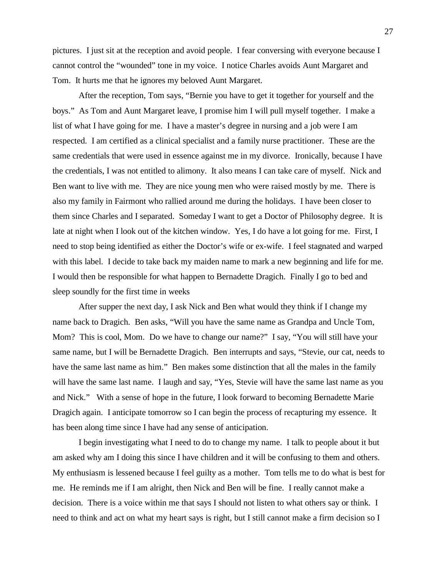pictures. I just sit at the reception and avoid people. I fear conversing with everyone because I cannot control the "wounded" tone in my voice. I notice Charles avoids Aunt Margaret and Tom. It hurts me that he ignores my beloved Aunt Margaret.

After the reception, Tom says, "Bernie you have to get it together for yourself and the boys." As Tom and Aunt Margaret leave, I promise him I will pull myself together. I make a list of what I have going for me. I have a master's degree in nursing and a job were I am respected. I am certified as a clinical specialist and a family nurse practitioner. These are the same credentials that were used in essence against me in my divorce. Ironically, because I have the credentials, I was not entitled to alimony. It also means I can take care of myself. Nick and Ben want to live with me. They are nice young men who were raised mostly by me. There is also my family in Fairmont who rallied around me during the holidays. I have been closer to them since Charles and I separated. Someday I want to get a Doctor of Philosophy degree. It is late at night when I look out of the kitchen window. Yes, I do have a lot going for me. First, I need to stop being identified as either the Doctor's wife or ex-wife. I feel stagnated and warped with this label. I decide to take back my maiden name to mark a new beginning and life for me. I would then be responsible for what happen to Bernadette Dragich. Finally I go to bed and sleep soundly for the first time in weeks

After supper the next day, I ask Nick and Ben what would they think if I change my name back to Dragich. Ben asks, "Will you have the same name as Grandpa and Uncle Tom, Mom? This is cool, Mom. Do we have to change our name?" I say, "You will still have your same name, but I will be Bernadette Dragich. Ben interrupts and says, "Stevie, our cat, needs to have the same last name as him." Ben makes some distinction that all the males in the family will have the same last name. I laugh and say, "Yes, Stevie will have the same last name as you and Nick." With a sense of hope in the future, I look forward to becoming Bernadette Marie Dragich again. I anticipate tomorrow so I can begin the process of recapturing my essence. It has been along time since I have had any sense of anticipation.

I begin investigating what I need to do to change my name. I talk to people about it but am asked why am I doing this since I have children and it will be confusing to them and others. My enthusiasm is lessened because I feel guilty as a mother. Tom tells me to do what is best for me. He reminds me if I am alright, then Nick and Ben will be fine. I really cannot make a decision. There is a voice within me that says I should not listen to what others say or think. I need to think and act on what my heart says is right, but I still cannot make a firm decision so I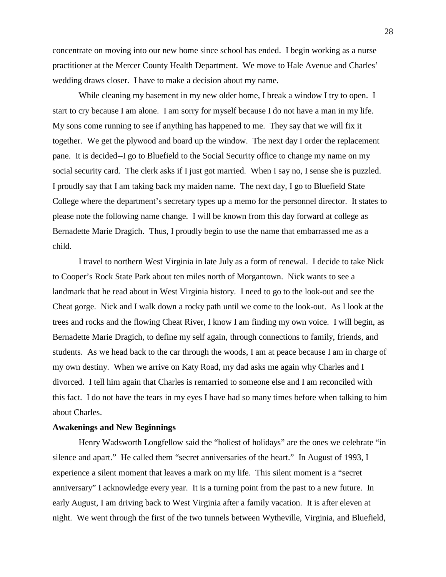concentrate on moving into our new home since school has ended. I begin working as a nurse practitioner at the Mercer County Health Department. We move to Hale Avenue and Charles' wedding draws closer. I have to make a decision about my name.

While cleaning my basement in my new older home, I break a window I try to open. I start to cry because I am alone. I am sorry for myself because I do not have a man in my life. My sons come running to see if anything has happened to me. They say that we will fix it together. We get the plywood and board up the window. The next day I order the replacement pane. It is decided--I go to Bluefield to the Social Security office to change my name on my social security card. The clerk asks if I just got married. When I say no, I sense she is puzzled. I proudly say that I am taking back my maiden name. The next day, I go to Bluefield State College where the department's secretary types up a memo for the personnel director. It states to please note the following name change. I will be known from this day forward at college as Bernadette Marie Dragich. Thus, I proudly begin to use the name that embarrassed me as a child.

I travel to northern West Virginia in late July as a form of renewal. I decide to take Nick to Cooper's Rock State Park about ten miles north of Morgantown. Nick wants to see a landmark that he read about in West Virginia history. I need to go to the look-out and see the Cheat gorge. Nick and I walk down a rocky path until we come to the look-out. As I look at the trees and rocks and the flowing Cheat River, I know I am finding my own voice. I will begin, as Bernadette Marie Dragich, to define my self again, through connections to family, friends, and students. As we head back to the car through the woods, I am at peace because I am in charge of my own destiny. When we arrive on Katy Road, my dad asks me again why Charles and I divorced. I tell him again that Charles is remarried to someone else and I am reconciled with this fact. I do not have the tears in my eyes I have had so many times before when talking to him about Charles.

#### **Awakenings and New Beginnings**

Henry Wadsworth Longfellow said the "holiest of holidays" are the ones we celebrate "in silence and apart." He called them "secret anniversaries of the heart." In August of 1993, I experience a silent moment that leaves a mark on my life. This silent moment is a "secret anniversary" I acknowledge every year. It is a turning point from the past to a new future. In early August, I am driving back to West Virginia after a family vacation. It is after eleven at night. We went through the first of the two tunnels between Wytheville, Virginia, and Bluefield,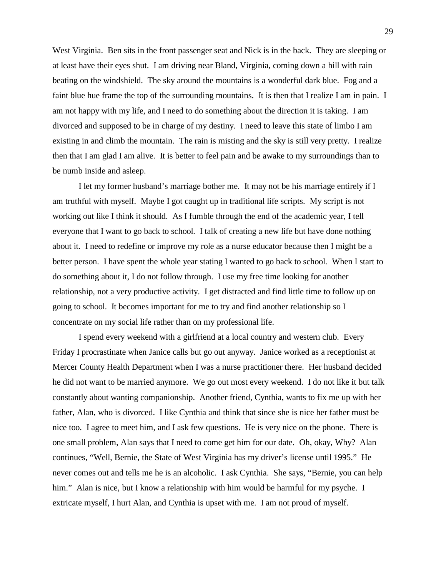West Virginia. Ben sits in the front passenger seat and Nick is in the back. They are sleeping or at least have their eyes shut. I am driving near Bland, Virginia, coming down a hill with rain beating on the windshield. The sky around the mountains is a wonderful dark blue. Fog and a faint blue hue frame the top of the surrounding mountains. It is then that I realize I am in pain. I am not happy with my life, and I need to do something about the direction it is taking. I am divorced and supposed to be in charge of my destiny. I need to leave this state of limbo I am existing in and climb the mountain. The rain is misting and the sky is still very pretty. I realize then that I am glad I am alive. It is better to feel pain and be awake to my surroundings than to be numb inside and asleep.

I let my former husband's marriage bother me. It may not be his marriage entirely if I am truthful with myself. Maybe I got caught up in traditional life scripts. My script is not working out like I think it should. As I fumble through the end of the academic year, I tell everyone that I want to go back to school. I talk of creating a new life but have done nothing about it. I need to redefine or improve my role as a nurse educator because then I might be a better person. I have spent the whole year stating I wanted to go back to school. When I start to do something about it, I do not follow through. I use my free time looking for another relationship, not a very productive activity. I get distracted and find little time to follow up on going to school. It becomes important for me to try and find another relationship so I concentrate on my social life rather than on my professional life.

I spend every weekend with a girlfriend at a local country and western club. Every Friday I procrastinate when Janice calls but go out anyway. Janice worked as a receptionist at Mercer County Health Department when I was a nurse practitioner there. Her husband decided he did not want to be married anymore. We go out most every weekend. I do not like it but talk constantly about wanting companionship. Another friend, Cynthia, wants to fix me up with her father, Alan, who is divorced. I like Cynthia and think that since she is nice her father must be nice too. I agree to meet him, and I ask few questions. He is very nice on the phone. There is one small problem, Alan says that I need to come get him for our date. Oh, okay, Why? Alan continues, "Well, Bernie, the State of West Virginia has my driver's license until 1995." He never comes out and tells me he is an alcoholic. I ask Cynthia. She says, "Bernie, you can help him." Alan is nice, but I know a relationship with him would be harmful for my psyche. I extricate myself, I hurt Alan, and Cynthia is upset with me. I am not proud of myself.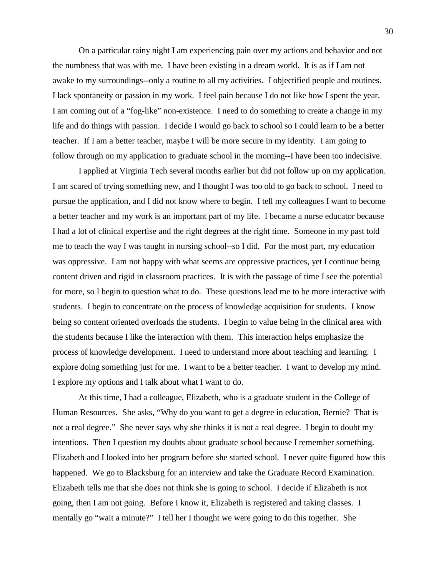On a particular rainy night I am experiencing pain over my actions and behavior and not the numbness that was with me. I have been existing in a dream world. It is as if I am not awake to my surroundings--only a routine to all my activities. I objectified people and routines. I lack spontaneity or passion in my work. I feel pain because I do not like how I spent the year. I am coming out of a "fog-like" non-existence. I need to do something to create a change in my life and do things with passion. I decide I would go back to school so I could learn to be a better teacher. If I am a better teacher, maybe I will be more secure in my identity. I am going to follow through on my application to graduate school in the morning--I have been too indecisive.

I applied at Virginia Tech several months earlier but did not follow up on my application. I am scared of trying something new, and I thought I was too old to go back to school. I need to pursue the application, and I did not know where to begin. I tell my colleagues I want to become a better teacher and my work is an important part of my life. I became a nurse educator because I had a lot of clinical expertise and the right degrees at the right time. Someone in my past told me to teach the way I was taught in nursing school--so I did. For the most part, my education was oppressive. I am not happy with what seems are oppressive practices, yet I continue being content driven and rigid in classroom practices. It is with the passage of time I see the potential for more, so I begin to question what to do. These questions lead me to be more interactive with students. I begin to concentrate on the process of knowledge acquisition for students. I know being so content oriented overloads the students. I begin to value being in the clinical area with the students because I like the interaction with them. This interaction helps emphasize the process of knowledge development. I need to understand more about teaching and learning. I explore doing something just for me. I want to be a better teacher. I want to develop my mind. I explore my options and I talk about what I want to do.

At this time, I had a colleague, Elizabeth, who is a graduate student in the College of Human Resources. She asks, "Why do you want to get a degree in education, Bernie? That is not a real degree." She never says why she thinks it is not a real degree. I begin to doubt my intentions. Then I question my doubts about graduate school because I remember something. Elizabeth and I looked into her program before she started school. I never quite figured how this happened. We go to Blacksburg for an interview and take the Graduate Record Examination. Elizabeth tells me that she does not think she is going to school. I decide if Elizabeth is not going, then I am not going. Before I know it, Elizabeth is registered and taking classes. I mentally go "wait a minute?" I tell her I thought we were going to do this together. She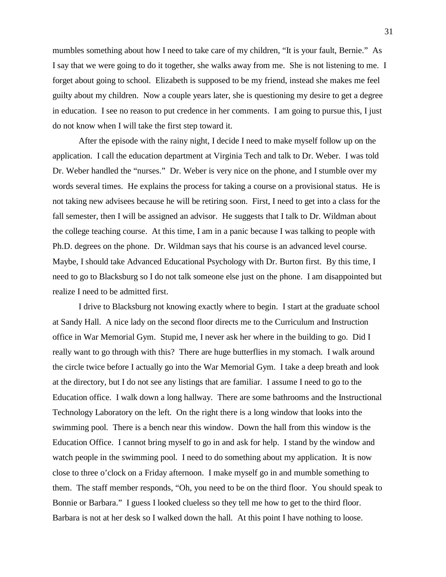mumbles something about how I need to take care of my children, "It is your fault, Bernie." As I say that we were going to do it together, she walks away from me. She is not listening to me. I forget about going to school. Elizabeth is supposed to be my friend, instead she makes me feel guilty about my children. Now a couple years later, she is questioning my desire to get a degree in education. I see no reason to put credence in her comments. I am going to pursue this, I just do not know when I will take the first step toward it.

After the episode with the rainy night, I decide I need to make myself follow up on the application. I call the education department at Virginia Tech and talk to Dr. Weber. I was told Dr. Weber handled the "nurses." Dr. Weber is very nice on the phone, and I stumble over my words several times. He explains the process for taking a course on a provisional status. He is not taking new advisees because he will be retiring soon. First, I need to get into a class for the fall semester, then I will be assigned an advisor. He suggests that I talk to Dr. Wildman about the college teaching course. At this time, I am in a panic because I was talking to people with Ph.D. degrees on the phone. Dr. Wildman says that his course is an advanced level course. Maybe, I should take Advanced Educational Psychology with Dr. Burton first. By this time, I need to go to Blacksburg so I do not talk someone else just on the phone. I am disappointed but realize I need to be admitted first.

I drive to Blacksburg not knowing exactly where to begin. I start at the graduate school at Sandy Hall. A nice lady on the second floor directs me to the Curriculum and Instruction office in War Memorial Gym. Stupid me, I never ask her where in the building to go. Did I really want to go through with this? There are huge butterflies in my stomach. I walk around the circle twice before I actually go into the War Memorial Gym. I take a deep breath and look at the directory, but I do not see any listings that are familiar. I assume I need to go to the Education office. I walk down a long hallway. There are some bathrooms and the Instructional Technology Laboratory on the left. On the right there is a long window that looks into the swimming pool. There is a bench near this window. Down the hall from this window is the Education Office. I cannot bring myself to go in and ask for help. I stand by the window and watch people in the swimming pool. I need to do something about my application. It is now close to three o'clock on a Friday afternoon. I make myself go in and mumble something to them. The staff member responds, "Oh, you need to be on the third floor. You should speak to Bonnie or Barbara." I guess I looked clueless so they tell me how to get to the third floor. Barbara is not at her desk so I walked down the hall. At this point I have nothing to loose.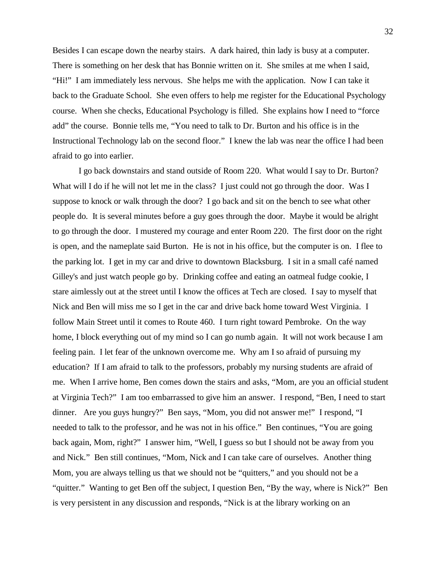Besides I can escape down the nearby stairs. A dark haired, thin lady is busy at a computer. There is something on her desk that has Bonnie written on it. She smiles at me when I said, "Hi!" I am immediately less nervous. She helps me with the application. Now I can take it back to the Graduate School. She even offers to help me register for the Educational Psychology course. When she checks, Educational Psychology is filled. She explains how I need to "force add" the course. Bonnie tells me, "You need to talk to Dr. Burton and his office is in the Instructional Technology lab on the second floor." I knew the lab was near the office I had been afraid to go into earlier.

I go back downstairs and stand outside of Room 220. What would I say to Dr. Burton? What will I do if he will not let me in the class? I just could not go through the door. Was I suppose to knock or walk through the door? I go back and sit on the bench to see what other people do. It is several minutes before a guy goes through the door. Maybe it would be alright to go through the door. I mustered my courage and enter Room 220. The first door on the right is open, and the nameplate said Burton. He is not in his office, but the computer is on. I flee to the parking lot. I get in my car and drive to downtown Blacksburg. I sit in a small café named Gilley's and just watch people go by. Drinking coffee and eating an oatmeal fudge cookie, I stare aimlessly out at the street until I know the offices at Tech are closed. I say to myself that Nick and Ben will miss me so I get in the car and drive back home toward West Virginia. I follow Main Street until it comes to Route 460. I turn right toward Pembroke. On the way home, I block everything out of my mind so I can go numb again. It will not work because I am feeling pain. I let fear of the unknown overcome me. Why am I so afraid of pursuing my education? If I am afraid to talk to the professors, probably my nursing students are afraid of me. When I arrive home, Ben comes down the stairs and asks, "Mom, are you an official student at Virginia Tech?" I am too embarrassed to give him an answer. I respond, "Ben, I need to start dinner. Are you guys hungry?" Ben says, "Mom, you did not answer me!" I respond, "I needed to talk to the professor, and he was not in his office." Ben continues, "You are going back again, Mom, right?" I answer him, "Well, I guess so but I should not be away from you and Nick." Ben still continues, "Mom, Nick and I can take care of ourselves. Another thing Mom, you are always telling us that we should not be "quitters," and you should not be a "quitter." Wanting to get Ben off the subject, I question Ben, "By the way, where is Nick?" Ben is very persistent in any discussion and responds, "Nick is at the library working on an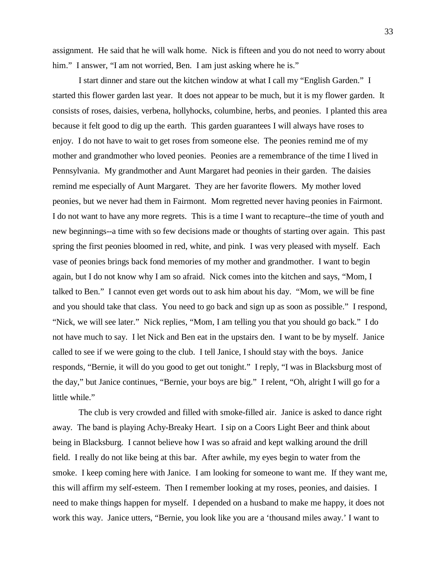assignment. He said that he will walk home. Nick is fifteen and you do not need to worry about him." I answer, "I am not worried, Ben. I am just asking where he is."

I start dinner and stare out the kitchen window at what I call my "English Garden." I started this flower garden last year. It does not appear to be much, but it is my flower garden. It consists of roses, daisies, verbena, hollyhocks, columbine, herbs, and peonies. I planted this area because it felt good to dig up the earth. This garden guarantees I will always have roses to enjoy. I do not have to wait to get roses from someone else. The peonies remind me of my mother and grandmother who loved peonies. Peonies are a remembrance of the time I lived in Pennsylvania. My grandmother and Aunt Margaret had peonies in their garden. The daisies remind me especially of Aunt Margaret. They are her favorite flowers. My mother loved peonies, but we never had them in Fairmont. Mom regretted never having peonies in Fairmont. I do not want to have any more regrets. This is a time I want to recapture--the time of youth and new beginnings--a time with so few decisions made or thoughts of starting over again. This past spring the first peonies bloomed in red, white, and pink. I was very pleased with myself. Each vase of peonies brings back fond memories of my mother and grandmother. I want to begin again, but I do not know why I am so afraid. Nick comes into the kitchen and says, "Mom, I talked to Ben." I cannot even get words out to ask him about his day. "Mom, we will be fine and you should take that class. You need to go back and sign up as soon as possible." I respond, "Nick, we will see later." Nick replies, "Mom, I am telling you that you should go back." I do not have much to say. I let Nick and Ben eat in the upstairs den. I want to be by myself. Janice called to see if we were going to the club. I tell Janice, I should stay with the boys. Janice responds, "Bernie, it will do you good to get out tonight." I reply, "I was in Blacksburg most of the day," but Janice continues, "Bernie, your boys are big." I relent, "Oh, alright I will go for a little while."

The club is very crowded and filled with smoke-filled air. Janice is asked to dance right away. The band is playing Achy-Breaky Heart. I sip on a Coors Light Beer and think about being in Blacksburg. I cannot believe how I was so afraid and kept walking around the drill field. I really do not like being at this bar. After awhile, my eyes begin to water from the smoke. I keep coming here with Janice. I am looking for someone to want me. If they want me, this will affirm my self-esteem. Then I remember looking at my roses, peonies, and daisies. I need to make things happen for myself. I depended on a husband to make me happy, it does not work this way. Janice utters, "Bernie, you look like you are a 'thousand miles away.' I want to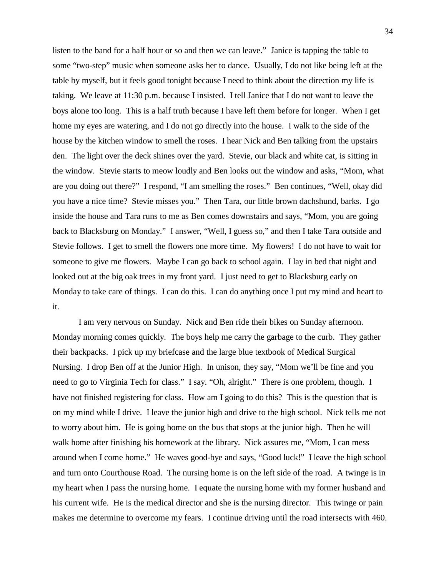listen to the band for a half hour or so and then we can leave." Janice is tapping the table to some "two-step" music when someone asks her to dance. Usually, I do not like being left at the table by myself, but it feels good tonight because I need to think about the direction my life is taking. We leave at 11:30 p.m. because I insisted. I tell Janice that I do not want to leave the boys alone too long. This is a half truth because I have left them before for longer. When I get home my eyes are watering, and I do not go directly into the house. I walk to the side of the house by the kitchen window to smell the roses. I hear Nick and Ben talking from the upstairs den. The light over the deck shines over the yard. Stevie, our black and white cat, is sitting in the window. Stevie starts to meow loudly and Ben looks out the window and asks, "Mom, what are you doing out there?" I respond, "I am smelling the roses." Ben continues, "Well, okay did you have a nice time? Stevie misses you." Then Tara, our little brown dachshund, barks. I go inside the house and Tara runs to me as Ben comes downstairs and says, "Mom, you are going back to Blacksburg on Monday." I answer, "Well, I guess so," and then I take Tara outside and Stevie follows. I get to smell the flowers one more time. My flowers! I do not have to wait for someone to give me flowers. Maybe I can go back to school again. I lay in bed that night and looked out at the big oak trees in my front yard. I just need to get to Blacksburg early on Monday to take care of things. I can do this. I can do anything once I put my mind and heart to it.

I am very nervous on Sunday. Nick and Ben ride their bikes on Sunday afternoon. Monday morning comes quickly. The boys help me carry the garbage to the curb. They gather their backpacks. I pick up my briefcase and the large blue textbook of Medical Surgical Nursing. I drop Ben off at the Junior High. In unison, they say, "Mom we'll be fine and you need to go to Virginia Tech for class." I say. "Oh, alright." There is one problem, though. I have not finished registering for class. How am I going to do this? This is the question that is on my mind while I drive. I leave the junior high and drive to the high school. Nick tells me not to worry about him. He is going home on the bus that stops at the junior high. Then he will walk home after finishing his homework at the library. Nick assures me, "Mom, I can mess around when I come home." He waves good-bye and says, "Good luck!" I leave the high school and turn onto Courthouse Road. The nursing home is on the left side of the road. A twinge is in my heart when I pass the nursing home. I equate the nursing home with my former husband and his current wife. He is the medical director and she is the nursing director. This twinge or pain makes me determine to overcome my fears. I continue driving until the road intersects with 460.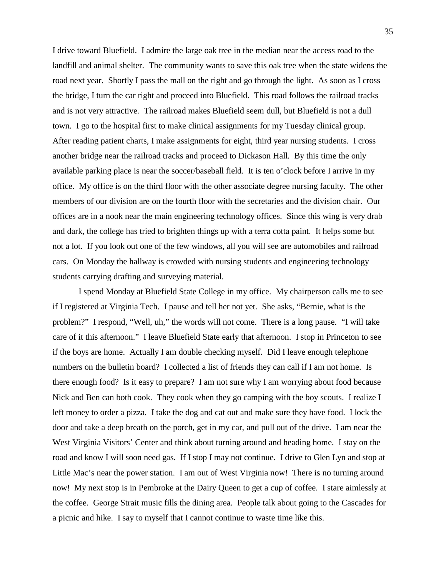I drive toward Bluefield. I admire the large oak tree in the median near the access road to the landfill and animal shelter. The community wants to save this oak tree when the state widens the road next year. Shortly I pass the mall on the right and go through the light. As soon as I cross the bridge, I turn the car right and proceed into Bluefield. This road follows the railroad tracks and is not very attractive. The railroad makes Bluefield seem dull, but Bluefield is not a dull town. I go to the hospital first to make clinical assignments for my Tuesday clinical group. After reading patient charts, I make assignments for eight, third year nursing students. I cross another bridge near the railroad tracks and proceed to Dickason Hall. By this time the only available parking place is near the soccer/baseball field. It is ten o'clock before I arrive in my office. My office is on the third floor with the other associate degree nursing faculty. The other members of our division are on the fourth floor with the secretaries and the division chair. Our offices are in a nook near the main engineering technology offices. Since this wing is very drab and dark, the college has tried to brighten things up with a terra cotta paint. It helps some but not a lot. If you look out one of the few windows, all you will see are automobiles and railroad cars. On Monday the hallway is crowded with nursing students and engineering technology students carrying drafting and surveying material.

I spend Monday at Bluefield State College in my office. My chairperson calls me to see if I registered at Virginia Tech. I pause and tell her not yet. She asks, "Bernie, what is the problem?" I respond, "Well, uh," the words will not come. There is a long pause. "I will take care of it this afternoon." I leave Bluefield State early that afternoon. I stop in Princeton to see if the boys are home. Actually I am double checking myself. Did I leave enough telephone numbers on the bulletin board? I collected a list of friends they can call if I am not home. Is there enough food? Is it easy to prepare? I am not sure why I am worrying about food because Nick and Ben can both cook. They cook when they go camping with the boy scouts. I realize I left money to order a pizza. I take the dog and cat out and make sure they have food. I lock the door and take a deep breath on the porch, get in my car, and pull out of the drive. I am near the West Virginia Visitors' Center and think about turning around and heading home. I stay on the road and know I will soon need gas. If I stop I may not continue. I drive to Glen Lyn and stop at Little Mac's near the power station. I am out of West Virginia now! There is no turning around now! My next stop is in Pembroke at the Dairy Queen to get a cup of coffee. I stare aimlessly at the coffee. George Strait music fills the dining area. People talk about going to the Cascades for a picnic and hike. I say to myself that I cannot continue to waste time like this.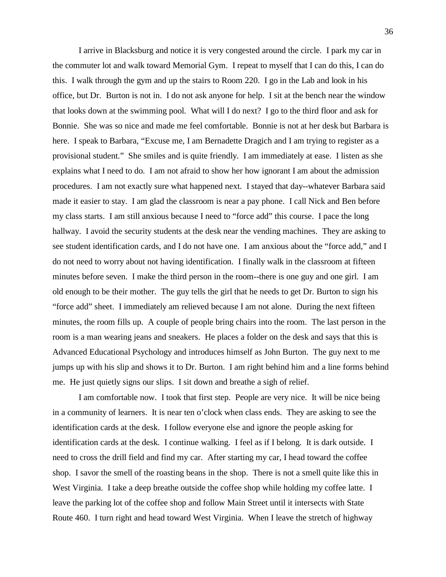I arrive in Blacksburg and notice it is very congested around the circle. I park my car in the commuter lot and walk toward Memorial Gym. I repeat to myself that I can do this, I can do this. I walk through the gym and up the stairs to Room 220. I go in the Lab and look in his office, but Dr. Burton is not in. I do not ask anyone for help. I sit at the bench near the window that looks down at the swimming pool. What will I do next? I go to the third floor and ask for Bonnie. She was so nice and made me feel comfortable. Bonnie is not at her desk but Barbara is here. I speak to Barbara, "Excuse me, I am Bernadette Dragich and I am trying to register as a provisional student." She smiles and is quite friendly. I am immediately at ease. I listen as she explains what I need to do. I am not afraid to show her how ignorant I am about the admission procedures. I am not exactly sure what happened next. I stayed that day--whatever Barbara said made it easier to stay. I am glad the classroom is near a pay phone. I call Nick and Ben before my class starts. I am still anxious because I need to "force add" this course. I pace the long hallway. I avoid the security students at the desk near the vending machines. They are asking to see student identification cards, and I do not have one. I am anxious about the "force add," and I do not need to worry about not having identification. I finally walk in the classroom at fifteen minutes before seven. I make the third person in the room--there is one guy and one girl. I am old enough to be their mother. The guy tells the girl that he needs to get Dr. Burton to sign his "force add" sheet. I immediately am relieved because I am not alone. During the next fifteen minutes, the room fills up. A couple of people bring chairs into the room. The last person in the room is a man wearing jeans and sneakers. He places a folder on the desk and says that this is Advanced Educational Psychology and introduces himself as John Burton. The guy next to me jumps up with his slip and shows it to Dr. Burton. I am right behind him and a line forms behind me. He just quietly signs our slips. I sit down and breathe a sigh of relief.

I am comfortable now. I took that first step. People are very nice. It will be nice being in a community of learners. It is near ten o'clock when class ends. They are asking to see the identification cards at the desk. I follow everyone else and ignore the people asking for identification cards at the desk. I continue walking. I feel as if I belong. It is dark outside. I need to cross the drill field and find my car. After starting my car, I head toward the coffee shop. I savor the smell of the roasting beans in the shop. There is not a smell quite like this in West Virginia. I take a deep breathe outside the coffee shop while holding my coffee latte. I leave the parking lot of the coffee shop and follow Main Street until it intersects with State Route 460. I turn right and head toward West Virginia. When I leave the stretch of highway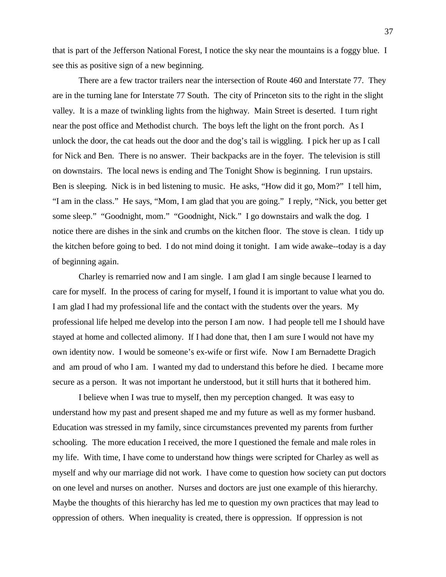that is part of the Jefferson National Forest, I notice the sky near the mountains is a foggy blue. I see this as positive sign of a new beginning.

There are a few tractor trailers near the intersection of Route 460 and Interstate 77. They are in the turning lane for Interstate 77 South. The city of Princeton sits to the right in the slight valley. It is a maze of twinkling lights from the highway. Main Street is deserted. I turn right near the post office and Methodist church. The boys left the light on the front porch. As I unlock the door, the cat heads out the door and the dog's tail is wiggling. I pick her up as I call for Nick and Ben. There is no answer. Their backpacks are in the foyer. The television is still on downstairs. The local news is ending and The Tonight Show is beginning. I run upstairs. Ben is sleeping. Nick is in bed listening to music. He asks, "How did it go, Mom?" I tell him, "I am in the class." He says, "Mom, I am glad that you are going." I reply, "Nick, you better get some sleep." "Goodnight, mom." "Goodnight, Nick." I go downstairs and walk the dog. I notice there are dishes in the sink and crumbs on the kitchen floor. The stove is clean. I tidy up the kitchen before going to bed. I do not mind doing it tonight. I am wide awake--today is a day of beginning again.

Charley is remarried now and I am single. I am glad I am single because I learned to care for myself. In the process of caring for myself, I found it is important to value what you do. I am glad I had my professional life and the contact with the students over the years. My professional life helped me develop into the person I am now. I had people tell me I should have stayed at home and collected alimony. If I had done that, then I am sure I would not have my own identity now. I would be someone's ex-wife or first wife. Now I am Bernadette Dragich and am proud of who I am. I wanted my dad to understand this before he died. I became more secure as a person. It was not important he understood, but it still hurts that it bothered him.

I believe when I was true to myself, then my perception changed. It was easy to understand how my past and present shaped me and my future as well as my former husband. Education was stressed in my family, since circumstances prevented my parents from further schooling. The more education I received, the more I questioned the female and male roles in my life. With time, I have come to understand how things were scripted for Charley as well as myself and why our marriage did not work. I have come to question how society can put doctors on one level and nurses on another. Nurses and doctors are just one example of this hierarchy. Maybe the thoughts of this hierarchy has led me to question my own practices that may lead to oppression of others. When inequality is created, there is oppression. If oppression is not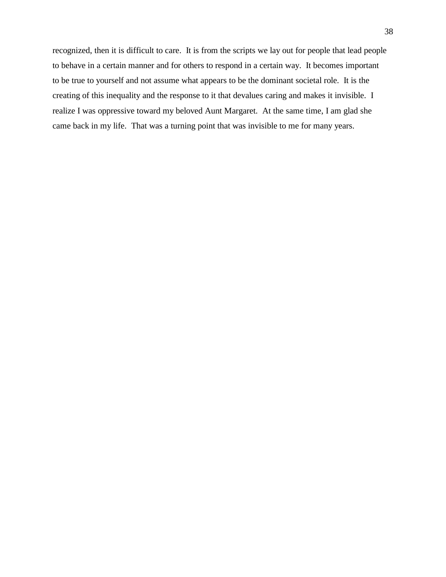recognized, then it is difficult to care. It is from the scripts we lay out for people that lead people to behave in a certain manner and for others to respond in a certain way. It becomes important to be true to yourself and not assume what appears to be the dominant societal role. It is the creating of this inequality and the response to it that devalues caring and makes it invisible. I realize I was oppressive toward my beloved Aunt Margaret. At the same time, I am glad she came back in my life. That was a turning point that was invisible to me for many years.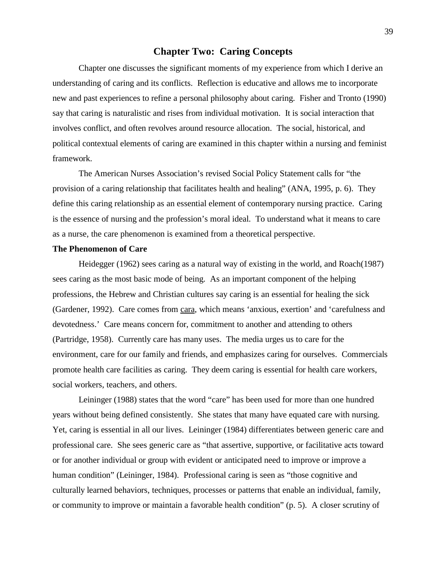# **Chapter Two: Caring Concepts**

Chapter one discusses the significant moments of my experience from which I derive an understanding of caring and its conflicts. Reflection is educative and allows me to incorporate new and past experiences to refine a personal philosophy about caring. Fisher and Tronto (1990) say that caring is naturalistic and rises from individual motivation. It is social interaction that involves conflict, and often revolves around resource allocation. The social, historical, and political contextual elements of caring are examined in this chapter within a nursing and feminist framework.

The American Nurses Association's revised Social Policy Statement calls for "the provision of a caring relationship that facilitates health and healing" (ANA, 1995, p. 6). They define this caring relationship as an essential element of contemporary nursing practice. Caring is the essence of nursing and the profession's moral ideal. To understand what it means to care as a nurse, the care phenomenon is examined from a theoretical perspective.

#### **The Phenomenon of Care**

Heidegger (1962) sees caring as a natural way of existing in the world, and Roach(1987) sees caring as the most basic mode of being. As an important component of the helping professions, the Hebrew and Christian cultures say caring is an essential for healing the sick (Gardener, 1992). Care comes from cara, which means 'anxious, exertion' and 'carefulness and devotedness.' Care means concern for, commitment to another and attending to others (Partridge, 1958). Currently care has many uses. The media urges us to care for the environment, care for our family and friends, and emphasizes caring for ourselves. Commercials promote health care facilities as caring. They deem caring is essential for health care workers, social workers, teachers, and others.

Leininger (1988) states that the word "care" has been used for more than one hundred years without being defined consistently. She states that many have equated care with nursing. Yet, caring is essential in all our lives. Leininger (1984) differentiates between generic care and professional care. She sees generic care as "that assertive, supportive, or facilitative acts toward or for another individual or group with evident or anticipated need to improve or improve a human condition" (Leininger, 1984). Professional caring is seen as "those cognitive and culturally learned behaviors, techniques, processes or patterns that enable an individual, family, or community to improve or maintain a favorable health condition" (p. 5). A closer scrutiny of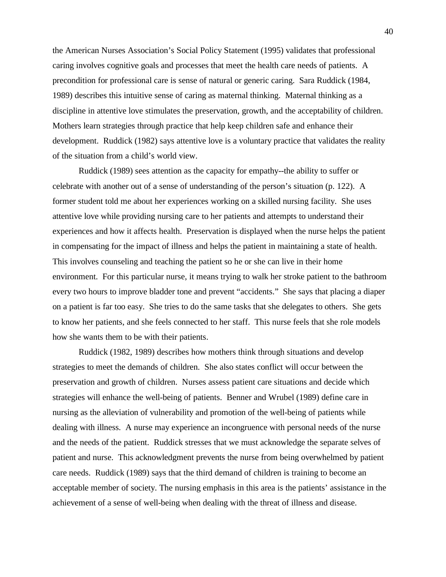the American Nurses Association's Social Policy Statement (1995) validates that professional caring involves cognitive goals and processes that meet the health care needs of patients. A precondition for professional care is sense of natural or generic caring. Sara Ruddick (1984, 1989) describes this intuitive sense of caring as maternal thinking. Maternal thinking as a discipline in attentive love stimulates the preservation, growth, and the acceptability of children. Mothers learn strategies through practice that help keep children safe and enhance their development. Ruddick (1982) says attentive love is a voluntary practice that validates the reality of the situation from a child's world view.

Ruddick (1989) sees attention as the capacity for empathy--the ability to suffer or celebrate with another out of a sense of understanding of the person's situation (p. 122). A former student told me about her experiences working on a skilled nursing facility. She uses attentive love while providing nursing care to her patients and attempts to understand their experiences and how it affects health. Preservation is displayed when the nurse helps the patient in compensating for the impact of illness and helps the patient in maintaining a state of health. This involves counseling and teaching the patient so he or she can live in their home environment. For this particular nurse, it means trying to walk her stroke patient to the bathroom every two hours to improve bladder tone and prevent "accidents." She says that placing a diaper on a patient is far too easy. She tries to do the same tasks that she delegates to others. She gets to know her patients, and she feels connected to her staff. This nurse feels that she role models how she wants them to be with their patients.

Ruddick (1982, 1989) describes how mothers think through situations and develop strategies to meet the demands of children. She also states conflict will occur between the preservation and growth of children. Nurses assess patient care situations and decide which strategies will enhance the well-being of patients. Benner and Wrubel (1989) define care in nursing as the alleviation of vulnerability and promotion of the well-being of patients while dealing with illness. A nurse may experience an incongruence with personal needs of the nurse and the needs of the patient. Ruddick stresses that we must acknowledge the separate selves of patient and nurse. This acknowledgment prevents the nurse from being overwhelmed by patient care needs. Ruddick (1989) says that the third demand of children is training to become an acceptable member of society. The nursing emphasis in this area is the patients' assistance in the achievement of a sense of well-being when dealing with the threat of illness and disease.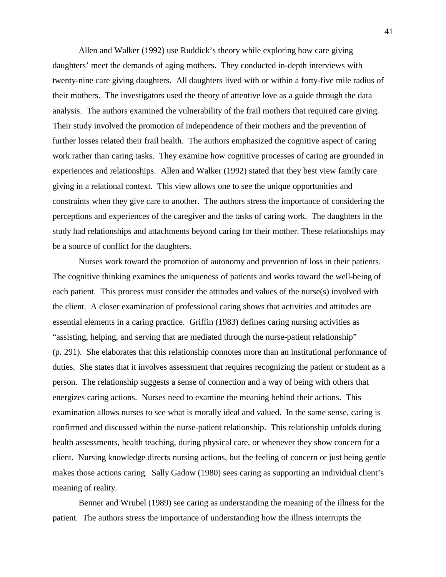Allen and Walker (1992) use Ruddick's theory while exploring how care giving daughters' meet the demands of aging mothers. They conducted in-depth interviews with twenty-nine care giving daughters. All daughters lived with or within a forty-five mile radius of their mothers. The investigators used the theory of attentive love as a guide through the data analysis. The authors examined the vulnerability of the frail mothers that required care giving. Their study involved the promotion of independence of their mothers and the prevention of further losses related their frail health. The authors emphasized the cognitive aspect of caring work rather than caring tasks. They examine how cognitive processes of caring are grounded in experiences and relationships. Allen and Walker (1992) stated that they best view family care giving in a relational context. This view allows one to see the unique opportunities and constraints when they give care to another. The authors stress the importance of considering the perceptions and experiences of the caregiver and the tasks of caring work. The daughters in the study had relationships and attachments beyond caring for their mother. These relationships may be a source of conflict for the daughters.

Nurses work toward the promotion of autonomy and prevention of loss in their patients. The cognitive thinking examines the uniqueness of patients and works toward the well-being of each patient. This process must consider the attitudes and values of the nurse(s) involved with the client. A closer examination of professional caring shows that activities and attitudes are essential elements in a caring practice. Griffin (1983) defines caring nursing activities as "assisting, helping, and serving that are mediated through the nurse-patient relationship" (p. 291). She elaborates that this relationship connotes more than an institutional performance of duties. She states that it involves assessment that requires recognizing the patient or student as a person. The relationship suggests a sense of connection and a way of being with others that energizes caring actions. Nurses need to examine the meaning behind their actions. This examination allows nurses to see what is morally ideal and valued. In the same sense, caring is confirmed and discussed within the nurse-patient relationship. This relationship unfolds during health assessments, health teaching, during physical care, or whenever they show concern for a client. Nursing knowledge directs nursing actions, but the feeling of concern or just being gentle makes those actions caring. Sally Gadow (1980) sees caring as supporting an individual client's meaning of reality.

Benner and Wrubel (1989) see caring as understanding the meaning of the illness for the patient. The authors stress the importance of understanding how the illness interrupts the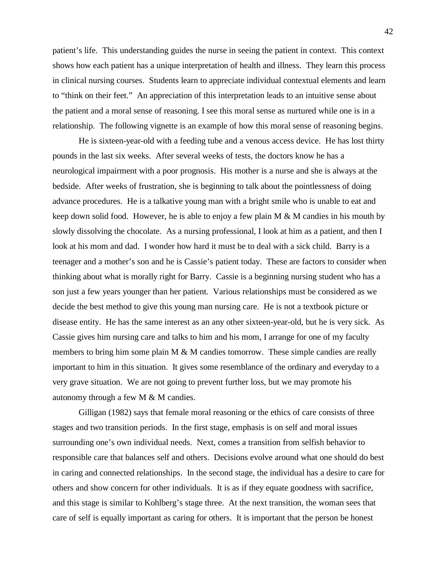patient's life. This understanding guides the nurse in seeing the patient in context. This context shows how each patient has a unique interpretation of health and illness. They learn this process in clinical nursing courses. Students learn to appreciate individual contextual elements and learn to "think on their feet." An appreciation of this interpretation leads to an intuitive sense about the patient and a moral sense of reasoning. I see this moral sense as nurtured while one is in a relationship. The following vignette is an example of how this moral sense of reasoning begins.

He is sixteen-year-old with a feeding tube and a venous access device. He has lost thirty pounds in the last six weeks. After several weeks of tests, the doctors know he has a neurological impairment with a poor prognosis. His mother is a nurse and she is always at the bedside. After weeks of frustration, she is beginning to talk about the pointlessness of doing advance procedures. He is a talkative young man with a bright smile who is unable to eat and keep down solid food. However, he is able to enjoy a few plain M & M candies in his mouth by slowly dissolving the chocolate. As a nursing professional, I look at him as a patient, and then I look at his mom and dad. I wonder how hard it must be to deal with a sick child. Barry is a teenager and a mother's son and he is Cassie's patient today. These are factors to consider when thinking about what is morally right for Barry. Cassie is a beginning nursing student who has a son just a few years younger than her patient. Various relationships must be considered as we decide the best method to give this young man nursing care. He is not a textbook picture or disease entity. He has the same interest as an any other sixteen-year-old, but he is very sick. As Cassie gives him nursing care and talks to him and his mom, I arrange for one of my faculty members to bring him some plain M & M candies tomorrow. These simple candies are really important to him in this situation. It gives some resemblance of the ordinary and everyday to a very grave situation. We are not going to prevent further loss, but we may promote his autonomy through a few M & M candies.

Gilligan (1982) says that female moral reasoning or the ethics of care consists of three stages and two transition periods. In the first stage, emphasis is on self and moral issues surrounding one's own individual needs. Next, comes a transition from selfish behavior to responsible care that balances self and others. Decisions evolve around what one should do best in caring and connected relationships. In the second stage, the individual has a desire to care for others and show concern for other individuals. It is as if they equate goodness with sacrifice, and this stage is similar to Kohlberg's stage three. At the next transition, the woman sees that care of self is equally important as caring for others. It is important that the person be honest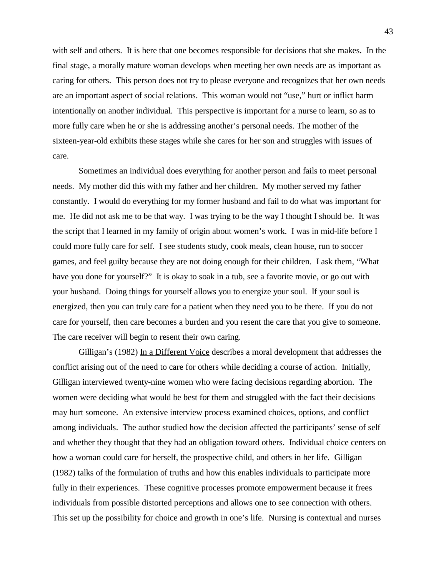with self and others. It is here that one becomes responsible for decisions that she makes. In the final stage, a morally mature woman develops when meeting her own needs are as important as caring for others. This person does not try to please everyone and recognizes that her own needs are an important aspect of social relations. This woman would not "use," hurt or inflict harm intentionally on another individual. This perspective is important for a nurse to learn, so as to more fully care when he or she is addressing another's personal needs. The mother of the sixteen-year-old exhibits these stages while she cares for her son and struggles with issues of care.

Sometimes an individual does everything for another person and fails to meet personal needs. My mother did this with my father and her children. My mother served my father constantly. I would do everything for my former husband and fail to do what was important for me. He did not ask me to be that way. I was trying to be the way I thought I should be. It was the script that I learned in my family of origin about women's work. I was in mid-life before I could more fully care for self. I see students study, cook meals, clean house, run to soccer games, and feel guilty because they are not doing enough for their children. I ask them, "What have you done for yourself?" It is okay to soak in a tub, see a favorite movie, or go out with your husband. Doing things for yourself allows you to energize your soul. If your soul is energized, then you can truly care for a patient when they need you to be there. If you do not care for yourself, then care becomes a burden and you resent the care that you give to someone. The care receiver will begin to resent their own caring.

Gilligan's (1982) In a Different Voice describes a moral development that addresses the conflict arising out of the need to care for others while deciding a course of action. Initially, Gilligan interviewed twenty-nine women who were facing decisions regarding abortion. The women were deciding what would be best for them and struggled with the fact their decisions may hurt someone. An extensive interview process examined choices, options, and conflict among individuals. The author studied how the decision affected the participants' sense of self and whether they thought that they had an obligation toward others. Individual choice centers on how a woman could care for herself, the prospective child, and others in her life. Gilligan (1982) talks of the formulation of truths and how this enables individuals to participate more fully in their experiences. These cognitive processes promote empowerment because it frees individuals from possible distorted perceptions and allows one to see connection with others. This set up the possibility for choice and growth in one's life. Nursing is contextual and nurses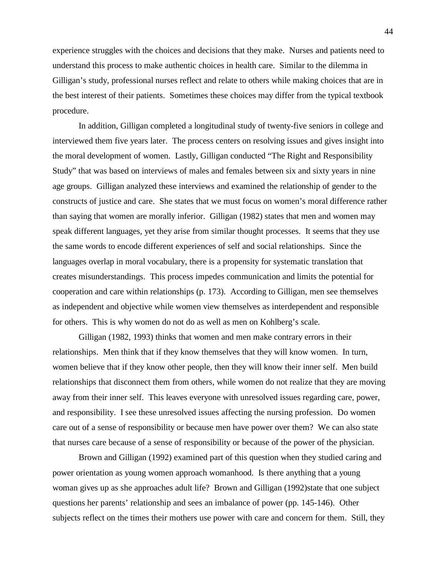experience struggles with the choices and decisions that they make. Nurses and patients need to understand this process to make authentic choices in health care. Similar to the dilemma in Gilligan's study, professional nurses reflect and relate to others while making choices that are in the best interest of their patients. Sometimes these choices may differ from the typical textbook procedure.

In addition, Gilligan completed a longitudinal study of twenty-five seniors in college and interviewed them five years later. The process centers on resolving issues and gives insight into the moral development of women. Lastly, Gilligan conducted "The Right and Responsibility Study" that was based on interviews of males and females between six and sixty years in nine age groups. Gilligan analyzed these interviews and examined the relationship of gender to the constructs of justice and care. She states that we must focus on women's moral difference rather than saying that women are morally inferior. Gilligan (1982) states that men and women may speak different languages, yet they arise from similar thought processes. It seems that they use the same words to encode different experiences of self and social relationships. Since the languages overlap in moral vocabulary, there is a propensity for systematic translation that creates misunderstandings. This process impedes communication and limits the potential for cooperation and care within relationships (p. 173). According to Gilligan, men see themselves as independent and objective while women view themselves as interdependent and responsible for others. This is why women do not do as well as men on Kohlberg's scale.

Gilligan (1982, 1993) thinks that women and men make contrary errors in their relationships. Men think that if they know themselves that they will know women. In turn, women believe that if they know other people, then they will know their inner self. Men build relationships that disconnect them from others, while women do not realize that they are moving away from their inner self. This leaves everyone with unresolved issues regarding care, power, and responsibility. I see these unresolved issues affecting the nursing profession. Do women care out of a sense of responsibility or because men have power over them? We can also state that nurses care because of a sense of responsibility or because of the power of the physician.

Brown and Gilligan (1992) examined part of this question when they studied caring and power orientation as young women approach womanhood. Is there anything that a young woman gives up as she approaches adult life? Brown and Gilligan (1992)state that one subject questions her parents' relationship and sees an imbalance of power (pp. 145-146). Other subjects reflect on the times their mothers use power with care and concern for them. Still, they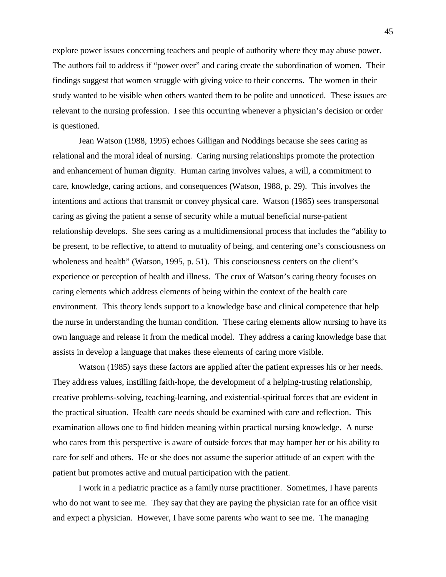explore power issues concerning teachers and people of authority where they may abuse power. The authors fail to address if "power over" and caring create the subordination of women. Their findings suggest that women struggle with giving voice to their concerns. The women in their study wanted to be visible when others wanted them to be polite and unnoticed. These issues are relevant to the nursing profession. I see this occurring whenever a physician's decision or order is questioned.

Jean Watson (1988, 1995) echoes Gilligan and Noddings because she sees caring as relational and the moral ideal of nursing. Caring nursing relationships promote the protection and enhancement of human dignity. Human caring involves values, a will, a commitment to care, knowledge, caring actions, and consequences (Watson, 1988, p. 29). This involves the intentions and actions that transmit or convey physical care. Watson (1985) sees transpersonal caring as giving the patient a sense of security while a mutual beneficial nurse-patient relationship develops. She sees caring as a multidimensional process that includes the "ability to be present, to be reflective, to attend to mutuality of being, and centering one's consciousness on wholeness and health" (Watson, 1995, p. 51). This consciousness centers on the client's experience or perception of health and illness. The crux of Watson's caring theory focuses on caring elements which address elements of being within the context of the health care environment. This theory lends support to a knowledge base and clinical competence that help the nurse in understanding the human condition. These caring elements allow nursing to have its own language and release it from the medical model. They address a caring knowledge base that assists in develop a language that makes these elements of caring more visible.

Watson (1985) says these factors are applied after the patient expresses his or her needs. They address values, instilling faith-hope, the development of a helping-trusting relationship, creative problems-solving, teaching-learning, and existential-spiritual forces that are evident in the practical situation. Health care needs should be examined with care and reflection. This examination allows one to find hidden meaning within practical nursing knowledge. A nurse who cares from this perspective is aware of outside forces that may hamper her or his ability to care for self and others. He or she does not assume the superior attitude of an expert with the patient but promotes active and mutual participation with the patient.

I work in a pediatric practice as a family nurse practitioner. Sometimes, I have parents who do not want to see me. They say that they are paying the physician rate for an office visit and expect a physician. However, I have some parents who want to see me. The managing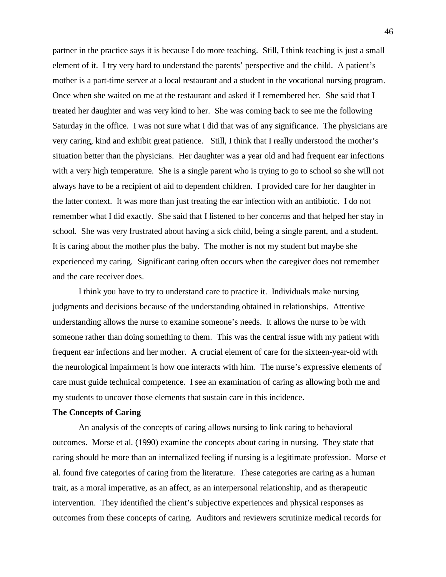partner in the practice says it is because I do more teaching. Still, I think teaching is just a small element of it. I try very hard to understand the parents' perspective and the child. A patient's mother is a part-time server at a local restaurant and a student in the vocational nursing program. Once when she waited on me at the restaurant and asked if I remembered her. She said that I treated her daughter and was very kind to her. She was coming back to see me the following Saturday in the office. I was not sure what I did that was of any significance. The physicians are very caring, kind and exhibit great patience. Still, I think that I really understood the mother's situation better than the physicians. Her daughter was a year old and had frequent ear infections with a very high temperature. She is a single parent who is trying to go to school so she will not always have to be a recipient of aid to dependent children. I provided care for her daughter in the latter context. It was more than just treating the ear infection with an antibiotic. I do not remember what I did exactly. She said that I listened to her concerns and that helped her stay in school. She was very frustrated about having a sick child, being a single parent, and a student. It is caring about the mother plus the baby. The mother is not my student but maybe she experienced my caring. Significant caring often occurs when the caregiver does not remember and the care receiver does.

I think you have to try to understand care to practice it. Individuals make nursing judgments and decisions because of the understanding obtained in relationships. Attentive understanding allows the nurse to examine someone's needs. It allows the nurse to be with someone rather than doing something to them. This was the central issue with my patient with frequent ear infections and her mother. A crucial element of care for the sixteen-year-old with the neurological impairment is how one interacts with him. The nurse's expressive elements of care must guide technical competence. I see an examination of caring as allowing both me and my students to uncover those elements that sustain care in this incidence.

## **The Concepts of Caring**

An analysis of the concepts of caring allows nursing to link caring to behavioral outcomes. Morse et al. (1990) examine the concepts about caring in nursing. They state that caring should be more than an internalized feeling if nursing is a legitimate profession. Morse et al. found five categories of caring from the literature. These categories are caring as a human trait, as a moral imperative, as an affect, as an interpersonal relationship, and as therapeutic intervention. They identified the client's subjective experiences and physical responses as outcomes from these concepts of caring. Auditors and reviewers scrutinize medical records for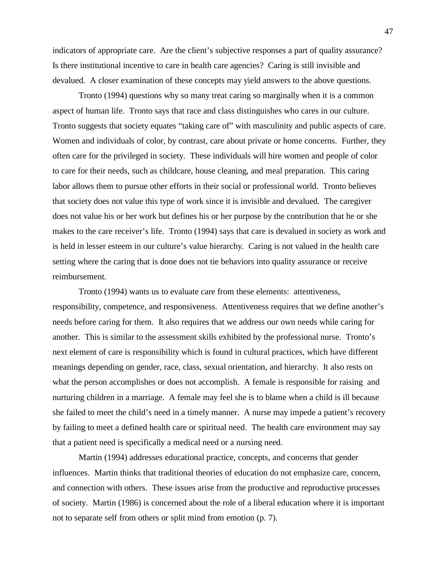indicators of appropriate care. Are the client's subjective responses a part of quality assurance? Is there institutional incentive to care in health care agencies? Caring is still invisible and devalued. A closer examination of these concepts may yield answers to the above questions.

Tronto (1994) questions why so many treat caring so marginally when it is a common aspect of human life. Tronto says that race and class distinguishes who cares in our culture. Tronto suggests that society equates "taking care of" with masculinity and public aspects of care. Women and individuals of color, by contrast, care about private or home concerns. Further, they often care for the privileged in society. These individuals will hire women and people of color to care for their needs, such as childcare, house cleaning, and meal preparation. This caring labor allows them to pursue other efforts in their social or professional world. Tronto believes that society does not value this type of work since it is invisible and devalued. The caregiver does not value his or her work but defines his or her purpose by the contribution that he or she makes to the care receiver's life. Tronto (1994) says that care is devalued in society as work and is held in lesser esteem in our culture's value hierarchy. Caring is not valued in the health care setting where the caring that is done does not tie behaviors into quality assurance or receive reimbursement.

Tronto (1994) wants us to evaluate care from these elements: attentiveness, responsibility, competence, and responsiveness. Attentiveness requires that we define another's needs before caring for them. It also requires that we address our own needs while caring for another. This is similar to the assessment skills exhibited by the professional nurse. Tronto's next element of care is responsibility which is found in cultural practices, which have different meanings depending on gender, race, class, sexual orientation, and hierarchy. It also rests on what the person accomplishes or does not accomplish. A female is responsible for raising and nurturing children in a marriage. A female may feel she is to blame when a child is ill because she failed to meet the child's need in a timely manner. A nurse may impede a patient's recovery by failing to meet a defined health care or spiritual need. The health care environment may say that a patient need is specifically a medical need or a nursing need.

Martin (1994) addresses educational practice, concepts, and concerns that gender influences. Martin thinks that traditional theories of education do not emphasize care, concern, and connection with others. These issues arise from the productive and reproductive processes of society. Martin (1986) is concerned about the role of a liberal education where it is important not to separate self from others or split mind from emotion (p. 7).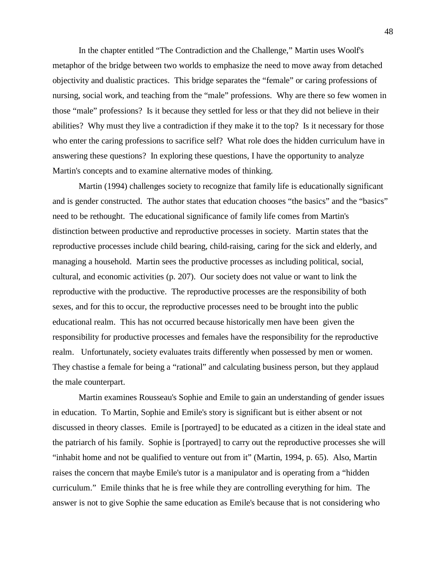In the chapter entitled "The Contradiction and the Challenge," Martin uses Woolf's metaphor of the bridge between two worlds to emphasize the need to move away from detached objectivity and dualistic practices. This bridge separates the "female" or caring professions of nursing, social work, and teaching from the "male" professions. Why are there so few women in those "male" professions? Is it because they settled for less or that they did not believe in their abilities? Why must they live a contradiction if they make it to the top? Is it necessary for those who enter the caring professions to sacrifice self? What role does the hidden curriculum have in answering these questions? In exploring these questions, I have the opportunity to analyze Martin's concepts and to examine alternative modes of thinking.

Martin (1994) challenges society to recognize that family life is educationally significant and is gender constructed. The author states that education chooses "the basics" and the "basics" need to be rethought. The educational significance of family life comes from Martin's distinction between productive and reproductive processes in society. Martin states that the reproductive processes include child bearing, child-raising, caring for the sick and elderly, and managing a household. Martin sees the productive processes as including political, social, cultural, and economic activities (p. 207). Our society does not value or want to link the reproductive with the productive. The reproductive processes are the responsibility of both sexes, and for this to occur, the reproductive processes need to be brought into the public educational realm. This has not occurred because historically men have been given the responsibility for productive processes and females have the responsibility for the reproductive realm. Unfortunately, society evaluates traits differently when possessed by men or women. They chastise a female for being a "rational" and calculating business person, but they applaud the male counterpart.

Martin examines Rousseau's Sophie and Emile to gain an understanding of gender issues in education. To Martin, Sophie and Emile's story is significant but is either absent or not discussed in theory classes. Emile is [portrayed] to be educated as a citizen in the ideal state and the patriarch of his family. Sophie is [portrayed] to carry out the reproductive processes she will "inhabit home and not be qualified to venture out from it" (Martin, 1994, p. 65). Also, Martin raises the concern that maybe Emile's tutor is a manipulator and is operating from a "hidden curriculum." Emile thinks that he is free while they are controlling everything for him. The answer is not to give Sophie the same education as Emile's because that is not considering who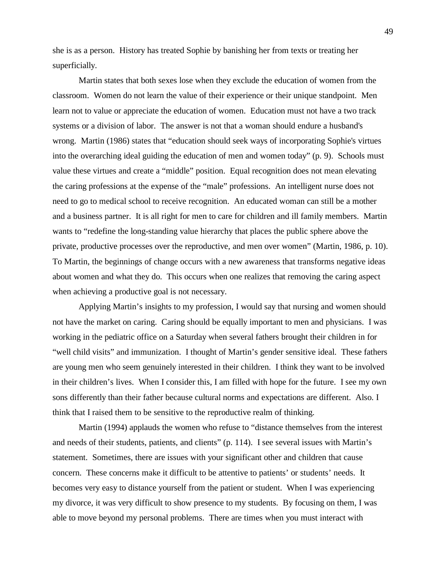she is as a person. History has treated Sophie by banishing her from texts or treating her superficially.

Martin states that both sexes lose when they exclude the education of women from the classroom. Women do not learn the value of their experience or their unique standpoint. Men learn not to value or appreciate the education of women. Education must not have a two track systems or a division of labor. The answer is not that a woman should endure a husband's wrong. Martin (1986) states that "education should seek ways of incorporating Sophie's virtues into the overarching ideal guiding the education of men and women today" (p. 9). Schools must value these virtues and create a "middle" position. Equal recognition does not mean elevating the caring professions at the expense of the "male" professions. An intelligent nurse does not need to go to medical school to receive recognition. An educated woman can still be a mother and a business partner. It is all right for men to care for children and ill family members. Martin wants to "redefine the long-standing value hierarchy that places the public sphere above the private, productive processes over the reproductive, and men over women" (Martin, 1986, p. 10). To Martin, the beginnings of change occurs with a new awareness that transforms negative ideas about women and what they do. This occurs when one realizes that removing the caring aspect when achieving a productive goal is not necessary.

Applying Martin's insights to my profession, I would say that nursing and women should not have the market on caring. Caring should be equally important to men and physicians. I was working in the pediatric office on a Saturday when several fathers brought their children in for "well child visits" and immunization. I thought of Martin's gender sensitive ideal. These fathers are young men who seem genuinely interested in their children. I think they want to be involved in their children's lives. When I consider this, I am filled with hope for the future. I see my own sons differently than their father because cultural norms and expectations are different. Also. I think that I raised them to be sensitive to the reproductive realm of thinking.

Martin (1994) applauds the women who refuse to "distance themselves from the interest and needs of their students, patients, and clients" (p. 114). I see several issues with Martin's statement. Sometimes, there are issues with your significant other and children that cause concern. These concerns make it difficult to be attentive to patients' or students' needs. It becomes very easy to distance yourself from the patient or student. When I was experiencing my divorce, it was very difficult to show presence to my students. By focusing on them, I was able to move beyond my personal problems. There are times when you must interact with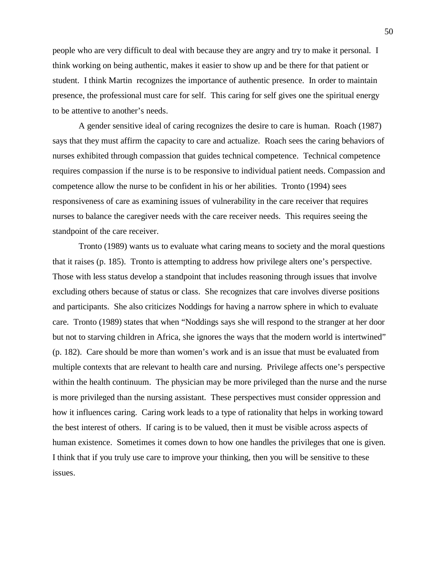people who are very difficult to deal with because they are angry and try to make it personal. I think working on being authentic, makes it easier to show up and be there for that patient or student. I think Martin recognizes the importance of authentic presence. In order to maintain presence, the professional must care for self. This caring for self gives one the spiritual energy to be attentive to another's needs.

A gender sensitive ideal of caring recognizes the desire to care is human. Roach (1987) says that they must affirm the capacity to care and actualize. Roach sees the caring behaviors of nurses exhibited through compassion that guides technical competence. Technical competence requires compassion if the nurse is to be responsive to individual patient needs. Compassion and competence allow the nurse to be confident in his or her abilities. Tronto (1994) sees responsiveness of care as examining issues of vulnerability in the care receiver that requires nurses to balance the caregiver needs with the care receiver needs. This requires seeing the standpoint of the care receiver.

Tronto (1989) wants us to evaluate what caring means to society and the moral questions that it raises (p. 185). Tronto is attempting to address how privilege alters one's perspective. Those with less status develop a standpoint that includes reasoning through issues that involve excluding others because of status or class. She recognizes that care involves diverse positions and participants. She also criticizes Noddings for having a narrow sphere in which to evaluate care. Tronto (1989) states that when "Noddings says she will respond to the stranger at her door but not to starving children in Africa, she ignores the ways that the modern world is intertwined" (p. 182). Care should be more than women's work and is an issue that must be evaluated from multiple contexts that are relevant to health care and nursing. Privilege affects one's perspective within the health continuum. The physician may be more privileged than the nurse and the nurse is more privileged than the nursing assistant. These perspectives must consider oppression and how it influences caring. Caring work leads to a type of rationality that helps in working toward the best interest of others. If caring is to be valued, then it must be visible across aspects of human existence. Sometimes it comes down to how one handles the privileges that one is given. I think that if you truly use care to improve your thinking, then you will be sensitive to these issues.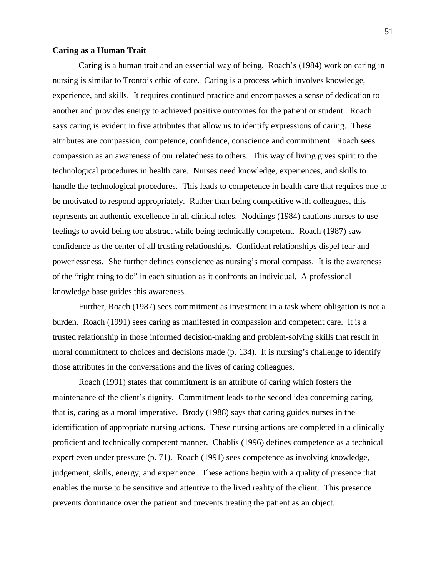## **Caring as a Human Trait**

Caring is a human trait and an essential way of being. Roach's (1984) work on caring in nursing is similar to Tronto's ethic of care. Caring is a process which involves knowledge, experience, and skills. It requires continued practice and encompasses a sense of dedication to another and provides energy to achieved positive outcomes for the patient or student. Roach says caring is evident in five attributes that allow us to identify expressions of caring. These attributes are compassion, competence, confidence, conscience and commitment. Roach sees compassion as an awareness of our relatedness to others. This way of living gives spirit to the technological procedures in health care. Nurses need knowledge, experiences, and skills to handle the technological procedures. This leads to competence in health care that requires one to be motivated to respond appropriately. Rather than being competitive with colleagues, this represents an authentic excellence in all clinical roles. Noddings (1984) cautions nurses to use feelings to avoid being too abstract while being technically competent. Roach (1987) saw confidence as the center of all trusting relationships. Confident relationships dispel fear and powerlessness. She further defines conscience as nursing's moral compass. It is the awareness of the "right thing to do" in each situation as it confronts an individual. A professional knowledge base guides this awareness.

Further, Roach (1987) sees commitment as investment in a task where obligation is not a burden. Roach (1991) sees caring as manifested in compassion and competent care. It is a trusted relationship in those informed decision-making and problem-solving skills that result in moral commitment to choices and decisions made (p. 134). It is nursing's challenge to identify those attributes in the conversations and the lives of caring colleagues.

Roach (1991) states that commitment is an attribute of caring which fosters the maintenance of the client's dignity. Commitment leads to the second idea concerning caring, that is, caring as a moral imperative. Brody (1988) says that caring guides nurses in the identification of appropriate nursing actions. These nursing actions are completed in a clinically proficient and technically competent manner. Chablis (1996) defines competence as a technical expert even under pressure (p. 71). Roach (1991) sees competence as involving knowledge, judgement, skills, energy, and experience. These actions begin with a quality of presence that enables the nurse to be sensitive and attentive to the lived reality of the client. This presence prevents dominance over the patient and prevents treating the patient as an object.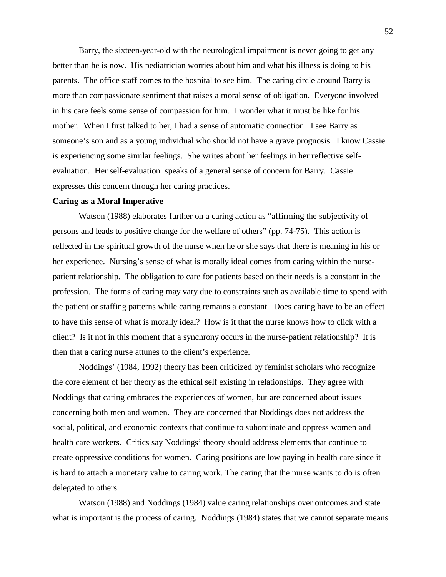Barry, the sixteen-year-old with the neurological impairment is never going to get any better than he is now. His pediatrician worries about him and what his illness is doing to his parents. The office staff comes to the hospital to see him. The caring circle around Barry is more than compassionate sentiment that raises a moral sense of obligation. Everyone involved in his care feels some sense of compassion for him. I wonder what it must be like for his mother. When I first talked to her, I had a sense of automatic connection. I see Barry as someone's son and as a young individual who should not have a grave prognosis. I know Cassie is experiencing some similar feelings. She writes about her feelings in her reflective selfevaluation. Her self-evaluation speaks of a general sense of concern for Barry. Cassie expresses this concern through her caring practices.

## **Caring as a Moral Imperative**

Watson (1988) elaborates further on a caring action as "affirming the subjectivity of persons and leads to positive change for the welfare of others" (pp. 74-75). This action is reflected in the spiritual growth of the nurse when he or she says that there is meaning in his or her experience. Nursing's sense of what is morally ideal comes from caring within the nursepatient relationship. The obligation to care for patients based on their needs is a constant in the profession. The forms of caring may vary due to constraints such as available time to spend with the patient or staffing patterns while caring remains a constant. Does caring have to be an effect to have this sense of what is morally ideal? How is it that the nurse knows how to click with a client? Is it not in this moment that a synchrony occurs in the nurse-patient relationship? It is then that a caring nurse attunes to the client's experience.

Noddings' (1984, 1992) theory has been criticized by feminist scholars who recognize the core element of her theory as the ethical self existing in relationships. They agree with Noddings that caring embraces the experiences of women, but are concerned about issues concerning both men and women. They are concerned that Noddings does not address the social, political, and economic contexts that continue to subordinate and oppress women and health care workers. Critics say Noddings' theory should address elements that continue to create oppressive conditions for women. Caring positions are low paying in health care since it is hard to attach a monetary value to caring work. The caring that the nurse wants to do is often delegated to others.

Watson (1988) and Noddings (1984) value caring relationships over outcomes and state what is important is the process of caring. Noddings (1984) states that we cannot separate means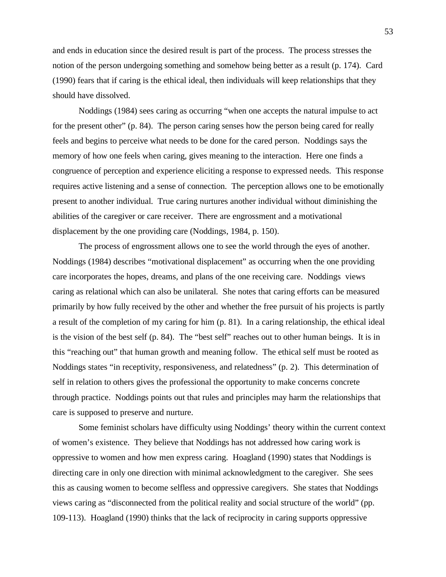and ends in education since the desired result is part of the process. The process stresses the notion of the person undergoing something and somehow being better as a result (p. 174). Card (1990) fears that if caring is the ethical ideal, then individuals will keep relationships that they should have dissolved.

Noddings (1984) sees caring as occurring "when one accepts the natural impulse to act for the present other" (p. 84). The person caring senses how the person being cared for really feels and begins to perceive what needs to be done for the cared person. Noddings says the memory of how one feels when caring, gives meaning to the interaction. Here one finds a congruence of perception and experience eliciting a response to expressed needs. This response requires active listening and a sense of connection. The perception allows one to be emotionally present to another individual. True caring nurtures another individual without diminishing the abilities of the caregiver or care receiver. There are engrossment and a motivational displacement by the one providing care (Noddings, 1984, p. 150).

The process of engrossment allows one to see the world through the eyes of another. Noddings (1984) describes "motivational displacement" as occurring when the one providing care incorporates the hopes, dreams, and plans of the one receiving care. Noddings views caring as relational which can also be unilateral. She notes that caring efforts can be measured primarily by how fully received by the other and whether the free pursuit of his projects is partly a result of the completion of my caring for him (p. 81). In a caring relationship, the ethical ideal is the vision of the best self (p. 84). The "best self" reaches out to other human beings. It is in this "reaching out" that human growth and meaning follow. The ethical self must be rooted as Noddings states "in receptivity, responsiveness, and relatedness" (p. 2). This determination of self in relation to others gives the professional the opportunity to make concerns concrete through practice. Noddings points out that rules and principles may harm the relationships that care is supposed to preserve and nurture.

Some feminist scholars have difficulty using Noddings' theory within the current context of women's existence. They believe that Noddings has not addressed how caring work is oppressive to women and how men express caring. Hoagland (1990) states that Noddings is directing care in only one direction with minimal acknowledgment to the caregiver. She sees this as causing women to become selfless and oppressive caregivers. She states that Noddings views caring as "disconnected from the political reality and social structure of the world" (pp. 109-113). Hoagland (1990) thinks that the lack of reciprocity in caring supports oppressive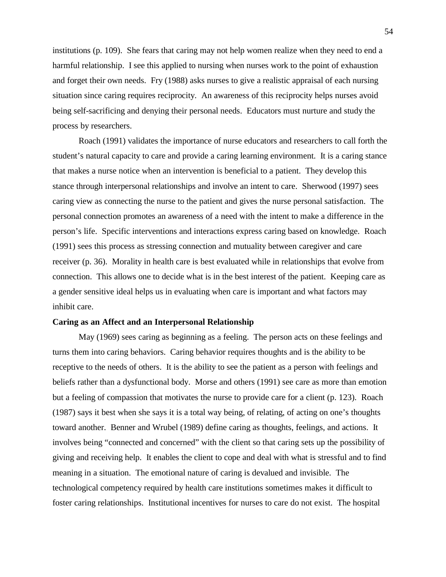institutions (p. 109). She fears that caring may not help women realize when they need to end a harmful relationship. I see this applied to nursing when nurses work to the point of exhaustion and forget their own needs. Fry (1988) asks nurses to give a realistic appraisal of each nursing situation since caring requires reciprocity. An awareness of this reciprocity helps nurses avoid being self-sacrificing and denying their personal needs. Educators must nurture and study the process by researchers.

Roach (1991) validates the importance of nurse educators and researchers to call forth the student's natural capacity to care and provide a caring learning environment. It is a caring stance that makes a nurse notice when an intervention is beneficial to a patient. They develop this stance through interpersonal relationships and involve an intent to care. Sherwood (1997) sees caring view as connecting the nurse to the patient and gives the nurse personal satisfaction. The personal connection promotes an awareness of a need with the intent to make a difference in the person's life. Specific interventions and interactions express caring based on knowledge. Roach (1991) sees this process as stressing connection and mutuality between caregiver and care receiver (p. 36). Morality in health care is best evaluated while in relationships that evolve from connection. This allows one to decide what is in the best interest of the patient. Keeping care as a gender sensitive ideal helps us in evaluating when care is important and what factors may inhibit care.

## **Caring as an Affect and an Interpersonal Relationship**

May (1969) sees caring as beginning as a feeling. The person acts on these feelings and turns them into caring behaviors. Caring behavior requires thoughts and is the ability to be receptive to the needs of others. It is the ability to see the patient as a person with feelings and beliefs rather than a dysfunctional body. Morse and others (1991) see care as more than emotion but a feeling of compassion that motivates the nurse to provide care for a client (p. 123). Roach (1987) says it best when she says it is a total way being, of relating, of acting on one's thoughts toward another. Benner and Wrubel (1989) define caring as thoughts, feelings, and actions. It involves being "connected and concerned" with the client so that caring sets up the possibility of giving and receiving help. It enables the client to cope and deal with what is stressful and to find meaning in a situation. The emotional nature of caring is devalued and invisible. The technological competency required by health care institutions sometimes makes it difficult to foster caring relationships. Institutional incentives for nurses to care do not exist. The hospital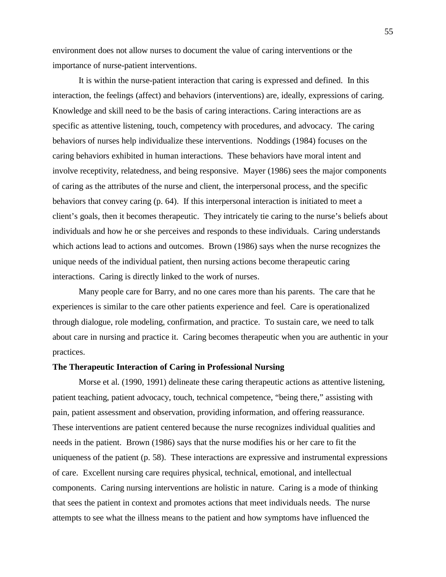environment does not allow nurses to document the value of caring interventions or the importance of nurse-patient interventions.

It is within the nurse-patient interaction that caring is expressed and defined. In this interaction, the feelings (affect) and behaviors (interventions) are, ideally, expressions of caring. Knowledge and skill need to be the basis of caring interactions. Caring interactions are as specific as attentive listening, touch, competency with procedures, and advocacy. The caring behaviors of nurses help individualize these interventions. Noddings (1984) focuses on the caring behaviors exhibited in human interactions. These behaviors have moral intent and involve receptivity, relatedness, and being responsive. Mayer (1986) sees the major components of caring as the attributes of the nurse and client, the interpersonal process, and the specific behaviors that convey caring (p. 64). If this interpersonal interaction is initiated to meet a client's goals, then it becomes therapeutic. They intricately tie caring to the nurse's beliefs about individuals and how he or she perceives and responds to these individuals. Caring understands which actions lead to actions and outcomes. Brown (1986) says when the nurse recognizes the unique needs of the individual patient, then nursing actions become therapeutic caring interactions. Caring is directly linked to the work of nurses.

Many people care for Barry, and no one cares more than his parents. The care that he experiences is similar to the care other patients experience and feel. Care is operationalized through dialogue, role modeling, confirmation, and practice. To sustain care, we need to talk about care in nursing and practice it. Caring becomes therapeutic when you are authentic in your practices.

#### **The Therapeutic Interaction of Caring in Professional Nursing**

Morse et al. (1990, 1991) delineate these caring therapeutic actions as attentive listening, patient teaching, patient advocacy, touch, technical competence, "being there," assisting with pain, patient assessment and observation, providing information, and offering reassurance. These interventions are patient centered because the nurse recognizes individual qualities and needs in the patient. Brown (1986) says that the nurse modifies his or her care to fit the uniqueness of the patient (p. 58). These interactions are expressive and instrumental expressions of care. Excellent nursing care requires physical, technical, emotional, and intellectual components. Caring nursing interventions are holistic in nature. Caring is a mode of thinking that sees the patient in context and promotes actions that meet individuals needs. The nurse attempts to see what the illness means to the patient and how symptoms have influenced the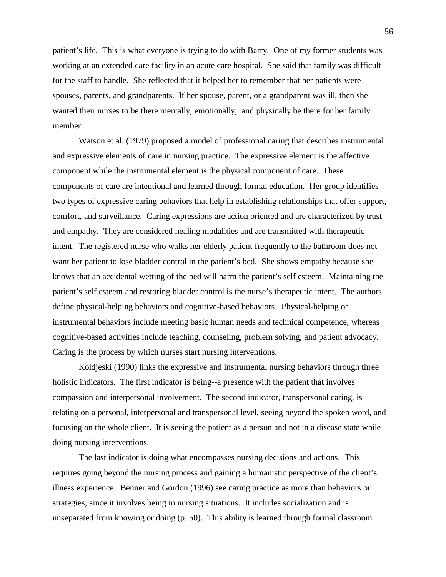patient's life. This is what everyone is trying to do with Barry. One of my former students was working at an extended care facility in an acute care hospital. She said that family was difficult for the staff to handle. She reflected that it helped her to remember that her patients were spouses, parents, and grandparents. If her spouse, parent, or a grandparent was ill, then she wanted their nurses to be there mentally, emotionally, and physically be there for her family member.

Watson et al. (1979) proposed a model of professional caring that describes instrumental and expressive elements of care in nursing practice. The expressive element is the affective component while the instrumental element is the physical component of care. These components of care are intentional and learned through formal education. Her group identifies two types of expressive caring behaviors that help in establishing relationships that offer support, comfort, and surveillance. Caring expressions are action oriented and are characterized by trust and empathy. They are considered healing modalities and are transmitted with therapeutic intent. The registered nurse who walks her elderly patient frequently to the bathroom does not want her patient to lose bladder control in the patient's bed. She shows empathy because she knows that an accidental wetting of the bed will harm the patient's self esteem. Maintaining the patient's self esteem and restoring bladder control is the nurse's therapeutic intent. The authors define physical-helping behaviors and cognitive-based behaviors. Physical-helping or instrumental behaviors include meeting basic human needs and technical competence, whereas cognitive-based activities include teaching, counseling, problem solving, and patient advocacy. Caring is the process by which nurses start nursing interventions.

Koldjeski (1990) links the expressive and instrumental nursing behaviors through three holistic indicators. The first indicator is being--a presence with the patient that involves compassion and interpersonal involvement. The second indicator, transpersonal caring, is relating on a personal, interpersonal and transpersonal level, seeing beyond the spoken word, and focusing on the whole client. It is seeing the patient as a person and not in a disease state while doing nursing interventions.

The last indicator is doing what encompasses nursing decisions and actions. This requires going beyond the nursing process and gaining a humanistic perspective of the client's illness experience. Benner and Gordon (1996) see caring practice as more than behaviors or strategies, since it involves being in nursing situations. It includes socialization and is unseparated from knowing or doing (p. 50). This ability is learned through formal classroom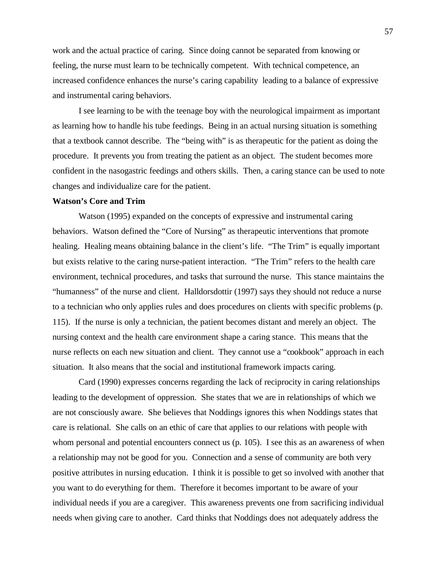work and the actual practice of caring. Since doing cannot be separated from knowing or feeling, the nurse must learn to be technically competent. With technical competence, an increased confidence enhances the nurse's caring capability leading to a balance of expressive and instrumental caring behaviors.

I see learning to be with the teenage boy with the neurological impairment as important as learning how to handle his tube feedings. Being in an actual nursing situation is something that a textbook cannot describe. The "being with" is as therapeutic for the patient as doing the procedure. It prevents you from treating the patient as an object. The student becomes more confident in the nasogastric feedings and others skills. Then, a caring stance can be used to note changes and individualize care for the patient.

#### **Watson's Core and Trim**

Watson (1995) expanded on the concepts of expressive and instrumental caring behaviors. Watson defined the "Core of Nursing" as therapeutic interventions that promote healing. Healing means obtaining balance in the client's life. "The Trim" is equally important but exists relative to the caring nurse-patient interaction. "The Trim" refers to the health care environment, technical procedures, and tasks that surround the nurse. This stance maintains the "humanness" of the nurse and client. Halldorsdottir (1997) says they should not reduce a nurse to a technician who only applies rules and does procedures on clients with specific problems (p. 115). If the nurse is only a technician, the patient becomes distant and merely an object. The nursing context and the health care environment shape a caring stance. This means that the nurse reflects on each new situation and client. They cannot use a "cookbook" approach in each situation. It also means that the social and institutional framework impacts caring.

Card (1990) expresses concerns regarding the lack of reciprocity in caring relationships leading to the development of oppression. She states that we are in relationships of which we are not consciously aware. She believes that Noddings ignores this when Noddings states that care is relational. She calls on an ethic of care that applies to our relations with people with whom personal and potential encounters connect us (p. 105). I see this as an awareness of when a relationship may not be good for you. Connection and a sense of community are both very positive attributes in nursing education. I think it is possible to get so involved with another that you want to do everything for them. Therefore it becomes important to be aware of your individual needs if you are a caregiver. This awareness prevents one from sacrificing individual needs when giving care to another. Card thinks that Noddings does not adequately address the

57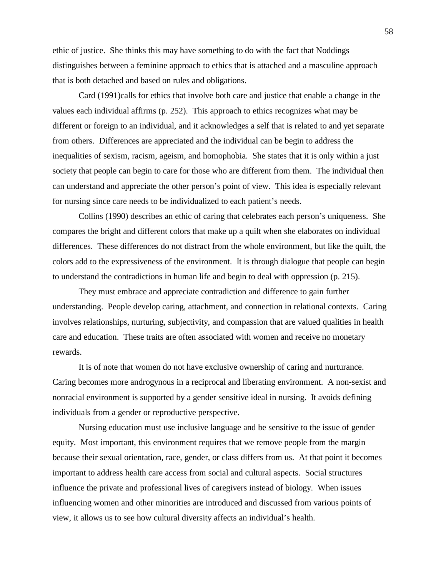ethic of justice. She thinks this may have something to do with the fact that Noddings distinguishes between a feminine approach to ethics that is attached and a masculine approach that is both detached and based on rules and obligations.

Card (1991)calls for ethics that involve both care and justice that enable a change in the values each individual affirms (p. 252). This approach to ethics recognizes what may be different or foreign to an individual, and it acknowledges a self that is related to and yet separate from others. Differences are appreciated and the individual can be begin to address the inequalities of sexism, racism, ageism, and homophobia. She states that it is only within a just society that people can begin to care for those who are different from them. The individual then can understand and appreciate the other person's point of view. This idea is especially relevant for nursing since care needs to be individualized to each patient's needs.

Collins (1990) describes an ethic of caring that celebrates each person's uniqueness. She compares the bright and different colors that make up a quilt when she elaborates on individual differences. These differences do not distract from the whole environment, but like the quilt, the colors add to the expressiveness of the environment. It is through dialogue that people can begin to understand the contradictions in human life and begin to deal with oppression (p. 215).

They must embrace and appreciate contradiction and difference to gain further understanding. People develop caring, attachment, and connection in relational contexts. Caring involves relationships, nurturing, subjectivity, and compassion that are valued qualities in health care and education. These traits are often associated with women and receive no monetary rewards.

It is of note that women do not have exclusive ownership of caring and nurturance. Caring becomes more androgynous in a reciprocal and liberating environment. A non-sexist and nonracial environment is supported by a gender sensitive ideal in nursing. It avoids defining individuals from a gender or reproductive perspective.

Nursing education must use inclusive language and be sensitive to the issue of gender equity. Most important, this environment requires that we remove people from the margin because their sexual orientation, race, gender, or class differs from us. At that point it becomes important to address health care access from social and cultural aspects. Social structures influence the private and professional lives of caregivers instead of biology. When issues influencing women and other minorities are introduced and discussed from various points of view, it allows us to see how cultural diversity affects an individual's health.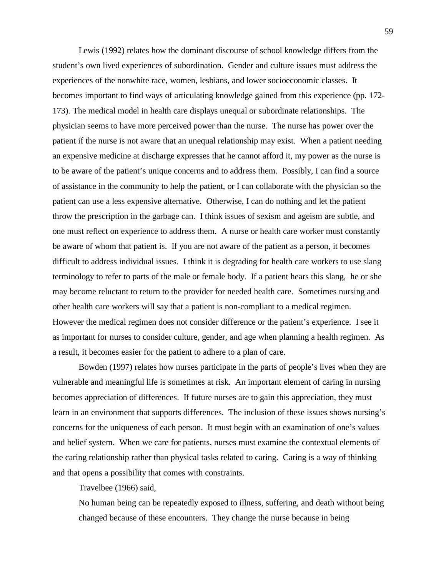Lewis (1992) relates how the dominant discourse of school knowledge differs from the student's own lived experiences of subordination. Gender and culture issues must address the experiences of the nonwhite race, women, lesbians, and lower socioeconomic classes. It becomes important to find ways of articulating knowledge gained from this experience (pp. 172- 173). The medical model in health care displays unequal or subordinate relationships. The physician seems to have more perceived power than the nurse. The nurse has power over the patient if the nurse is not aware that an unequal relationship may exist. When a patient needing an expensive medicine at discharge expresses that he cannot afford it, my power as the nurse is to be aware of the patient's unique concerns and to address them. Possibly, I can find a source of assistance in the community to help the patient, or I can collaborate with the physician so the patient can use a less expensive alternative. Otherwise, I can do nothing and let the patient throw the prescription in the garbage can. I think issues of sexism and ageism are subtle, and one must reflect on experience to address them. A nurse or health care worker must constantly be aware of whom that patient is. If you are not aware of the patient as a person, it becomes difficult to address individual issues. I think it is degrading for health care workers to use slang terminology to refer to parts of the male or female body. If a patient hears this slang, he or she may become reluctant to return to the provider for needed health care. Sometimes nursing and other health care workers will say that a patient is non-compliant to a medical regimen. However the medical regimen does not consider difference or the patient's experience. I see it as important for nurses to consider culture, gender, and age when planning a health regimen. As a result, it becomes easier for the patient to adhere to a plan of care.

Bowden (1997) relates how nurses participate in the parts of people's lives when they are vulnerable and meaningful life is sometimes at risk. An important element of caring in nursing becomes appreciation of differences. If future nurses are to gain this appreciation, they must learn in an environment that supports differences. The inclusion of these issues shows nursing's concerns for the uniqueness of each person. It must begin with an examination of one's values and belief system. When we care for patients, nurses must examine the contextual elements of the caring relationship rather than physical tasks related to caring. Caring is a way of thinking and that opens a possibility that comes with constraints.

Travelbee (1966) said,

No human being can be repeatedly exposed to illness, suffering, and death without being changed because of these encounters. They change the nurse because in being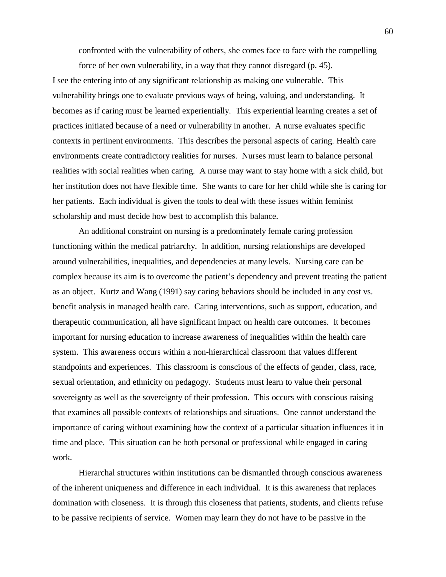confronted with the vulnerability of others, she comes face to face with the compelling

force of her own vulnerability, in a way that they cannot disregard (p. 45). I see the entering into of any significant relationship as making one vulnerable. This vulnerability brings one to evaluate previous ways of being, valuing, and understanding. It becomes as if caring must be learned experientially. This experiential learning creates a set of practices initiated because of a need or vulnerability in another. A nurse evaluates specific contexts in pertinent environments. This describes the personal aspects of caring. Health care environments create contradictory realities for nurses. Nurses must learn to balance personal realities with social realities when caring. A nurse may want to stay home with a sick child, but her institution does not have flexible time. She wants to care for her child while she is caring for her patients. Each individual is given the tools to deal with these issues within feminist scholarship and must decide how best to accomplish this balance.

An additional constraint on nursing is a predominately female caring profession functioning within the medical patriarchy. In addition, nursing relationships are developed around vulnerabilities, inequalities, and dependencies at many levels. Nursing care can be complex because its aim is to overcome the patient's dependency and prevent treating the patient as an object. Kurtz and Wang (1991) say caring behaviors should be included in any cost vs. benefit analysis in managed health care. Caring interventions, such as support, education, and therapeutic communication, all have significant impact on health care outcomes. It becomes important for nursing education to increase awareness of inequalities within the health care system. This awareness occurs within a non-hierarchical classroom that values different standpoints and experiences. This classroom is conscious of the effects of gender, class, race, sexual orientation, and ethnicity on pedagogy. Students must learn to value their personal sovereignty as well as the sovereignty of their profession. This occurs with conscious raising that examines all possible contexts of relationships and situations. One cannot understand the importance of caring without examining how the context of a particular situation influences it in time and place. This situation can be both personal or professional while engaged in caring work.

Hierarchal structures within institutions can be dismantled through conscious awareness of the inherent uniqueness and difference in each individual. It is this awareness that replaces domination with closeness. It is through this closeness that patients, students, and clients refuse to be passive recipients of service. Women may learn they do not have to be passive in the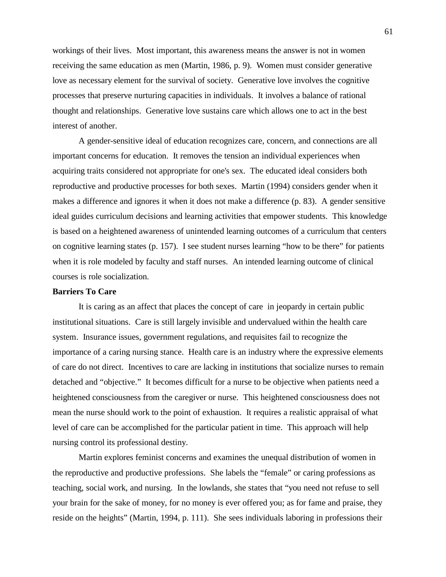workings of their lives. Most important, this awareness means the answer is not in women receiving the same education as men (Martin, 1986, p. 9). Women must consider generative love as necessary element for the survival of society. Generative love involves the cognitive processes that preserve nurturing capacities in individuals. It involves a balance of rational thought and relationships. Generative love sustains care which allows one to act in the best interest of another.

A gender-sensitive ideal of education recognizes care, concern, and connections are all important concerns for education. It removes the tension an individual experiences when acquiring traits considered not appropriate for one's sex. The educated ideal considers both reproductive and productive processes for both sexes. Martin (1994) considers gender when it makes a difference and ignores it when it does not make a difference (p. 83). A gender sensitive ideal guides curriculum decisions and learning activities that empower students. This knowledge is based on a heightened awareness of unintended learning outcomes of a curriculum that centers on cognitive learning states (p. 157). I see student nurses learning "how to be there" for patients when it is role modeled by faculty and staff nurses. An intended learning outcome of clinical courses is role socialization.

# **Barriers To Care**

It is caring as an affect that places the concept of care in jeopardy in certain public institutional situations. Care is still largely invisible and undervalued within the health care system. Insurance issues, government regulations, and requisites fail to recognize the importance of a caring nursing stance. Health care is an industry where the expressive elements of care do not direct. Incentives to care are lacking in institutions that socialize nurses to remain detached and "objective." It becomes difficult for a nurse to be objective when patients need a heightened consciousness from the caregiver or nurse. This heightened consciousness does not mean the nurse should work to the point of exhaustion. It requires a realistic appraisal of what level of care can be accomplished for the particular patient in time. This approach will help nursing control its professional destiny.

Martin explores feminist concerns and examines the unequal distribution of women in the reproductive and productive professions. She labels the "female" or caring professions as teaching, social work, and nursing. In the lowlands, she states that "you need not refuse to sell your brain for the sake of money, for no money is ever offered you; as for fame and praise, they reside on the heights" (Martin, 1994, p. 111). She sees individuals laboring in professions their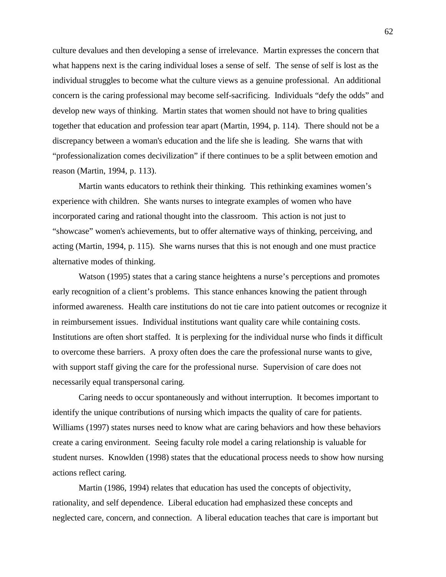culture devalues and then developing a sense of irrelevance. Martin expresses the concern that what happens next is the caring individual loses a sense of self. The sense of self is lost as the individual struggles to become what the culture views as a genuine professional. An additional concern is the caring professional may become self-sacrificing. Individuals "defy the odds" and develop new ways of thinking. Martin states that women should not have to bring qualities together that education and profession tear apart (Martin, 1994, p. 114). There should not be a discrepancy between a woman's education and the life she is leading. She warns that with "professionalization comes decivilization" if there continues to be a split between emotion and reason (Martin, 1994, p. 113).

Martin wants educators to rethink their thinking. This rethinking examines women's experience with children. She wants nurses to integrate examples of women who have incorporated caring and rational thought into the classroom. This action is not just to "showcase" women's achievements, but to offer alternative ways of thinking, perceiving, and acting (Martin, 1994, p. 115). She warns nurses that this is not enough and one must practice alternative modes of thinking.

Watson (1995) states that a caring stance heightens a nurse's perceptions and promotes early recognition of a client's problems. This stance enhances knowing the patient through informed awareness. Health care institutions do not tie care into patient outcomes or recognize it in reimbursement issues. Individual institutions want quality care while containing costs. Institutions are often short staffed. It is perplexing for the individual nurse who finds it difficult to overcome these barriers. A proxy often does the care the professional nurse wants to give, with support staff giving the care for the professional nurse. Supervision of care does not necessarily equal transpersonal caring.

Caring needs to occur spontaneously and without interruption. It becomes important to identify the unique contributions of nursing which impacts the quality of care for patients. Williams (1997) states nurses need to know what are caring behaviors and how these behaviors create a caring environment. Seeing faculty role model a caring relationship is valuable for student nurses. Knowlden (1998) states that the educational process needs to show how nursing actions reflect caring.

Martin (1986, 1994) relates that education has used the concepts of objectivity, rationality, and self dependence. Liberal education had emphasized these concepts and neglected care, concern, and connection. A liberal education teaches that care is important but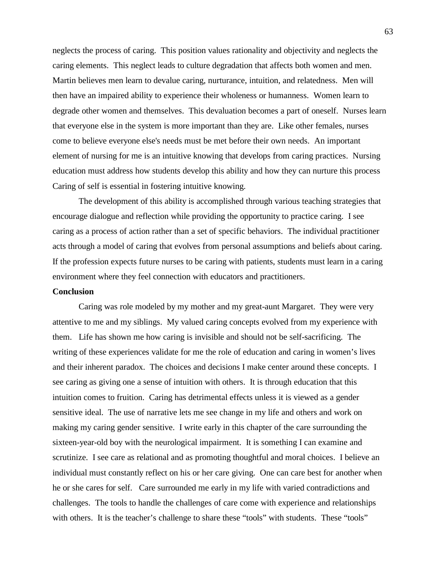neglects the process of caring. This position values rationality and objectivity and neglects the caring elements. This neglect leads to culture degradation that affects both women and men. Martin believes men learn to devalue caring, nurturance, intuition, and relatedness. Men will then have an impaired ability to experience their wholeness or humanness. Women learn to degrade other women and themselves. This devaluation becomes a part of oneself. Nurses learn that everyone else in the system is more important than they are. Like other females, nurses come to believe everyone else's needs must be met before their own needs. An important element of nursing for me is an intuitive knowing that develops from caring practices. Nursing education must address how students develop this ability and how they can nurture this process Caring of self is essential in fostering intuitive knowing.

The development of this ability is accomplished through various teaching strategies that encourage dialogue and reflection while providing the opportunity to practice caring. I see caring as a process of action rather than a set of specific behaviors. The individual practitioner acts through a model of caring that evolves from personal assumptions and beliefs about caring. If the profession expects future nurses to be caring with patients, students must learn in a caring environment where they feel connection with educators and practitioners.

#### **Conclusion**

Caring was role modeled by my mother and my great-aunt Margaret. They were very attentive to me and my siblings. My valued caring concepts evolved from my experience with them. Life has shown me how caring is invisible and should not be self-sacrificing. The writing of these experiences validate for me the role of education and caring in women's lives and their inherent paradox. The choices and decisions I make center around these concepts. I see caring as giving one a sense of intuition with others. It is through education that this intuition comes to fruition. Caring has detrimental effects unless it is viewed as a gender sensitive ideal. The use of narrative lets me see change in my life and others and work on making my caring gender sensitive. I write early in this chapter of the care surrounding the sixteen-year-old boy with the neurological impairment. It is something I can examine and scrutinize. I see care as relational and as promoting thoughtful and moral choices. I believe an individual must constantly reflect on his or her care giving. One can care best for another when he or she cares for self. Care surrounded me early in my life with varied contradictions and challenges. The tools to handle the challenges of care come with experience and relationships with others. It is the teacher's challenge to share these "tools" with students. These "tools"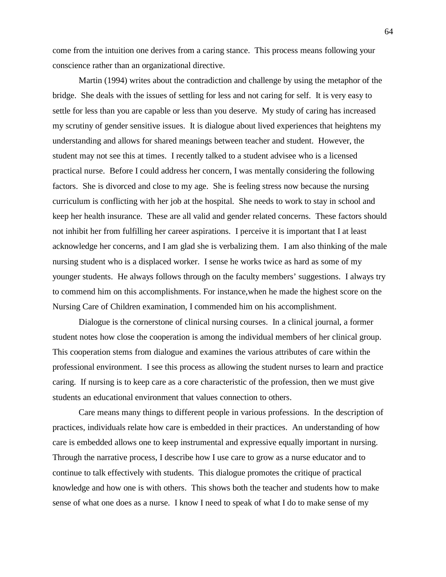come from the intuition one derives from a caring stance. This process means following your conscience rather than an organizational directive.

Martin (1994) writes about the contradiction and challenge by using the metaphor of the bridge. She deals with the issues of settling for less and not caring for self. It is very easy to settle for less than you are capable or less than you deserve. My study of caring has increased my scrutiny of gender sensitive issues. It is dialogue about lived experiences that heightens my understanding and allows for shared meanings between teacher and student. However, the student may not see this at times. I recently talked to a student advisee who is a licensed practical nurse. Before I could address her concern, I was mentally considering the following factors. She is divorced and close to my age. She is feeling stress now because the nursing curriculum is conflicting with her job at the hospital. She needs to work to stay in school and keep her health insurance. These are all valid and gender related concerns. These factors should not inhibit her from fulfilling her career aspirations. I perceive it is important that I at least acknowledge her concerns, and I am glad she is verbalizing them. I am also thinking of the male nursing student who is a displaced worker. I sense he works twice as hard as some of my younger students. He always follows through on the faculty members' suggestions. I always try to commend him on this accomplishments. For instance,when he made the highest score on the Nursing Care of Children examination, I commended him on his accomplishment.

Dialogue is the cornerstone of clinical nursing courses. In a clinical journal, a former student notes how close the cooperation is among the individual members of her clinical group. This cooperation stems from dialogue and examines the various attributes of care within the professional environment. I see this process as allowing the student nurses to learn and practice caring. If nursing is to keep care as a core characteristic of the profession, then we must give students an educational environment that values connection to others.

Care means many things to different people in various professions. In the description of practices, individuals relate how care is embedded in their practices. An understanding of how care is embedded allows one to keep instrumental and expressive equally important in nursing. Through the narrative process, I describe how I use care to grow as a nurse educator and to continue to talk effectively with students. This dialogue promotes the critique of practical knowledge and how one is with others. This shows both the teacher and students how to make sense of what one does as a nurse. I know I need to speak of what I do to make sense of my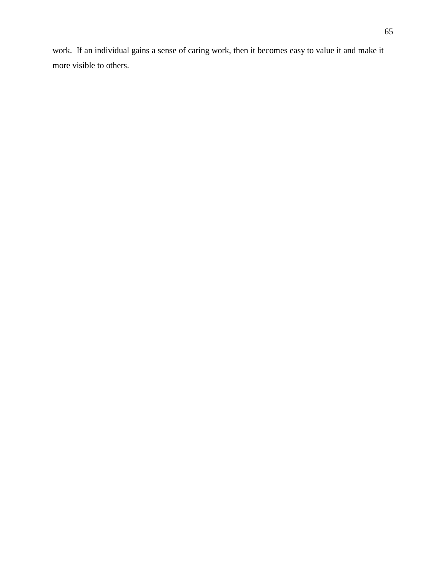work. If an individual gains a sense of caring work, then it becomes easy to value it and make it more visible to others.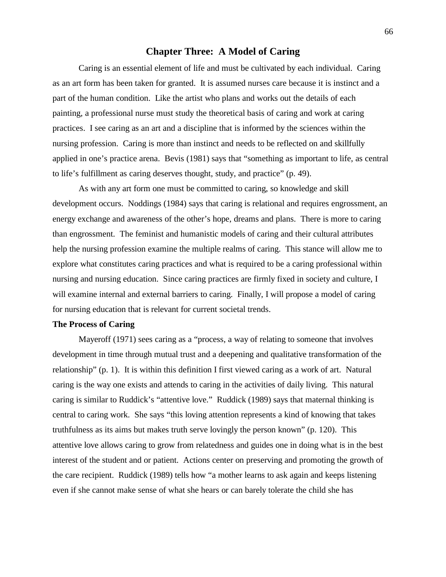# **Chapter Three: A Model of Caring**

Caring is an essential element of life and must be cultivated by each individual. Caring as an art form has been taken for granted. It is assumed nurses care because it is instinct and a part of the human condition. Like the artist who plans and works out the details of each painting, a professional nurse must study the theoretical basis of caring and work at caring practices. I see caring as an art and a discipline that is informed by the sciences within the nursing profession. Caring is more than instinct and needs to be reflected on and skillfully applied in one's practice arena. Bevis (1981) says that "something as important to life, as central to life's fulfillment as caring deserves thought, study, and practice" (p. 49).

As with any art form one must be committed to caring, so knowledge and skill development occurs. Noddings (1984) says that caring is relational and requires engrossment, an energy exchange and awareness of the other's hope, dreams and plans. There is more to caring than engrossment. The feminist and humanistic models of caring and their cultural attributes help the nursing profession examine the multiple realms of caring. This stance will allow me to explore what constitutes caring practices and what is required to be a caring professional within nursing and nursing education. Since caring practices are firmly fixed in society and culture, I will examine internal and external barriers to caring. Finally, I will propose a model of caring for nursing education that is relevant for current societal trends.

# **The Process of Caring**

Mayeroff (1971) sees caring as a "process, a way of relating to someone that involves development in time through mutual trust and a deepening and qualitative transformation of the relationship" (p. 1). It is within this definition I first viewed caring as a work of art. Natural caring is the way one exists and attends to caring in the activities of daily living. This natural caring is similar to Ruddick's "attentive love." Ruddick (1989) says that maternal thinking is central to caring work. She says "this loving attention represents a kind of knowing that takes truthfulness as its aims but makes truth serve lovingly the person known" (p. 120). This attentive love allows caring to grow from relatedness and guides one in doing what is in the best interest of the student and or patient. Actions center on preserving and promoting the growth of the care recipient. Ruddick (1989) tells how "a mother learns to ask again and keeps listening even if she cannot make sense of what she hears or can barely tolerate the child she has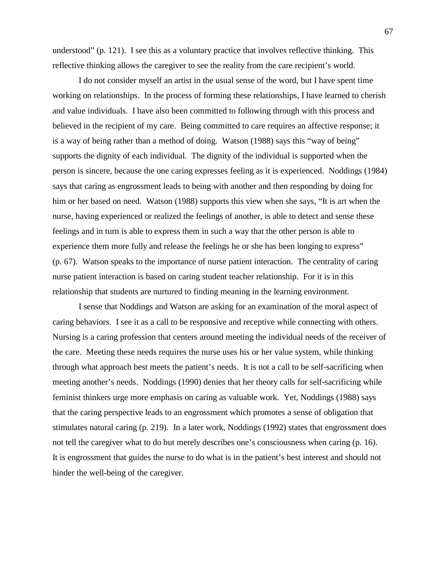understood" (p. 121). I see this as a voluntary practice that involves reflective thinking. This reflective thinking allows the caregiver to see the reality from the care recipient's world.

I do not consider myself an artist in the usual sense of the word, but I have spent time working on relationships. In the process of forming these relationships, I have learned to cherish and value individuals. I have also been committed to following through with this process and believed in the recipient of my care. Being committed to care requires an affective response; it is a way of being rather than a method of doing. Watson (1988) says this "way of being" supports the dignity of each individual. The dignity of the individual is supported when the person is sincere, because the one caring expresses feeling as it is experienced. Noddings (1984) says that caring as engrossment leads to being with another and then responding by doing for him or her based on need. Watson (1988) supports this view when she says, "It is art when the nurse, having experienced or realized the feelings of another, is able to detect and sense these feelings and in turn is able to express them in such a way that the other person is able to experience them more fully and release the feelings he or she has been longing to express" (p. 67). Watson speaks to the importance of nurse patient interaction. The centrality of caring nurse patient interaction is based on caring student teacher relationship. For it is in this relationship that students are nurtured to finding meaning in the learning environment.

I sense that Noddings and Watson are asking for an examination of the moral aspect of caring behaviors. I see it as a call to be responsive and receptive while connecting with others. Nursing is a caring profession that centers around meeting the individual needs of the receiver of the care. Meeting these needs requires the nurse uses his or her value system, while thinking through what approach best meets the patient's needs. It is not a call to be self-sacrificing when meeting another's needs. Noddings (1990) denies that her theory calls for self-sacrificing while feminist thinkers urge more emphasis on caring as valuable work. Yet, Noddings (1988) says that the caring perspective leads to an engrossment which promotes a sense of obligation that stimulates natural caring (p. 219). In a later work, Noddings (1992) states that engrossment does not tell the caregiver what to do but merely describes one's consciousness when caring (p. 16). It is engrossment that guides the nurse to do what is in the patient's best interest and should not hinder the well-being of the caregiver.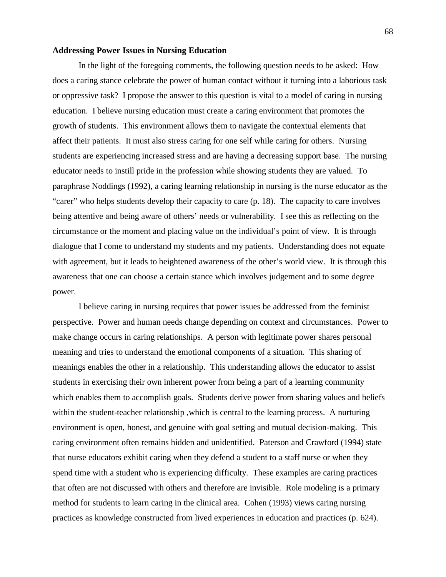#### **Addressing Power Issues in Nursing Education**

In the light of the foregoing comments, the following question needs to be asked: How does a caring stance celebrate the power of human contact without it turning into a laborious task or oppressive task? I propose the answer to this question is vital to a model of caring in nursing education. I believe nursing education must create a caring environment that promotes the growth of students. This environment allows them to navigate the contextual elements that affect their patients. It must also stress caring for one self while caring for others. Nursing students are experiencing increased stress and are having a decreasing support base. The nursing educator needs to instill pride in the profession while showing students they are valued. To paraphrase Noddings (1992), a caring learning relationship in nursing is the nurse educator as the "carer" who helps students develop their capacity to care (p. 18). The capacity to care involves being attentive and being aware of others' needs or vulnerability. I see this as reflecting on the circumstance or the moment and placing value on the individual's point of view. It is through dialogue that I come to understand my students and my patients. Understanding does not equate with agreement, but it leads to heightened awareness of the other's world view. It is through this awareness that one can choose a certain stance which involves judgement and to some degree power.

I believe caring in nursing requires that power issues be addressed from the feminist perspective. Power and human needs change depending on context and circumstances. Power to make change occurs in caring relationships. A person with legitimate power shares personal meaning and tries to understand the emotional components of a situation. This sharing of meanings enables the other in a relationship. This understanding allows the educator to assist students in exercising their own inherent power from being a part of a learning community which enables them to accomplish goals. Students derive power from sharing values and beliefs within the student-teacher relationship ,which is central to the learning process. A nurturing environment is open, honest, and genuine with goal setting and mutual decision-making. This caring environment often remains hidden and unidentified. Paterson and Crawford (1994) state that nurse educators exhibit caring when they defend a student to a staff nurse or when they spend time with a student who is experiencing difficulty. These examples are caring practices that often are not discussed with others and therefore are invisible. Role modeling is a primary method for students to learn caring in the clinical area. Cohen (1993) views caring nursing practices as knowledge constructed from lived experiences in education and practices (p. 624).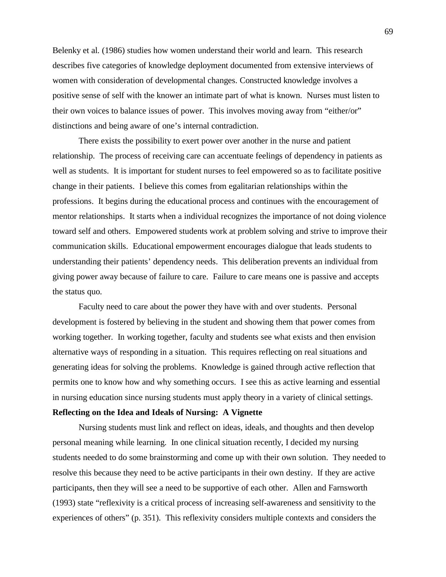Belenky et al. (1986) studies how women understand their world and learn. This research describes five categories of knowledge deployment documented from extensive interviews of women with consideration of developmental changes. Constructed knowledge involves a positive sense of self with the knower an intimate part of what is known. Nurses must listen to their own voices to balance issues of power. This involves moving away from "either/or" distinctions and being aware of one's internal contradiction.

There exists the possibility to exert power over another in the nurse and patient relationship. The process of receiving care can accentuate feelings of dependency in patients as well as students. It is important for student nurses to feel empowered so as to facilitate positive change in their patients. I believe this comes from egalitarian relationships within the professions. It begins during the educational process and continues with the encouragement of mentor relationships. It starts when a individual recognizes the importance of not doing violence toward self and others. Empowered students work at problem solving and strive to improve their communication skills. Educational empowerment encourages dialogue that leads students to understanding their patients' dependency needs. This deliberation prevents an individual from giving power away because of failure to care. Failure to care means one is passive and accepts the status quo.

Faculty need to care about the power they have with and over students. Personal development is fostered by believing in the student and showing them that power comes from working together. In working together, faculty and students see what exists and then envision alternative ways of responding in a situation. This requires reflecting on real situations and generating ideas for solving the problems. Knowledge is gained through active reflection that permits one to know how and why something occurs. I see this as active learning and essential in nursing education since nursing students must apply theory in a variety of clinical settings.

### **Reflecting on the Idea and Ideals of Nursing: A Vignette**

Nursing students must link and reflect on ideas, ideals, and thoughts and then develop personal meaning while learning. In one clinical situation recently, I decided my nursing students needed to do some brainstorming and come up with their own solution. They needed to resolve this because they need to be active participants in their own destiny. If they are active participants, then they will see a need to be supportive of each other. Allen and Farnsworth (1993) state "reflexivity is a critical process of increasing self-awareness and sensitivity to the experiences of others" (p. 351). This reflexivity considers multiple contexts and considers the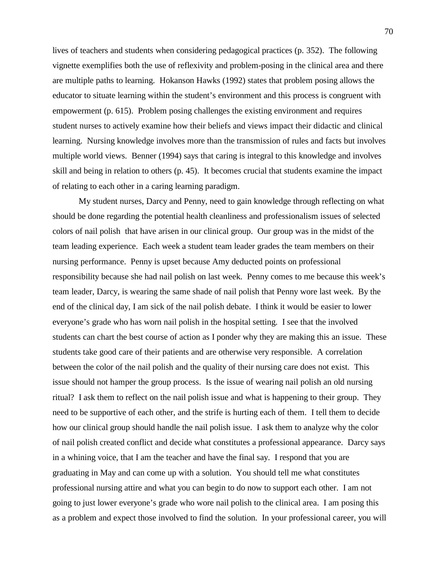lives of teachers and students when considering pedagogical practices (p. 352). The following vignette exemplifies both the use of reflexivity and problem-posing in the clinical area and there are multiple paths to learning. Hokanson Hawks (1992) states that problem posing allows the educator to situate learning within the student's environment and this process is congruent with empowerment (p. 615). Problem posing challenges the existing environment and requires student nurses to actively examine how their beliefs and views impact their didactic and clinical learning. Nursing knowledge involves more than the transmission of rules and facts but involves multiple world views. Benner (1994) says that caring is integral to this knowledge and involves skill and being in relation to others (p. 45). It becomes crucial that students examine the impact of relating to each other in a caring learning paradigm.

My student nurses, Darcy and Penny, need to gain knowledge through reflecting on what should be done regarding the potential health cleanliness and professionalism issues of selected colors of nail polish that have arisen in our clinical group. Our group was in the midst of the team leading experience. Each week a student team leader grades the team members on their nursing performance. Penny is upset because Amy deducted points on professional responsibility because she had nail polish on last week. Penny comes to me because this week's team leader, Darcy, is wearing the same shade of nail polish that Penny wore last week. By the end of the clinical day, I am sick of the nail polish debate. I think it would be easier to lower everyone's grade who has worn nail polish in the hospital setting. I see that the involved students can chart the best course of action as I ponder why they are making this an issue. These students take good care of their patients and are otherwise very responsible. A correlation between the color of the nail polish and the quality of their nursing care does not exist. This issue should not hamper the group process. Is the issue of wearing nail polish an old nursing ritual? I ask them to reflect on the nail polish issue and what is happening to their group. They need to be supportive of each other, and the strife is hurting each of them. I tell them to decide how our clinical group should handle the nail polish issue. I ask them to analyze why the color of nail polish created conflict and decide what constitutes a professional appearance. Darcy says in a whining voice, that I am the teacher and have the final say. I respond that you are graduating in May and can come up with a solution. You should tell me what constitutes professional nursing attire and what you can begin to do now to support each other. I am not going to just lower everyone's grade who wore nail polish to the clinical area. I am posing this as a problem and expect those involved to find the solution. In your professional career, you will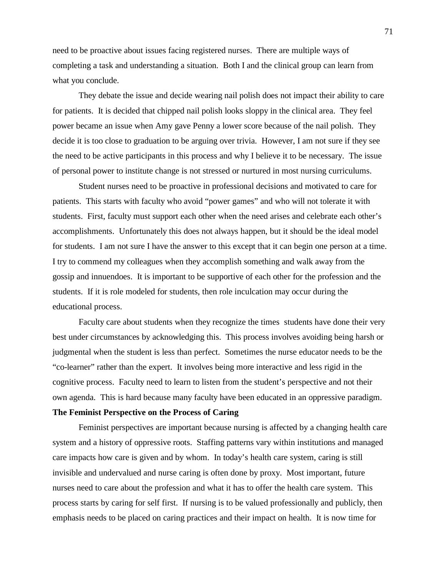need to be proactive about issues facing registered nurses. There are multiple ways of completing a task and understanding a situation. Both I and the clinical group can learn from what you conclude.

They debate the issue and decide wearing nail polish does not impact their ability to care for patients. It is decided that chipped nail polish looks sloppy in the clinical area. They feel power became an issue when Amy gave Penny a lower score because of the nail polish. They decide it is too close to graduation to be arguing over trivia. However, I am not sure if they see the need to be active participants in this process and why I believe it to be necessary. The issue of personal power to institute change is not stressed or nurtured in most nursing curriculums.

Student nurses need to be proactive in professional decisions and motivated to care for patients. This starts with faculty who avoid "power games" and who will not tolerate it with students. First, faculty must support each other when the need arises and celebrate each other's accomplishments. Unfortunately this does not always happen, but it should be the ideal model for students. I am not sure I have the answer to this except that it can begin one person at a time. I try to commend my colleagues when they accomplish something and walk away from the gossip and innuendoes. It is important to be supportive of each other for the profession and the students. If it is role modeled for students, then role inculcation may occur during the educational process.

Faculty care about students when they recognize the times students have done their very best under circumstances by acknowledging this. This process involves avoiding being harsh or judgmental when the student is less than perfect. Sometimes the nurse educator needs to be the "co-learner" rather than the expert. It involves being more interactive and less rigid in the cognitive process. Faculty need to learn to listen from the student's perspective and not their own agenda. This is hard because many faculty have been educated in an oppressive paradigm.

#### **The Feminist Perspective on the Process of Caring**

Feminist perspectives are important because nursing is affected by a changing health care system and a history of oppressive roots. Staffing patterns vary within institutions and managed care impacts how care is given and by whom. In today's health care system, caring is still invisible and undervalued and nurse caring is often done by proxy. Most important, future nurses need to care about the profession and what it has to offer the health care system. This process starts by caring for self first. If nursing is to be valued professionally and publicly, then emphasis needs to be placed on caring practices and their impact on health. It is now time for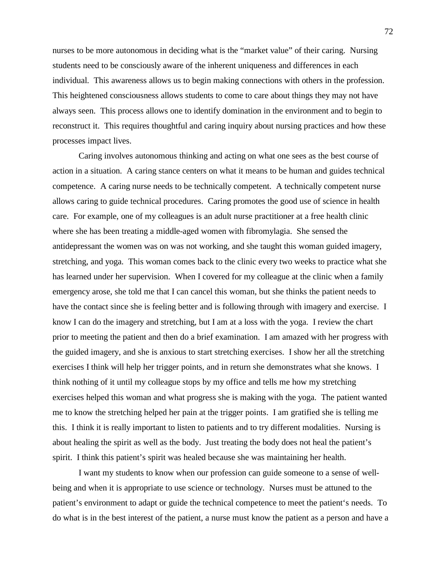nurses to be more autonomous in deciding what is the "market value" of their caring. Nursing students need to be consciously aware of the inherent uniqueness and differences in each individual. This awareness allows us to begin making connections with others in the profession. This heightened consciousness allows students to come to care about things they may not have always seen. This process allows one to identify domination in the environment and to begin to reconstruct it. This requires thoughtful and caring inquiry about nursing practices and how these processes impact lives.

Caring involves autonomous thinking and acting on what one sees as the best course of action in a situation. A caring stance centers on what it means to be human and guides technical competence. A caring nurse needs to be technically competent. A technically competent nurse allows caring to guide technical procedures. Caring promotes the good use of science in health care. For example, one of my colleagues is an adult nurse practitioner at a free health clinic where she has been treating a middle-aged women with fibromylagia. She sensed the antidepressant the women was on was not working, and she taught this woman guided imagery, stretching, and yoga. This woman comes back to the clinic every two weeks to practice what she has learned under her supervision. When I covered for my colleague at the clinic when a family emergency arose, she told me that I can cancel this woman, but she thinks the patient needs to have the contact since she is feeling better and is following through with imagery and exercise. I know I can do the imagery and stretching, but I am at a loss with the yoga. I review the chart prior to meeting the patient and then do a brief examination. I am amazed with her progress with the guided imagery, and she is anxious to start stretching exercises. I show her all the stretching exercises I think will help her trigger points, and in return she demonstrates what she knows. I think nothing of it until my colleague stops by my office and tells me how my stretching exercises helped this woman and what progress she is making with the yoga. The patient wanted me to know the stretching helped her pain at the trigger points. I am gratified she is telling me this. I think it is really important to listen to patients and to try different modalities. Nursing is about healing the spirit as well as the body. Just treating the body does not heal the patient's spirit. I think this patient's spirit was healed because she was maintaining her health.

I want my students to know when our profession can guide someone to a sense of wellbeing and when it is appropriate to use science or technology. Nurses must be attuned to the patient's environment to adapt or guide the technical competence to meet the patient's needs. To do what is in the best interest of the patient, a nurse must know the patient as a person and have a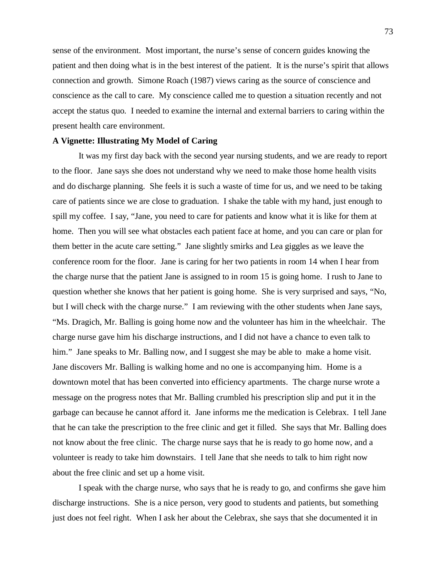sense of the environment. Most important, the nurse's sense of concern guides knowing the patient and then doing what is in the best interest of the patient. It is the nurse's spirit that allows connection and growth. Simone Roach (1987) views caring as the source of conscience and conscience as the call to care. My conscience called me to question a situation recently and not accept the status quo. I needed to examine the internal and external barriers to caring within the present health care environment.

#### **A Vignette: Illustrating My Model of Caring**

It was my first day back with the second year nursing students, and we are ready to report to the floor. Jane says she does not understand why we need to make those home health visits and do discharge planning. She feels it is such a waste of time for us, and we need to be taking care of patients since we are close to graduation. I shake the table with my hand, just enough to spill my coffee. I say, "Jane, you need to care for patients and know what it is like for them at home. Then you will see what obstacles each patient face at home, and you can care or plan for them better in the acute care setting." Jane slightly smirks and Lea giggles as we leave the conference room for the floor. Jane is caring for her two patients in room 14 when I hear from the charge nurse that the patient Jane is assigned to in room 15 is going home. I rush to Jane to question whether she knows that her patient is going home. She is very surprised and says, "No, but I will check with the charge nurse." I am reviewing with the other students when Jane says, "Ms. Dragich, Mr. Balling is going home now and the volunteer has him in the wheelchair. The charge nurse gave him his discharge instructions, and I did not have a chance to even talk to him." Jane speaks to Mr. Balling now, and I suggest she may be able to make a home visit. Jane discovers Mr. Balling is walking home and no one is accompanying him. Home is a downtown motel that has been converted into efficiency apartments. The charge nurse wrote a message on the progress notes that Mr. Balling crumbled his prescription slip and put it in the garbage can because he cannot afford it. Jane informs me the medication is Celebrax. I tell Jane that he can take the prescription to the free clinic and get it filled. She says that Mr. Balling does not know about the free clinic. The charge nurse says that he is ready to go home now, and a volunteer is ready to take him downstairs. I tell Jane that she needs to talk to him right now about the free clinic and set up a home visit.

I speak with the charge nurse, who says that he is ready to go, and confirms she gave him discharge instructions. She is a nice person, very good to students and patients, but something just does not feel right. When I ask her about the Celebrax, she says that she documented it in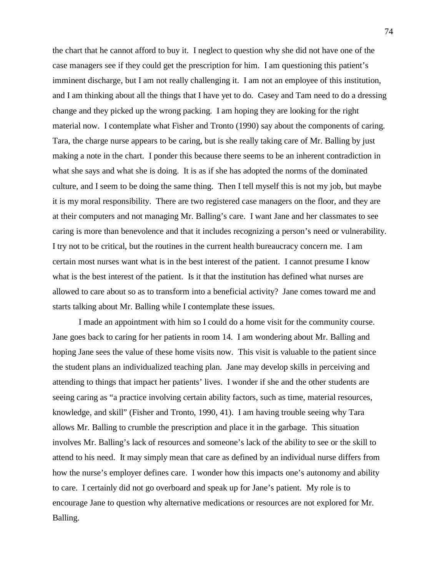the chart that he cannot afford to buy it. I neglect to question why she did not have one of the case managers see if they could get the prescription for him. I am questioning this patient's imminent discharge, but I am not really challenging it. I am not an employee of this institution, and I am thinking about all the things that I have yet to do. Casey and Tam need to do a dressing change and they picked up the wrong packing. I am hoping they are looking for the right material now. I contemplate what Fisher and Tronto (1990) say about the components of caring. Tara, the charge nurse appears to be caring, but is she really taking care of Mr. Balling by just making a note in the chart. I ponder this because there seems to be an inherent contradiction in what she says and what she is doing. It is as if she has adopted the norms of the dominated culture, and I seem to be doing the same thing. Then I tell myself this is not my job, but maybe it is my moral responsibility. There are two registered case managers on the floor, and they are at their computers and not managing Mr. Balling's care. I want Jane and her classmates to see caring is more than benevolence and that it includes recognizing a person's need or vulnerability. I try not to be critical, but the routines in the current health bureaucracy concern me. I am certain most nurses want what is in the best interest of the patient. I cannot presume I know what is the best interest of the patient. Is it that the institution has defined what nurses are allowed to care about so as to transform into a beneficial activity? Jane comes toward me and starts talking about Mr. Balling while I contemplate these issues.

I made an appointment with him so I could do a home visit for the community course. Jane goes back to caring for her patients in room 14. I am wondering about Mr. Balling and hoping Jane sees the value of these home visits now. This visit is valuable to the patient since the student plans an individualized teaching plan. Jane may develop skills in perceiving and attending to things that impact her patients' lives. I wonder if she and the other students are seeing caring as "a practice involving certain ability factors, such as time, material resources, knowledge, and skill" (Fisher and Tronto, 1990, 41). I am having trouble seeing why Tara allows Mr. Balling to crumble the prescription and place it in the garbage. This situation involves Mr. Balling's lack of resources and someone's lack of the ability to see or the skill to attend to his need. It may simply mean that care as defined by an individual nurse differs from how the nurse's employer defines care. I wonder how this impacts one's autonomy and ability to care. I certainly did not go overboard and speak up for Jane's patient. My role is to encourage Jane to question why alternative medications or resources are not explored for Mr. Balling.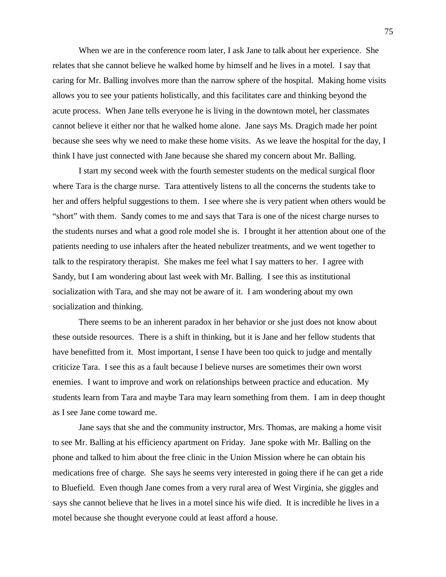When we are in the conference room later, I ask Jane to talk about her experience. She relates that she cannot believe he walked home by himself and he lives in a motel. I say that caring for Mr. Balling involves more than the narrow sphere of the hospital. Making home visits allows you to see your patients holistically, and this facilitates care and thinking beyond the acute process. When Jane tells everyone he is living in the downtown motel, her classmates cannot believe it either nor that he walked home alone. Jane says Ms. Dragich made her point because she sees why we need to make these home visits. As we leave the hospital for the day, I think I have just connected with Jane because she shared my concern about Mr. Balling.

I start my second week with the fourth semester students on the medical surgical floor where Tara is the charge nurse. Tara attentively listens to all the concerns the students take to her and offers helpful suggestions to them. I see where she is very patient when others would be "short" with them. Sandy comes to me and says that Tara is one of the nicest charge nurses to the students nurses and what a good role model she is. I brought it her attention about one of the patients needing to use inhalers after the heated nebulizer treatments, and we went together to talk to the respiratory therapist. She makes me feel what I say matters to her. I agree with Sandy, but I am wondering about last week with Mr. Balling. I see this as institutional socialization with Tara, and she may not be aware of it. I am wondering about my own socialization and thinking.

There seems to be an inherent paradox in her behavior or she just does not know about these outside resources. There is a shift in thinking, but it is Jane and her fellow students that have benefitted from it. Most important, I sense I have been too quick to judge and mentally criticize Tara. I see this as a fault because I believe nurses are sometimes their own worst enemies. I want to improve and work on relationships between practice and education. My students learn from Tara and maybe Tara may learn something from them. I am in deep thought as I see Jane come toward me.

Jane says that she and the community instructor, Mrs. Thomas, are making a home visit to see Mr. Balling at his efficiency apartment on Friday. Jane spoke with Mr. Balling on the phone and talked to him about the free clinic in the Union Mission where he can obtain his medications free of charge. She says he seems very interested in going there if he can get a ride to Bluefield. Even though Jane comes from a very rural area of West Virginia, she giggles and says she cannot believe that he lives in a motel since his wife died. It is incredible he lives in a motel because she thought everyone could at least afford a house.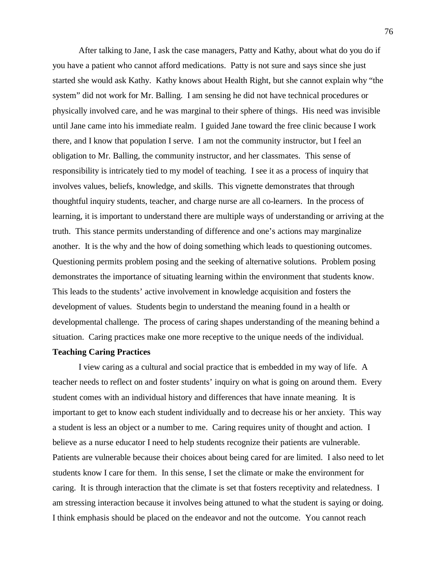After talking to Jane, I ask the case managers, Patty and Kathy, about what do you do if you have a patient who cannot afford medications. Patty is not sure and says since she just started she would ask Kathy. Kathy knows about Health Right, but she cannot explain why "the system" did not work for Mr. Balling. I am sensing he did not have technical procedures or physically involved care, and he was marginal to their sphere of things. His need was invisible until Jane came into his immediate realm. I guided Jane toward the free clinic because I work there, and I know that population I serve. I am not the community instructor, but I feel an obligation to Mr. Balling, the community instructor, and her classmates. This sense of responsibility is intricately tied to my model of teaching. I see it as a process of inquiry that involves values, beliefs, knowledge, and skills. This vignette demonstrates that through thoughtful inquiry students, teacher, and charge nurse are all co-learners. In the process of learning, it is important to understand there are multiple ways of understanding or arriving at the truth. This stance permits understanding of difference and one's actions may marginalize another. It is the why and the how of doing something which leads to questioning outcomes. Questioning permits problem posing and the seeking of alternative solutions. Problem posing demonstrates the importance of situating learning within the environment that students know. This leads to the students' active involvement in knowledge acquisition and fosters the development of values. Students begin to understand the meaning found in a health or developmental challenge. The process of caring shapes understanding of the meaning behind a situation. Caring practices make one more receptive to the unique needs of the individual.

### **Teaching Caring Practices**

I view caring as a cultural and social practice that is embedded in my way of life. A teacher needs to reflect on and foster students' inquiry on what is going on around them. Every student comes with an individual history and differences that have innate meaning. It is important to get to know each student individually and to decrease his or her anxiety. This way a student is less an object or a number to me. Caring requires unity of thought and action. I believe as a nurse educator I need to help students recognize their patients are vulnerable. Patients are vulnerable because their choices about being cared for are limited. I also need to let students know I care for them. In this sense, I set the climate or make the environment for caring. It is through interaction that the climate is set that fosters receptivity and relatedness. I am stressing interaction because it involves being attuned to what the student is saying or doing. I think emphasis should be placed on the endeavor and not the outcome. You cannot reach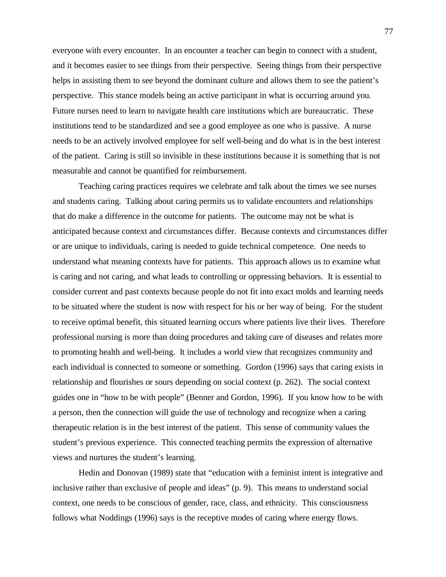everyone with every encounter. In an encounter a teacher can begin to connect with a student, and it becomes easier to see things from their perspective. Seeing things from their perspective helps in assisting them to see beyond the dominant culture and allows them to see the patient's perspective. This stance models being an active participant in what is occurring around you. Future nurses need to learn to navigate health care institutions which are bureaucratic. These institutions tend to be standardized and see a good employee as one who is passive. A nurse needs to be an actively involved employee for self well-being and do what is in the best interest of the patient. Caring is still so invisible in these institutions because it is something that is not measurable and cannot be quantified for reimbursement.

Teaching caring practices requires we celebrate and talk about the times we see nurses and students caring. Talking about caring permits us to validate encounters and relationships that do make a difference in the outcome for patients. The outcome may not be what is anticipated because context and circumstances differ. Because contexts and circumstances differ or are unique to individuals, caring is needed to guide technical competence. One needs to understand what meaning contexts have for patients. This approach allows us to examine what is caring and not caring, and what leads to controlling or oppressing behaviors. It is essential to consider current and past contexts because people do not fit into exact molds and learning needs to be situated where the student is now with respect for his or her way of being. For the student to receive optimal benefit, this situated learning occurs where patients live their lives. Therefore professional nursing is more than doing procedures and taking care of diseases and relates more to promoting health and well-being. It includes a world view that recognizes community and each individual is connected to someone or something. Gordon (1996) says that caring exists in relationship and flourishes or sours depending on social context (p. 262). The social context guides one in "how to be with people" (Benner and Gordon, 1996). If you know how to be with a person, then the connection will guide the use of technology and recognize when a caring therapeutic relation is in the best interest of the patient. This sense of community values the student's previous experience. This connected teaching permits the expression of alternative views and nurtures the student's learning.

Hedin and Donovan (1989) state that "education with a feminist intent is integrative and inclusive rather than exclusive of people and ideas" (p. 9). This means to understand social context, one needs to be conscious of gender, race, class, and ethnicity. This consciousness follows what Noddings (1996) says is the receptive modes of caring where energy flows.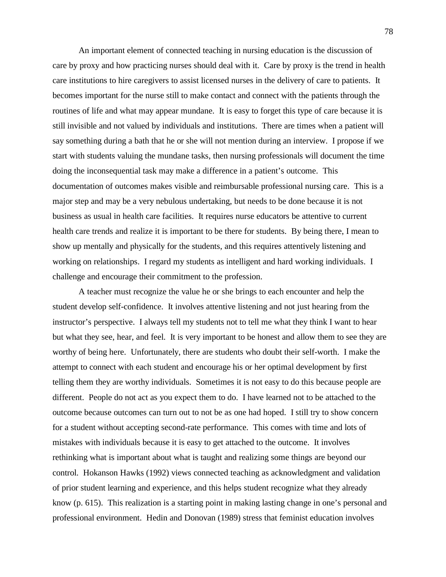An important element of connected teaching in nursing education is the discussion of care by proxy and how practicing nurses should deal with it. Care by proxy is the trend in health care institutions to hire caregivers to assist licensed nurses in the delivery of care to patients. It becomes important for the nurse still to make contact and connect with the patients through the routines of life and what may appear mundane. It is easy to forget this type of care because it is still invisible and not valued by individuals and institutions. There are times when a patient will say something during a bath that he or she will not mention during an interview. I propose if we start with students valuing the mundane tasks, then nursing professionals will document the time doing the inconsequential task may make a difference in a patient's outcome. This documentation of outcomes makes visible and reimbursable professional nursing care. This is a major step and may be a very nebulous undertaking, but needs to be done because it is not business as usual in health care facilities. It requires nurse educators be attentive to current health care trends and realize it is important to be there for students. By being there, I mean to show up mentally and physically for the students, and this requires attentively listening and working on relationships. I regard my students as intelligent and hard working individuals. I challenge and encourage their commitment to the profession.

A teacher must recognize the value he or she brings to each encounter and help the student develop self-confidence. It involves attentive listening and not just hearing from the instructor's perspective. I always tell my students not to tell me what they think I want to hear but what they see, hear, and feel. It is very important to be honest and allow them to see they are worthy of being here. Unfortunately, there are students who doubt their self-worth. I make the attempt to connect with each student and encourage his or her optimal development by first telling them they are worthy individuals. Sometimes it is not easy to do this because people are different. People do not act as you expect them to do. I have learned not to be attached to the outcome because outcomes can turn out to not be as one had hoped. I still try to show concern for a student without accepting second-rate performance. This comes with time and lots of mistakes with individuals because it is easy to get attached to the outcome. It involves rethinking what is important about what is taught and realizing some things are beyond our control. Hokanson Hawks (1992) views connected teaching as acknowledgment and validation of prior student learning and experience, and this helps student recognize what they already know (p. 615). This realization is a starting point in making lasting change in one's personal and professional environment. Hedin and Donovan (1989) stress that feminist education involves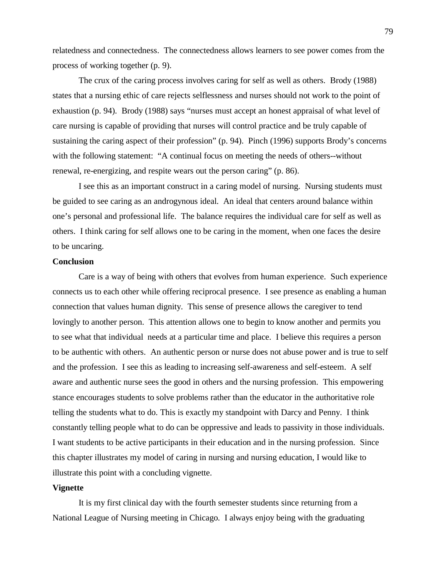relatedness and connectedness. The connectedness allows learners to see power comes from the process of working together (p. 9).

The crux of the caring process involves caring for self as well as others. Brody (1988) states that a nursing ethic of care rejects selflessness and nurses should not work to the point of exhaustion (p. 94). Brody (1988) says "nurses must accept an honest appraisal of what level of care nursing is capable of providing that nurses will control practice and be truly capable of sustaining the caring aspect of their profession" (p. 94). Pinch (1996) supports Brody's concerns with the following statement: "A continual focus on meeting the needs of others--without renewal, re-energizing, and respite wears out the person caring" (p. 86).

I see this as an important construct in a caring model of nursing. Nursing students must be guided to see caring as an androgynous ideal. An ideal that centers around balance within one's personal and professional life. The balance requires the individual care for self as well as others. I think caring for self allows one to be caring in the moment, when one faces the desire to be uncaring.

#### **Conclusion**

Care is a way of being with others that evolves from human experience. Such experience connects us to each other while offering reciprocal presence. I see presence as enabling a human connection that values human dignity. This sense of presence allows the caregiver to tend lovingly to another person. This attention allows one to begin to know another and permits you to see what that individual needs at a particular time and place. I believe this requires a person to be authentic with others. An authentic person or nurse does not abuse power and is true to self and the profession. I see this as leading to increasing self-awareness and self-esteem. A self aware and authentic nurse sees the good in others and the nursing profession. This empowering stance encourages students to solve problems rather than the educator in the authoritative role telling the students what to do. This is exactly my standpoint with Darcy and Penny. I think constantly telling people what to do can be oppressive and leads to passivity in those individuals. I want students to be active participants in their education and in the nursing profession. Since this chapter illustrates my model of caring in nursing and nursing education, I would like to illustrate this point with a concluding vignette.

#### **Vignette**

It is my first clinical day with the fourth semester students since returning from a National League of Nursing meeting in Chicago. I always enjoy being with the graduating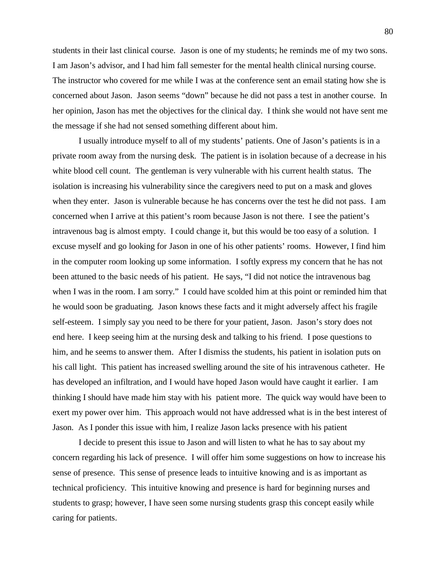students in their last clinical course. Jason is one of my students; he reminds me of my two sons. I am Jason's advisor, and I had him fall semester for the mental health clinical nursing course. The instructor who covered for me while I was at the conference sent an email stating how she is concerned about Jason. Jason seems "down" because he did not pass a test in another course. In her opinion, Jason has met the objectives for the clinical day. I think she would not have sent me the message if she had not sensed something different about him.

I usually introduce myself to all of my students' patients. One of Jason's patients is in a private room away from the nursing desk. The patient is in isolation because of a decrease in his white blood cell count. The gentleman is very vulnerable with his current health status. The isolation is increasing his vulnerability since the caregivers need to put on a mask and gloves when they enter. Jason is vulnerable because he has concerns over the test he did not pass. I am concerned when I arrive at this patient's room because Jason is not there. I see the patient's intravenous bag is almost empty. I could change it, but this would be too easy of a solution. I excuse myself and go looking for Jason in one of his other patients' rooms. However, I find him in the computer room looking up some information. I softly express my concern that he has not been attuned to the basic needs of his patient. He says, "I did not notice the intravenous bag when I was in the room. I am sorry." I could have scolded him at this point or reminded him that he would soon be graduating. Jason knows these facts and it might adversely affect his fragile self-esteem. I simply say you need to be there for your patient, Jason. Jason's story does not end here. I keep seeing him at the nursing desk and talking to his friend. I pose questions to him, and he seems to answer them. After I dismiss the students, his patient in isolation puts on his call light. This patient has increased swelling around the site of his intravenous catheter. He has developed an infiltration, and I would have hoped Jason would have caught it earlier. I am thinking I should have made him stay with his patient more. The quick way would have been to exert my power over him. This approach would not have addressed what is in the best interest of Jason. As I ponder this issue with him, I realize Jason lacks presence with his patient

I decide to present this issue to Jason and will listen to what he has to say about my concern regarding his lack of presence. I will offer him some suggestions on how to increase his sense of presence. This sense of presence leads to intuitive knowing and is as important as technical proficiency. This intuitive knowing and presence is hard for beginning nurses and students to grasp; however, I have seen some nursing students grasp this concept easily while caring for patients.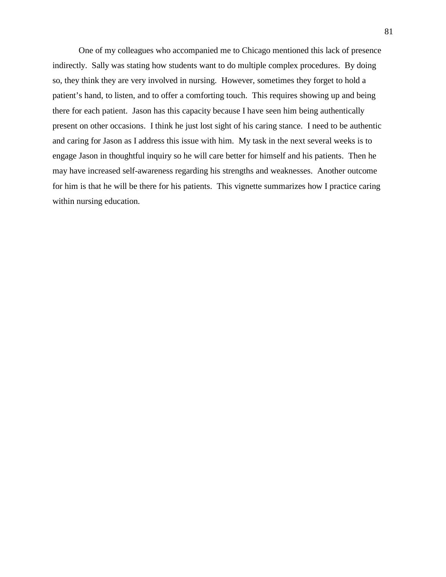One of my colleagues who accompanied me to Chicago mentioned this lack of presence indirectly. Sally was stating how students want to do multiple complex procedures. By doing so, they think they are very involved in nursing. However, sometimes they forget to hold a patient's hand, to listen, and to offer a comforting touch. This requires showing up and being there for each patient. Jason has this capacity because I have seen him being authentically present on other occasions. I think he just lost sight of his caring stance. I need to be authentic and caring for Jason as I address this issue with him. My task in the next several weeks is to engage Jason in thoughtful inquiry so he will care better for himself and his patients. Then he may have increased self-awareness regarding his strengths and weaknesses. Another outcome for him is that he will be there for his patients. This vignette summarizes how I practice caring within nursing education.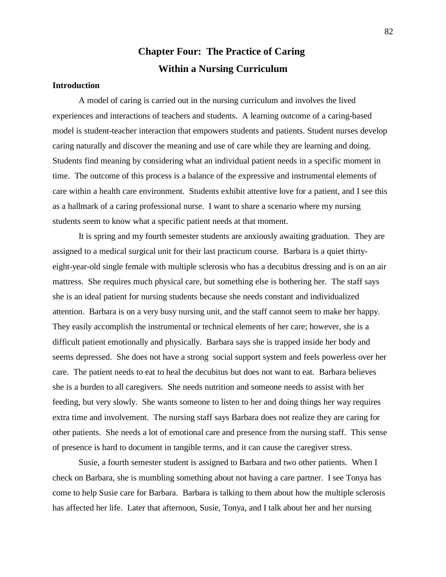# **Chapter Four: The Practice of Caring Within a Nursing Curriculum**

## **Introduction**

A model of caring is carried out in the nursing curriculum and involves the lived experiences and interactions of teachers and students. A learning outcome of a caring-based model is student-teacher interaction that empowers students and patients. Student nurses develop caring naturally and discover the meaning and use of care while they are learning and doing. Students find meaning by considering what an individual patient needs in a specific moment in time. The outcome of this process is a balance of the expressive and instrumental elements of care within a health care environment. Students exhibit attentive love for a patient, and I see this as a hallmark of a caring professional nurse. I want to share a scenario where my nursing students seem to know what a specific patient needs at that moment.

It is spring and my fourth semester students are anxiously awaiting graduation. They are assigned to a medical surgical unit for their last practicum course. Barbara is a quiet thirtyeight-year-old single female with multiple sclerosis who has a decubitus dressing and is on an air mattress. She requires much physical care, but something else is bothering her. The staff says she is an ideal patient for nursing students because she needs constant and individualized attention. Barbara is on a very busy nursing unit, and the staff cannot seem to make her happy. They easily accomplish the instrumental or technical elements of her care; however, she is a difficult patient emotionally and physically. Barbara says she is trapped inside her body and seems depressed. She does not have a strong social support system and feels powerless over her care. The patient needs to eat to heal the decubitus but does not want to eat. Barbara believes she is a burden to all caregivers. She needs nutrition and someone needs to assist with her feeding, but very slowly. She wants someone to listen to her and doing things her way requires extra time and involvement. The nursing staff says Barbara does not realize they are caring for other patients. She needs a lot of emotional care and presence from the nursing staff. This sense of presence is hard to document in tangible terms, and it can cause the caregiver stress.

Susie, a fourth semester student is assigned to Barbara and two other patients. When I check on Barbara, she is mumbling something about not having a care partner. I see Tonya has come to help Susie care for Barbara. Barbara is talking to them about how the multiple sclerosis has affected her life. Later that afternoon, Susie, Tonya, and I talk about her and her nursing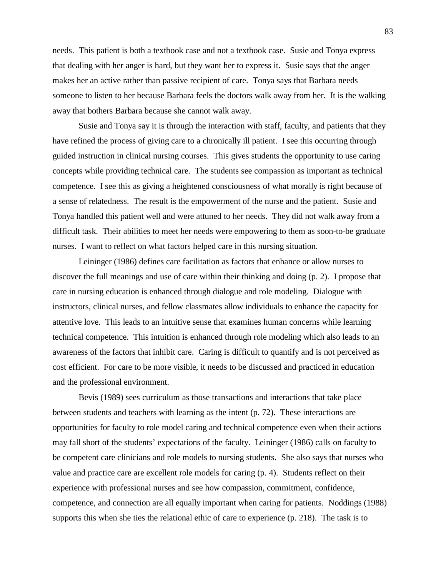needs. This patient is both a textbook case and not a textbook case. Susie and Tonya express that dealing with her anger is hard, but they want her to express it. Susie says that the anger makes her an active rather than passive recipient of care. Tonya says that Barbara needs someone to listen to her because Barbara feels the doctors walk away from her. It is the walking away that bothers Barbara because she cannot walk away.

Susie and Tonya say it is through the interaction with staff, faculty, and patients that they have refined the process of giving care to a chronically ill patient. I see this occurring through guided instruction in clinical nursing courses. This gives students the opportunity to use caring concepts while providing technical care. The students see compassion as important as technical competence. I see this as giving a heightened consciousness of what morally is right because of a sense of relatedness. The result is the empowerment of the nurse and the patient. Susie and Tonya handled this patient well and were attuned to her needs. They did not walk away from a difficult task. Their abilities to meet her needs were empowering to them as soon-to-be graduate nurses. I want to reflect on what factors helped care in this nursing situation.

Leininger (1986) defines care facilitation as factors that enhance or allow nurses to discover the full meanings and use of care within their thinking and doing (p. 2). I propose that care in nursing education is enhanced through dialogue and role modeling. Dialogue with instructors, clinical nurses, and fellow classmates allow individuals to enhance the capacity for attentive love. This leads to an intuitive sense that examines human concerns while learning technical competence. This intuition is enhanced through role modeling which also leads to an awareness of the factors that inhibit care. Caring is difficult to quantify and is not perceived as cost efficient. For care to be more visible, it needs to be discussed and practiced in education and the professional environment.

Bevis (1989) sees curriculum as those transactions and interactions that take place between students and teachers with learning as the intent (p. 72). These interactions are opportunities for faculty to role model caring and technical competence even when their actions may fall short of the students' expectations of the faculty. Leininger (1986) calls on faculty to be competent care clinicians and role models to nursing students. She also says that nurses who value and practice care are excellent role models for caring (p. 4). Students reflect on their experience with professional nurses and see how compassion, commitment, confidence, competence, and connection are all equally important when caring for patients. Noddings (1988) supports this when she ties the relational ethic of care to experience (p. 218). The task is to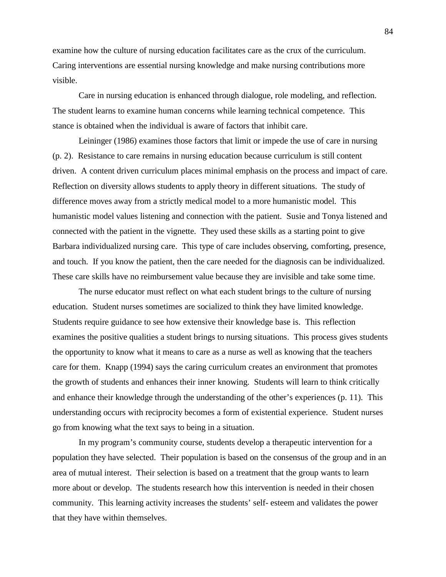examine how the culture of nursing education facilitates care as the crux of the curriculum. Caring interventions are essential nursing knowledge and make nursing contributions more visible.

Care in nursing education is enhanced through dialogue, role modeling, and reflection. The student learns to examine human concerns while learning technical competence. This stance is obtained when the individual is aware of factors that inhibit care.

Leininger (1986) examines those factors that limit or impede the use of care in nursing (p. 2). Resistance to care remains in nursing education because curriculum is still content driven. A content driven curriculum places minimal emphasis on the process and impact of care. Reflection on diversity allows students to apply theory in different situations. The study of difference moves away from a strictly medical model to a more humanistic model. This humanistic model values listening and connection with the patient. Susie and Tonya listened and connected with the patient in the vignette. They used these skills as a starting point to give Barbara individualized nursing care. This type of care includes observing, comforting, presence, and touch. If you know the patient, then the care needed for the diagnosis can be individualized. These care skills have no reimbursement value because they are invisible and take some time.

The nurse educator must reflect on what each student brings to the culture of nursing education. Student nurses sometimes are socialized to think they have limited knowledge. Students require guidance to see how extensive their knowledge base is. This reflection examines the positive qualities a student brings to nursing situations. This process gives students the opportunity to know what it means to care as a nurse as well as knowing that the teachers care for them. Knapp (1994) says the caring curriculum creates an environment that promotes the growth of students and enhances their inner knowing. Students will learn to think critically and enhance their knowledge through the understanding of the other's experiences (p. 11). This understanding occurs with reciprocity becomes a form of existential experience. Student nurses go from knowing what the text says to being in a situation.

In my program's community course, students develop a therapeutic intervention for a population they have selected. Their population is based on the consensus of the group and in an area of mutual interest. Their selection is based on a treatment that the group wants to learn more about or develop. The students research how this intervention is needed in their chosen community. This learning activity increases the students' self- esteem and validates the power that they have within themselves.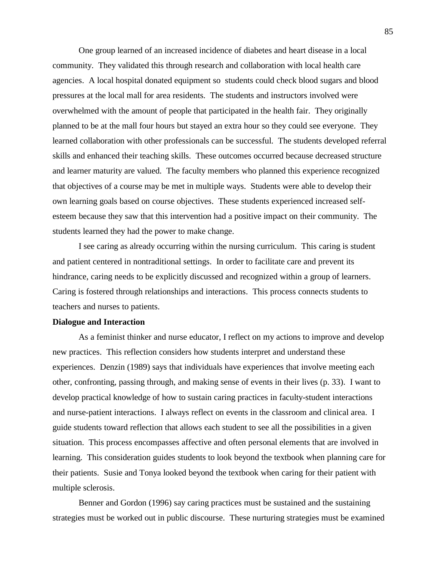One group learned of an increased incidence of diabetes and heart disease in a local community. They validated this through research and collaboration with local health care agencies. A local hospital donated equipment so students could check blood sugars and blood pressures at the local mall for area residents. The students and instructors involved were overwhelmed with the amount of people that participated in the health fair. They originally planned to be at the mall four hours but stayed an extra hour so they could see everyone. They learned collaboration with other professionals can be successful. The students developed referral skills and enhanced their teaching skills. These outcomes occurred because decreased structure and learner maturity are valued. The faculty members who planned this experience recognized that objectives of a course may be met in multiple ways. Students were able to develop their own learning goals based on course objectives. These students experienced increased selfesteem because they saw that this intervention had a positive impact on their community. The students learned they had the power to make change.

I see caring as already occurring within the nursing curriculum. This caring is student and patient centered in nontraditional settings. In order to facilitate care and prevent its hindrance, caring needs to be explicitly discussed and recognized within a group of learners. Caring is fostered through relationships and interactions. This process connects students to teachers and nurses to patients.

#### **Dialogue and Interaction**

As a feminist thinker and nurse educator, I reflect on my actions to improve and develop new practices. This reflection considers how students interpret and understand these experiences. Denzin (1989) says that individuals have experiences that involve meeting each other, confronting, passing through, and making sense of events in their lives (p. 33). I want to develop practical knowledge of how to sustain caring practices in faculty-student interactions and nurse-patient interactions. I always reflect on events in the classroom and clinical area. I guide students toward reflection that allows each student to see all the possibilities in a given situation. This process encompasses affective and often personal elements that are involved in learning. This consideration guides students to look beyond the textbook when planning care for their patients. Susie and Tonya looked beyond the textbook when caring for their patient with multiple sclerosis.

Benner and Gordon (1996) say caring practices must be sustained and the sustaining strategies must be worked out in public discourse. These nurturing strategies must be examined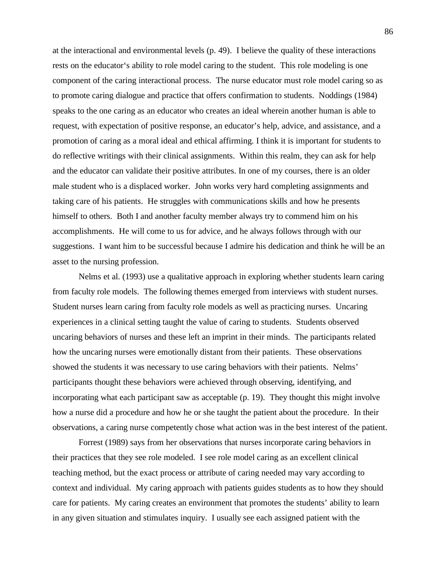at the interactional and environmental levels (p. 49). I believe the quality of these interactions rests on the educator's ability to role model caring to the student. This role modeling is one component of the caring interactional process. The nurse educator must role model caring so as to promote caring dialogue and practice that offers confirmation to students. Noddings (1984) speaks to the one caring as an educator who creates an ideal wherein another human is able to request, with expectation of positive response, an educator's help, advice, and assistance, and a promotion of caring as a moral ideal and ethical affirming. I think it is important for students to do reflective writings with their clinical assignments. Within this realm, they can ask for help and the educator can validate their positive attributes. In one of my courses, there is an older male student who is a displaced worker. John works very hard completing assignments and taking care of his patients. He struggles with communications skills and how he presents himself to others. Both I and another faculty member always try to commend him on his accomplishments. He will come to us for advice, and he always follows through with our suggestions. I want him to be successful because I admire his dedication and think he will be an asset to the nursing profession.

Nelms et al. (1993) use a qualitative approach in exploring whether students learn caring from faculty role models. The following themes emerged from interviews with student nurses. Student nurses learn caring from faculty role models as well as practicing nurses. Uncaring experiences in a clinical setting taught the value of caring to students. Students observed uncaring behaviors of nurses and these left an imprint in their minds. The participants related how the uncaring nurses were emotionally distant from their patients. These observations showed the students it was necessary to use caring behaviors with their patients. Nelms' participants thought these behaviors were achieved through observing, identifying, and incorporating what each participant saw as acceptable (p. 19). They thought this might involve how a nurse did a procedure and how he or she taught the patient about the procedure. In their observations, a caring nurse competently chose what action was in the best interest of the patient.

Forrest (1989) says from her observations that nurses incorporate caring behaviors in their practices that they see role modeled. I see role model caring as an excellent clinical teaching method, but the exact process or attribute of caring needed may vary according to context and individual. My caring approach with patients guides students as to how they should care for patients. My caring creates an environment that promotes the students' ability to learn in any given situation and stimulates inquiry. I usually see each assigned patient with the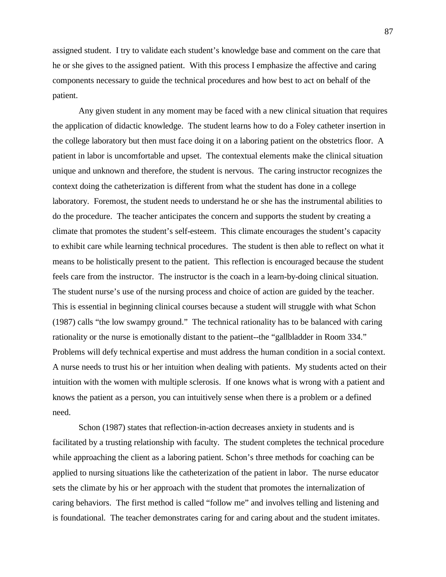assigned student. I try to validate each student's knowledge base and comment on the care that he or she gives to the assigned patient. With this process I emphasize the affective and caring components necessary to guide the technical procedures and how best to act on behalf of the patient.

Any given student in any moment may be faced with a new clinical situation that requires the application of didactic knowledge. The student learns how to do a Foley catheter insertion in the college laboratory but then must face doing it on a laboring patient on the obstetrics floor. A patient in labor is uncomfortable and upset. The contextual elements make the clinical situation unique and unknown and therefore, the student is nervous. The caring instructor recognizes the context doing the catheterization is different from what the student has done in a college laboratory. Foremost, the student needs to understand he or she has the instrumental abilities to do the procedure. The teacher anticipates the concern and supports the student by creating a climate that promotes the student's self-esteem. This climate encourages the student's capacity to exhibit care while learning technical procedures. The student is then able to reflect on what it means to be holistically present to the patient. This reflection is encouraged because the student feels care from the instructor. The instructor is the coach in a learn-by-doing clinical situation. The student nurse's use of the nursing process and choice of action are guided by the teacher. This is essential in beginning clinical courses because a student will struggle with what Schon (1987) calls "the low swampy ground." The technical rationality has to be balanced with caring rationality or the nurse is emotionally distant to the patient--the "gallbladder in Room 334." Problems will defy technical expertise and must address the human condition in a social context. A nurse needs to trust his or her intuition when dealing with patients. My students acted on their intuition with the women with multiple sclerosis. If one knows what is wrong with a patient and knows the patient as a person, you can intuitively sense when there is a problem or a defined need.

Schon (1987) states that reflection-in-action decreases anxiety in students and is facilitated by a trusting relationship with faculty. The student completes the technical procedure while approaching the client as a laboring patient. Schon's three methods for coaching can be applied to nursing situations like the catheterization of the patient in labor. The nurse educator sets the climate by his or her approach with the student that promotes the internalization of caring behaviors. The first method is called "follow me" and involves telling and listening and is foundational. The teacher demonstrates caring for and caring about and the student imitates.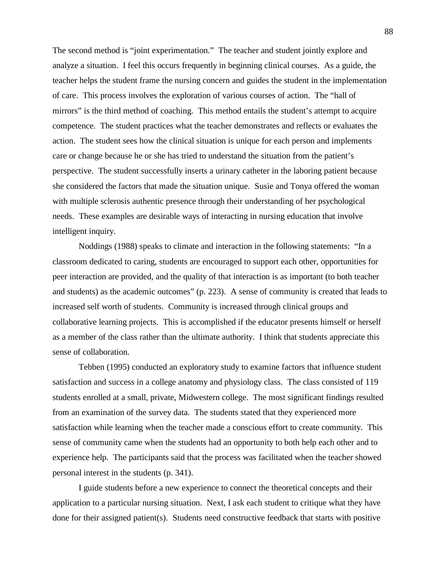The second method is "joint experimentation." The teacher and student jointly explore and analyze a situation. I feel this occurs frequently in beginning clinical courses. As a guide, the teacher helps the student frame the nursing concern and guides the student in the implementation of care. This process involves the exploration of various courses of action. The "hall of mirrors" is the third method of coaching. This method entails the student's attempt to acquire competence. The student practices what the teacher demonstrates and reflects or evaluates the action. The student sees how the clinical situation is unique for each person and implements care or change because he or she has tried to understand the situation from the patient's perspective. The student successfully inserts a urinary catheter in the laboring patient because she considered the factors that made the situation unique. Susie and Tonya offered the woman with multiple sclerosis authentic presence through their understanding of her psychological needs. These examples are desirable ways of interacting in nursing education that involve intelligent inquiry.

Noddings (1988) speaks to climate and interaction in the following statements: "In a classroom dedicated to caring, students are encouraged to support each other, opportunities for peer interaction are provided, and the quality of that interaction is as important (to both teacher and students) as the academic outcomes" (p. 223). A sense of community is created that leads to increased self worth of students. Community is increased through clinical groups and collaborative learning projects. This is accomplished if the educator presents himself or herself as a member of the class rather than the ultimate authority. I think that students appreciate this sense of collaboration.

Tebben (1995) conducted an exploratory study to examine factors that influence student satisfaction and success in a college anatomy and physiology class. The class consisted of 119 students enrolled at a small, private, Midwestern college. The most significant findings resulted from an examination of the survey data. The students stated that they experienced more satisfaction while learning when the teacher made a conscious effort to create community. This sense of community came when the students had an opportunity to both help each other and to experience help. The participants said that the process was facilitated when the teacher showed personal interest in the students (p. 341).

I guide students before a new experience to connect the theoretical concepts and their application to a particular nursing situation. Next, I ask each student to critique what they have done for their assigned patient(s). Students need constructive feedback that starts with positive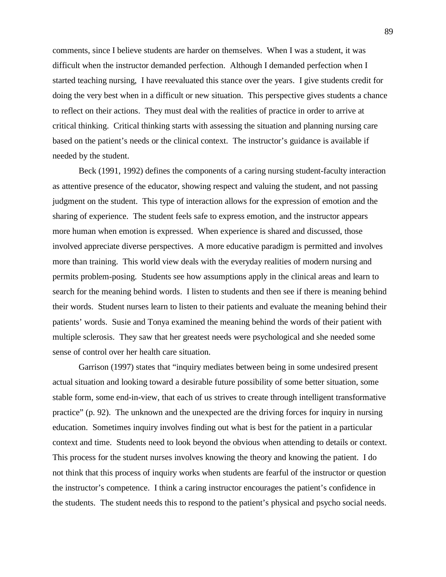comments, since I believe students are harder on themselves. When I was a student, it was difficult when the instructor demanded perfection. Although I demanded perfection when I started teaching nursing, I have reevaluated this stance over the years. I give students credit for doing the very best when in a difficult or new situation. This perspective gives students a chance to reflect on their actions. They must deal with the realities of practice in order to arrive at critical thinking. Critical thinking starts with assessing the situation and planning nursing care based on the patient's needs or the clinical context. The instructor's guidance is available if needed by the student.

Beck (1991, 1992) defines the components of a caring nursing student-faculty interaction as attentive presence of the educator, showing respect and valuing the student, and not passing judgment on the student. This type of interaction allows for the expression of emotion and the sharing of experience. The student feels safe to express emotion, and the instructor appears more human when emotion is expressed. When experience is shared and discussed, those involved appreciate diverse perspectives. A more educative paradigm is permitted and involves more than training. This world view deals with the everyday realities of modern nursing and permits problem-posing. Students see how assumptions apply in the clinical areas and learn to search for the meaning behind words. I listen to students and then see if there is meaning behind their words. Student nurses learn to listen to their patients and evaluate the meaning behind their patients' words. Susie and Tonya examined the meaning behind the words of their patient with multiple sclerosis. They saw that her greatest needs were psychological and she needed some sense of control over her health care situation.

Garrison (1997) states that "inquiry mediates between being in some undesired present actual situation and looking toward a desirable future possibility of some better situation, some stable form, some end-in-view, that each of us strives to create through intelligent transformative practice" (p. 92). The unknown and the unexpected are the driving forces for inquiry in nursing education. Sometimes inquiry involves finding out what is best for the patient in a particular context and time. Students need to look beyond the obvious when attending to details or context. This process for the student nurses involves knowing the theory and knowing the patient. I do not think that this process of inquiry works when students are fearful of the instructor or question the instructor's competence. I think a caring instructor encourages the patient's confidence in the students. The student needs this to respond to the patient's physical and psycho social needs.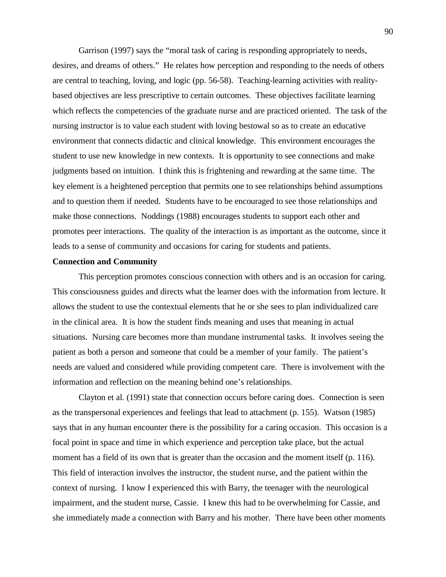Garrison (1997) says the "moral task of caring is responding appropriately to needs, desires, and dreams of others." He relates how perception and responding to the needs of others are central to teaching, loving, and logic (pp. 56-58). Teaching-learning activities with realitybased objectives are less prescriptive to certain outcomes. These objectives facilitate learning which reflects the competencies of the graduate nurse and are practiced oriented. The task of the nursing instructor is to value each student with loving bestowal so as to create an educative environment that connects didactic and clinical knowledge. This environment encourages the student to use new knowledge in new contexts. It is opportunity to see connections and make judgments based on intuition. I think this is frightening and rewarding at the same time. The key element is a heightened perception that permits one to see relationships behind assumptions and to question them if needed. Students have to be encouraged to see those relationships and make those connections. Noddings (1988) encourages students to support each other and promotes peer interactions. The quality of the interaction is as important as the outcome, since it leads to a sense of community and occasions for caring for students and patients.

#### **Connection and Community**

This perception promotes conscious connection with others and is an occasion for caring. This consciousness guides and directs what the learner does with the information from lecture. It allows the student to use the contextual elements that he or she sees to plan individualized care in the clinical area. It is how the student finds meaning and uses that meaning in actual situations. Nursing care becomes more than mundane instrumental tasks. It involves seeing the patient as both a person and someone that could be a member of your family. The patient's needs are valued and considered while providing competent care. There is involvement with the information and reflection on the meaning behind one's relationships.

Clayton et al. (1991) state that connection occurs before caring does. Connection is seen as the transpersonal experiences and feelings that lead to attachment (p. 155). Watson (1985) says that in any human encounter there is the possibility for a caring occasion. This occasion is a focal point in space and time in which experience and perception take place, but the actual moment has a field of its own that is greater than the occasion and the moment itself (p. 116). This field of interaction involves the instructor, the student nurse, and the patient within the context of nursing. I know I experienced this with Barry, the teenager with the neurological impairment, and the student nurse, Cassie. I knew this had to be overwhelming for Cassie, and she immediately made a connection with Barry and his mother. There have been other moments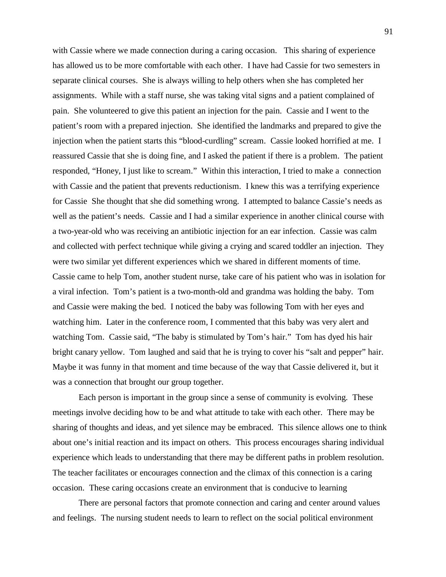with Cassie where we made connection during a caring occasion. This sharing of experience has allowed us to be more comfortable with each other. I have had Cassie for two semesters in separate clinical courses. She is always willing to help others when she has completed her assignments. While with a staff nurse, she was taking vital signs and a patient complained of pain. She volunteered to give this patient an injection for the pain. Cassie and I went to the patient's room with a prepared injection. She identified the landmarks and prepared to give the injection when the patient starts this "blood-curdling" scream. Cassie looked horrified at me. I reassured Cassie that she is doing fine, and I asked the patient if there is a problem. The patient responded, "Honey, I just like to scream." Within this interaction, I tried to make a connection with Cassie and the patient that prevents reductionism. I knew this was a terrifying experience for Cassie She thought that she did something wrong. I attempted to balance Cassie's needs as well as the patient's needs. Cassie and I had a similar experience in another clinical course with a two-year-old who was receiving an antibiotic injection for an ear infection. Cassie was calm and collected with perfect technique while giving a crying and scared toddler an injection. They were two similar yet different experiences which we shared in different moments of time. Cassie came to help Tom, another student nurse, take care of his patient who was in isolation for a viral infection. Tom's patient is a two-month-old and grandma was holding the baby. Tom and Cassie were making the bed. I noticed the baby was following Tom with her eyes and watching him. Later in the conference room, I commented that this baby was very alert and watching Tom. Cassie said, "The baby is stimulated by Tom's hair." Tom has dyed his hair bright canary yellow. Tom laughed and said that he is trying to cover his "salt and pepper" hair. Maybe it was funny in that moment and time because of the way that Cassie delivered it, but it was a connection that brought our group together.

Each person is important in the group since a sense of community is evolving. These meetings involve deciding how to be and what attitude to take with each other. There may be sharing of thoughts and ideas, and yet silence may be embraced. This silence allows one to think about one's initial reaction and its impact on others. This process encourages sharing individual experience which leads to understanding that there may be different paths in problem resolution. The teacher facilitates or encourages connection and the climax of this connection is a caring occasion. These caring occasions create an environment that is conducive to learning

There are personal factors that promote connection and caring and center around values and feelings. The nursing student needs to learn to reflect on the social political environment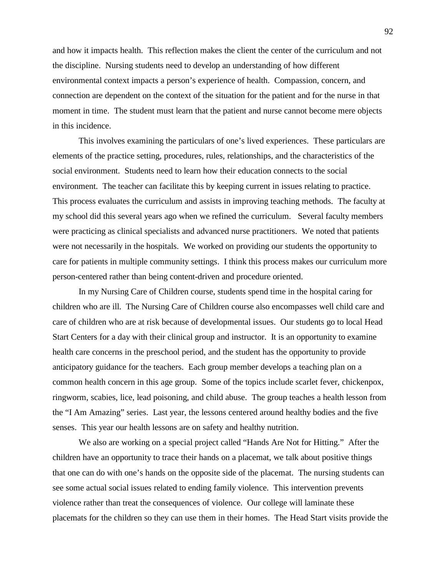and how it impacts health. This reflection makes the client the center of the curriculum and not the discipline. Nursing students need to develop an understanding of how different environmental context impacts a person's experience of health. Compassion, concern, and connection are dependent on the context of the situation for the patient and for the nurse in that moment in time. The student must learn that the patient and nurse cannot become mere objects in this incidence.

This involves examining the particulars of one's lived experiences. These particulars are elements of the practice setting, procedures, rules, relationships, and the characteristics of the social environment. Students need to learn how their education connects to the social environment. The teacher can facilitate this by keeping current in issues relating to practice. This process evaluates the curriculum and assists in improving teaching methods. The faculty at my school did this several years ago when we refined the curriculum. Several faculty members were practicing as clinical specialists and advanced nurse practitioners. We noted that patients were not necessarily in the hospitals. We worked on providing our students the opportunity to care for patients in multiple community settings. I think this process makes our curriculum more person-centered rather than being content-driven and procedure oriented.

In my Nursing Care of Children course, students spend time in the hospital caring for children who are ill. The Nursing Care of Children course also encompasses well child care and care of children who are at risk because of developmental issues. Our students go to local Head Start Centers for a day with their clinical group and instructor. It is an opportunity to examine health care concerns in the preschool period, and the student has the opportunity to provide anticipatory guidance for the teachers. Each group member develops a teaching plan on a common health concern in this age group. Some of the topics include scarlet fever, chickenpox, ringworm, scabies, lice, lead poisoning, and child abuse. The group teaches a health lesson from the "I Am Amazing" series. Last year, the lessons centered around healthy bodies and the five senses. This year our health lessons are on safety and healthy nutrition.

We also are working on a special project called "Hands Are Not for Hitting." After the children have an opportunity to trace their hands on a placemat, we talk about positive things that one can do with one's hands on the opposite side of the placemat. The nursing students can see some actual social issues related to ending family violence. This intervention prevents violence rather than treat the consequences of violence. Our college will laminate these placemats for the children so they can use them in their homes. The Head Start visits provide the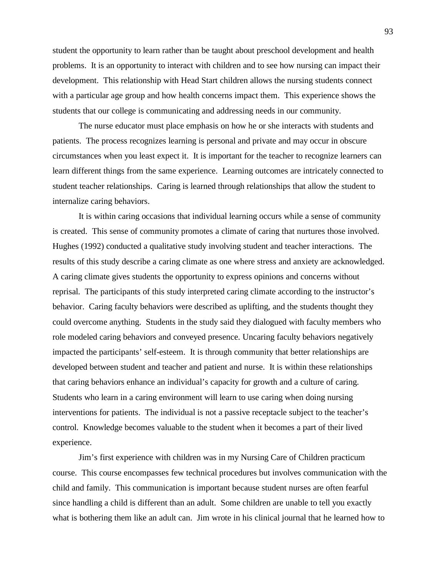student the opportunity to learn rather than be taught about preschool development and health problems. It is an opportunity to interact with children and to see how nursing can impact their development. This relationship with Head Start children allows the nursing students connect with a particular age group and how health concerns impact them. This experience shows the students that our college is communicating and addressing needs in our community.

The nurse educator must place emphasis on how he or she interacts with students and patients. The process recognizes learning is personal and private and may occur in obscure circumstances when you least expect it. It is important for the teacher to recognize learners can learn different things from the same experience. Learning outcomes are intricately connected to student teacher relationships. Caring is learned through relationships that allow the student to internalize caring behaviors.

It is within caring occasions that individual learning occurs while a sense of community is created. This sense of community promotes a climate of caring that nurtures those involved. Hughes (1992) conducted a qualitative study involving student and teacher interactions. The results of this study describe a caring climate as one where stress and anxiety are acknowledged. A caring climate gives students the opportunity to express opinions and concerns without reprisal. The participants of this study interpreted caring climate according to the instructor's behavior. Caring faculty behaviors were described as uplifting, and the students thought they could overcome anything. Students in the study said they dialogued with faculty members who role modeled caring behaviors and conveyed presence. Uncaring faculty behaviors negatively impacted the participants' self-esteem. It is through community that better relationships are developed between student and teacher and patient and nurse. It is within these relationships that caring behaviors enhance an individual's capacity for growth and a culture of caring. Students who learn in a caring environment will learn to use caring when doing nursing interventions for patients. The individual is not a passive receptacle subject to the teacher's control. Knowledge becomes valuable to the student when it becomes a part of their lived experience.

Jim's first experience with children was in my Nursing Care of Children practicum course. This course encompasses few technical procedures but involves communication with the child and family. This communication is important because student nurses are often fearful since handling a child is different than an adult. Some children are unable to tell you exactly what is bothering them like an adult can. Jim wrote in his clinical journal that he learned how to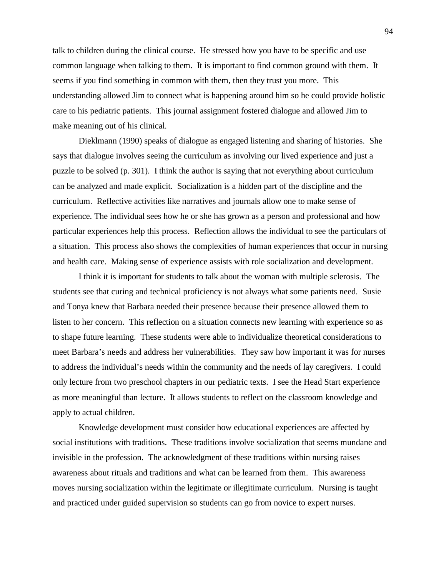talk to children during the clinical course. He stressed how you have to be specific and use common language when talking to them. It is important to find common ground with them. It seems if you find something in common with them, then they trust you more. This understanding allowed Jim to connect what is happening around him so he could provide holistic care to his pediatric patients. This journal assignment fostered dialogue and allowed Jim to make meaning out of his clinical.

Dieklmann (1990) speaks of dialogue as engaged listening and sharing of histories. She says that dialogue involves seeing the curriculum as involving our lived experience and just a puzzle to be solved (p. 301). I think the author is saying that not everything about curriculum can be analyzed and made explicit. Socialization is a hidden part of the discipline and the curriculum. Reflective activities like narratives and journals allow one to make sense of experience. The individual sees how he or she has grown as a person and professional and how particular experiences help this process. Reflection allows the individual to see the particulars of a situation. This process also shows the complexities of human experiences that occur in nursing and health care. Making sense of experience assists with role socialization and development.

I think it is important for students to talk about the woman with multiple sclerosis. The students see that curing and technical proficiency is not always what some patients need. Susie and Tonya knew that Barbara needed their presence because their presence allowed them to listen to her concern. This reflection on a situation connects new learning with experience so as to shape future learning. These students were able to individualize theoretical considerations to meet Barbara's needs and address her vulnerabilities. They saw how important it was for nurses to address the individual's needs within the community and the needs of lay caregivers. I could only lecture from two preschool chapters in our pediatric texts. I see the Head Start experience as more meaningful than lecture. It allows students to reflect on the classroom knowledge and apply to actual children.

Knowledge development must consider how educational experiences are affected by social institutions with traditions. These traditions involve socialization that seems mundane and invisible in the profession. The acknowledgment of these traditions within nursing raises awareness about rituals and traditions and what can be learned from them. This awareness moves nursing socialization within the legitimate or illegitimate curriculum. Nursing is taught and practiced under guided supervision so students can go from novice to expert nurses.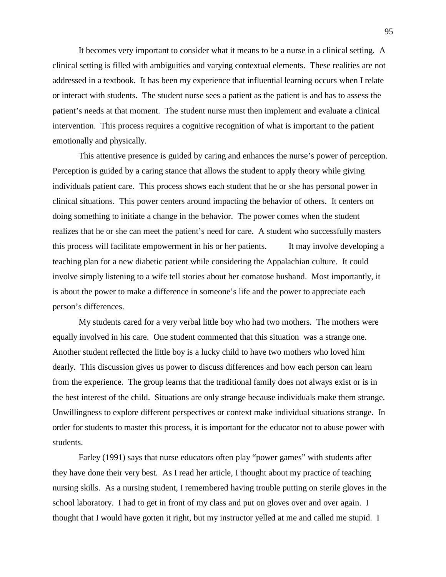It becomes very important to consider what it means to be a nurse in a clinical setting. A clinical setting is filled with ambiguities and varying contextual elements. These realities are not addressed in a textbook. It has been my experience that influential learning occurs when I relate or interact with students. The student nurse sees a patient as the patient is and has to assess the patient's needs at that moment. The student nurse must then implement and evaluate a clinical intervention. This process requires a cognitive recognition of what is important to the patient emotionally and physically.

This attentive presence is guided by caring and enhances the nurse's power of perception. Perception is guided by a caring stance that allows the student to apply theory while giving individuals patient care. This process shows each student that he or she has personal power in clinical situations. This power centers around impacting the behavior of others. It centers on doing something to initiate a change in the behavior. The power comes when the student realizes that he or she can meet the patient's need for care. A student who successfully masters this process will facilitate empowerment in his or her patients. It may involve developing a teaching plan for a new diabetic patient while considering the Appalachian culture. It could involve simply listening to a wife tell stories about her comatose husband. Most importantly, it is about the power to make a difference in someone's life and the power to appreciate each person's differences.

My students cared for a very verbal little boy who had two mothers. The mothers were equally involved in his care. One student commented that this situation was a strange one. Another student reflected the little boy is a lucky child to have two mothers who loved him dearly. This discussion gives us power to discuss differences and how each person can learn from the experience. The group learns that the traditional family does not always exist or is in the best interest of the child. Situations are only strange because individuals make them strange. Unwillingness to explore different perspectives or context make individual situations strange. In order for students to master this process, it is important for the educator not to abuse power with students.

Farley (1991) says that nurse educators often play "power games" with students after they have done their very best. As I read her article, I thought about my practice of teaching nursing skills. As a nursing student, I remembered having trouble putting on sterile gloves in the school laboratory. I had to get in front of my class and put on gloves over and over again. I thought that I would have gotten it right, but my instructor yelled at me and called me stupid. I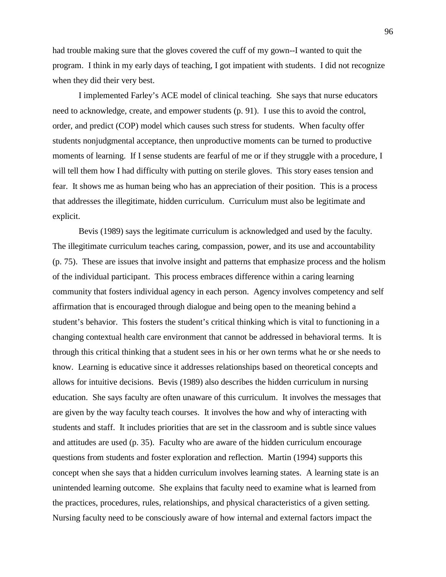had trouble making sure that the gloves covered the cuff of my gown--I wanted to quit the program. I think in my early days of teaching, I got impatient with students. I did not recognize when they did their very best.

I implemented Farley's ACE model of clinical teaching. She says that nurse educators need to acknowledge, create, and empower students (p. 91). I use this to avoid the control, order, and predict (COP) model which causes such stress for students. When faculty offer students nonjudgmental acceptance, then unproductive moments can be turned to productive moments of learning. If I sense students are fearful of me or if they struggle with a procedure, I will tell them how I had difficulty with putting on sterile gloves. This story eases tension and fear. It shows me as human being who has an appreciation of their position. This is a process that addresses the illegitimate, hidden curriculum. Curriculum must also be legitimate and explicit.

Bevis (1989) says the legitimate curriculum is acknowledged and used by the faculty. The illegitimate curriculum teaches caring, compassion, power, and its use and accountability (p. 75). These are issues that involve insight and patterns that emphasize process and the holism of the individual participant. This process embraces difference within a caring learning community that fosters individual agency in each person. Agency involves competency and self affirmation that is encouraged through dialogue and being open to the meaning behind a student's behavior. This fosters the student's critical thinking which is vital to functioning in a changing contextual health care environment that cannot be addressed in behavioral terms. It is through this critical thinking that a student sees in his or her own terms what he or she needs to know. Learning is educative since it addresses relationships based on theoretical concepts and allows for intuitive decisions. Bevis (1989) also describes the hidden curriculum in nursing education. She says faculty are often unaware of this curriculum. It involves the messages that are given by the way faculty teach courses. It involves the how and why of interacting with students and staff. It includes priorities that are set in the classroom and is subtle since values and attitudes are used (p. 35). Faculty who are aware of the hidden curriculum encourage questions from students and foster exploration and reflection. Martin (1994) supports this concept when she says that a hidden curriculum involves learning states. A learning state is an unintended learning outcome. She explains that faculty need to examine what is learned from the practices, procedures, rules, relationships, and physical characteristics of a given setting. Nursing faculty need to be consciously aware of how internal and external factors impact the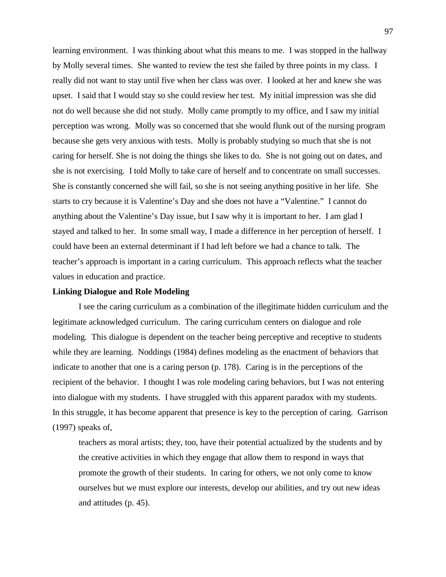learning environment. I was thinking about what this means to me. I was stopped in the hallway by Molly several times. She wanted to review the test she failed by three points in my class. I really did not want to stay until five when her class was over. I looked at her and knew she was upset. I said that I would stay so she could review her test. My initial impression was she did not do well because she did not study. Molly came promptly to my office, and I saw my initial perception was wrong. Molly was so concerned that she would flunk out of the nursing program because she gets very anxious with tests. Molly is probably studying so much that she is not caring for herself. She is not doing the things she likes to do. She is not going out on dates, and she is not exercising. I told Molly to take care of herself and to concentrate on small successes. She is constantly concerned she will fail, so she is not seeing anything positive in her life. She starts to cry because it is Valentine's Day and she does not have a "Valentine." I cannot do anything about the Valentine's Day issue, but I saw why it is important to her. I am glad I stayed and talked to her. In some small way, I made a difference in her perception of herself. I could have been an external determinant if I had left before we had a chance to talk. The teacher's approach is important in a caring curriculum. This approach reflects what the teacher values in education and practice.

#### **Linking Dialogue and Role Modeling**

I see the caring curriculum as a combination of the illegitimate hidden curriculum and the legitimate acknowledged curriculum. The caring curriculum centers on dialogue and role modeling. This dialogue is dependent on the teacher being perceptive and receptive to students while they are learning. Noddings (1984) defines modeling as the enactment of behaviors that indicate to another that one is a caring person (p. 178). Caring is in the perceptions of the recipient of the behavior. I thought I was role modeling caring behaviors, but I was not entering into dialogue with my students. I have struggled with this apparent paradox with my students. In this struggle, it has become apparent that presence is key to the perception of caring. Garrison (1997) speaks of,

teachers as moral artists; they, too, have their potential actualized by the students and by the creative activities in which they engage that allow them to respond in ways that promote the growth of their students. In caring for others, we not only come to know ourselves but we must explore our interests, develop our abilities, and try out new ideas and attitudes (p. 45).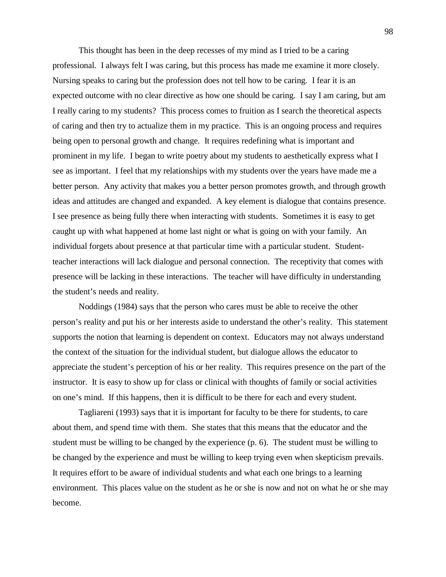This thought has been in the deep recesses of my mind as I tried to be a caring professional. I always felt I was caring, but this process has made me examine it more closely. Nursing speaks to caring but the profession does not tell how to be caring. I fear it is an expected outcome with no clear directive as how one should be caring. I say I am caring, but am I really caring to my students? This process comes to fruition as I search the theoretical aspects of caring and then try to actualize them in my practice. This is an ongoing process and requires being open to personal growth and change. It requires redefining what is important and prominent in my life. I began to write poetry about my students to aesthetically express what I see as important. I feel that my relationships with my students over the years have made me a better person. Any activity that makes you a better person promotes growth, and through growth ideas and attitudes are changed and expanded. A key element is dialogue that contains presence. I see presence as being fully there when interacting with students. Sometimes it is easy to get caught up with what happened at home last night or what is going on with your family. An individual forgets about presence at that particular time with a particular student. Studentteacher interactions will lack dialogue and personal connection. The receptivity that comes with presence will be lacking in these interactions. The teacher will have difficulty in understanding the student's needs and reality.

Noddings (1984) says that the person who cares must be able to receive the other person's reality and put his or her interests aside to understand the other's reality. This statement supports the notion that learning is dependent on context. Educators may not always understand the context of the situation for the individual student, but dialogue allows the educator to appreciate the student's perception of his or her reality. This requires presence on the part of the instructor. It is easy to show up for class or clinical with thoughts of family or social activities on one's mind. If this happens, then it is difficult to be there for each and every student.

Tagliareni (1993) says that it is important for faculty to be there for students, to care about them, and spend time with them. She states that this means that the educator and the student must be willing to be changed by the experience (p. 6). The student must be willing to be changed by the experience and must be willing to keep trying even when skepticism prevails. It requires effort to be aware of individual students and what each one brings to a learning environment. This places value on the student as he or she is now and not on what he or she may become.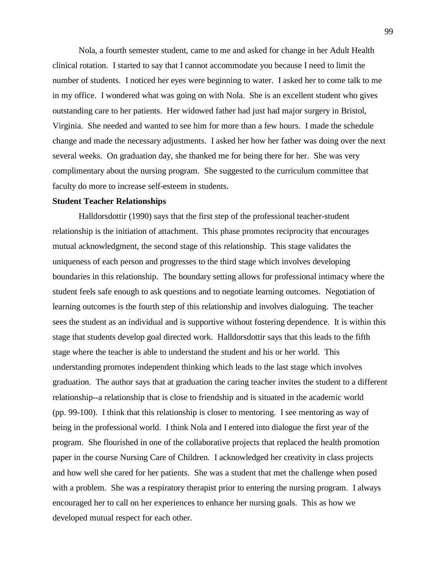Nola, a fourth semester student, came to me and asked for change in her Adult Health clinical rotation. I started to say that I cannot accommodate you because I need to limit the number of students. I noticed her eyes were beginning to water. I asked her to come talk to me in my office. I wondered what was going on with Nola. She is an excellent student who gives outstanding care to her patients. Her widowed father had just had major surgery in Bristol, Virginia. She needed and wanted to see him for more than a few hours. I made the schedule change and made the necessary adjustments. I asked her how her father was doing over the next several weeks. On graduation day, she thanked me for being there for her. She was very complimentary about the nursing program. She suggested to the curriculum committee that faculty do more to increase self-esteem in students.

### **Student Teacher Relationships**

Halldorsdottir (1990) says that the first step of the professional teacher-student relationship is the initiation of attachment. This phase promotes reciprocity that encourages mutual acknowledgment, the second stage of this relationship. This stage validates the uniqueness of each person and progresses to the third stage which involves developing boundaries in this relationship. The boundary setting allows for professional intimacy where the student feels safe enough to ask questions and to negotiate learning outcomes. Negotiation of learning outcomes is the fourth step of this relationship and involves dialoguing. The teacher sees the student as an individual and is supportive without fostering dependence. It is within this stage that students develop goal directed work. Halldorsdottir says that this leads to the fifth stage where the teacher is able to understand the student and his or her world. This understanding promotes independent thinking which leads to the last stage which involves graduation. The author says that at graduation the caring teacher invites the student to a different relationship--a relationship that is close to friendship and is situated in the academic world (pp. 99-100). I think that this relationship is closer to mentoring. I see mentoring as way of being in the professional world. I think Nola and I entered into dialogue the first year of the program. She flourished in one of the collaborative projects that replaced the health promotion paper in the course Nursing Care of Children. I acknowledged her creativity in class projects and how well she cared for her patients. She was a student that met the challenge when posed with a problem. She was a respiratory therapist prior to entering the nursing program. I always encouraged her to call on her experiences to enhance her nursing goals. This as how we developed mutual respect for each other.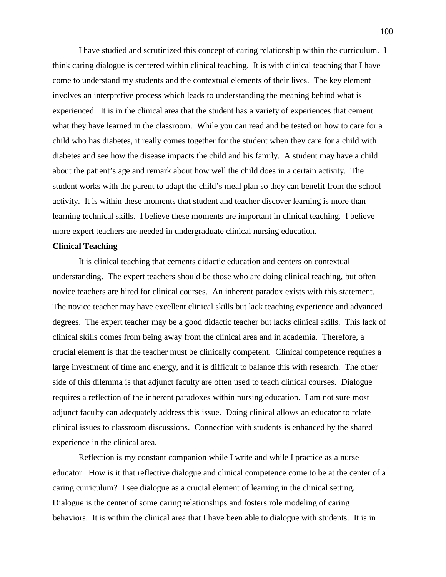I have studied and scrutinized this concept of caring relationship within the curriculum. I think caring dialogue is centered within clinical teaching. It is with clinical teaching that I have come to understand my students and the contextual elements of their lives. The key element involves an interpretive process which leads to understanding the meaning behind what is experienced. It is in the clinical area that the student has a variety of experiences that cement what they have learned in the classroom. While you can read and be tested on how to care for a child who has diabetes, it really comes together for the student when they care for a child with diabetes and see how the disease impacts the child and his family. A student may have a child about the patient's age and remark about how well the child does in a certain activity. The student works with the parent to adapt the child's meal plan so they can benefit from the school activity. It is within these moments that student and teacher discover learning is more than learning technical skills. I believe these moments are important in clinical teaching. I believe more expert teachers are needed in undergraduate clinical nursing education.

#### **Clinical Teaching**

It is clinical teaching that cements didactic education and centers on contextual understanding. The expert teachers should be those who are doing clinical teaching, but often novice teachers are hired for clinical courses. An inherent paradox exists with this statement. The novice teacher may have excellent clinical skills but lack teaching experience and advanced degrees. The expert teacher may be a good didactic teacher but lacks clinical skills. This lack of clinical skills comes from being away from the clinical area and in academia. Therefore, a crucial element is that the teacher must be clinically competent. Clinical competence requires a large investment of time and energy, and it is difficult to balance this with research. The other side of this dilemma is that adjunct faculty are often used to teach clinical courses. Dialogue requires a reflection of the inherent paradoxes within nursing education. I am not sure most adjunct faculty can adequately address this issue. Doing clinical allows an educator to relate clinical issues to classroom discussions. Connection with students is enhanced by the shared experience in the clinical area.

Reflection is my constant companion while I write and while I practice as a nurse educator. How is it that reflective dialogue and clinical competence come to be at the center of a caring curriculum? I see dialogue as a crucial element of learning in the clinical setting. Dialogue is the center of some caring relationships and fosters role modeling of caring behaviors. It is within the clinical area that I have been able to dialogue with students. It is in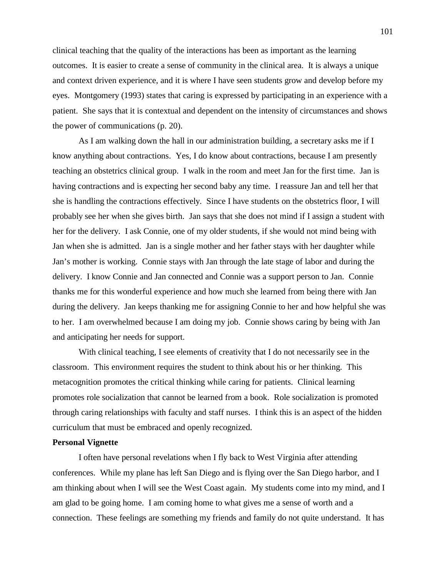clinical teaching that the quality of the interactions has been as important as the learning outcomes. It is easier to create a sense of community in the clinical area. It is always a unique and context driven experience, and it is where I have seen students grow and develop before my eyes. Montgomery (1993) states that caring is expressed by participating in an experience with a patient. She says that it is contextual and dependent on the intensity of circumstances and shows the power of communications (p. 20).

As I am walking down the hall in our administration building, a secretary asks me if I know anything about contractions. Yes, I do know about contractions, because I am presently teaching an obstetrics clinical group. I walk in the room and meet Jan for the first time. Jan is having contractions and is expecting her second baby any time. I reassure Jan and tell her that she is handling the contractions effectively. Since I have students on the obstetrics floor, I will probably see her when she gives birth. Jan says that she does not mind if I assign a student with her for the delivery. I ask Connie, one of my older students, if she would not mind being with Jan when she is admitted. Jan is a single mother and her father stays with her daughter while Jan's mother is working. Connie stays with Jan through the late stage of labor and during the delivery. I know Connie and Jan connected and Connie was a support person to Jan. Connie thanks me for this wonderful experience and how much she learned from being there with Jan during the delivery. Jan keeps thanking me for assigning Connie to her and how helpful she was to her. I am overwhelmed because I am doing my job. Connie shows caring by being with Jan and anticipating her needs for support.

With clinical teaching, I see elements of creativity that I do not necessarily see in the classroom. This environment requires the student to think about his or her thinking. This metacognition promotes the critical thinking while caring for patients. Clinical learning promotes role socialization that cannot be learned from a book. Role socialization is promoted through caring relationships with faculty and staff nurses. I think this is an aspect of the hidden curriculum that must be embraced and openly recognized.

#### **Personal Vignette**

I often have personal revelations when I fly back to West Virginia after attending conferences. While my plane has left San Diego and is flying over the San Diego harbor, and I am thinking about when I will see the West Coast again. My students come into my mind, and I am glad to be going home. I am coming home to what gives me a sense of worth and a connection. These feelings are something my friends and family do not quite understand. It has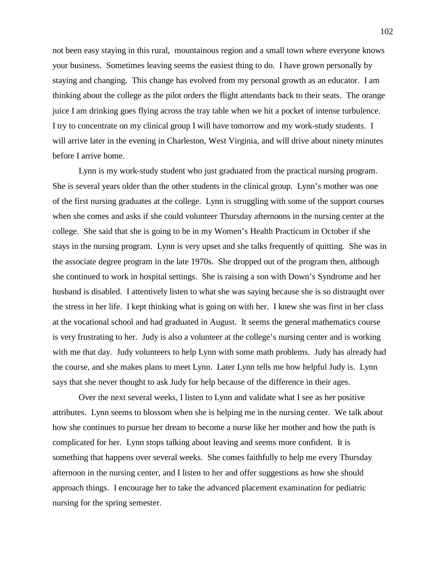not been easy staying in this rural, mountainous region and a small town where everyone knows your business. Sometimes leaving seems the easiest thing to do. I have grown personally by staying and changing. This change has evolved from my personal growth as an educator. I am thinking about the college as the pilot orders the flight attendants back to their seats. The orange juice I am drinking goes flying across the tray table when we hit a pocket of intense turbulence. I try to concentrate on my clinical group I will have tomorrow and my work-study students. I will arrive later in the evening in Charleston, West Virginia, and will drive about ninety minutes before I arrive home.

Lynn is my work-study student who just graduated from the practical nursing program. She is several years older than the other students in the clinical group. Lynn's mother was one of the first nursing graduates at the college. Lynn is struggling with some of the support courses when she comes and asks if she could volunteer Thursday afternoons in the nursing center at the college. She said that she is going to be in my Women's Health Practicum in October if she stays in the nursing program. Lynn is very upset and she talks frequently of quitting. She was in the associate degree program in the late 1970s. She dropped out of the program then, although she continued to work in hospital settings. She is raising a son with Down's Syndrome and her husband is disabled. I attentively listen to what she was saying because she is so distraught over the stress in her life. I kept thinking what is going on with her. I knew she was first in her class at the vocational school and had graduated in August. It seems the general mathematics course is very frustrating to her. Judy is also a volunteer at the college's nursing center and is working with me that day. Judy volunteers to help Lynn with some math problems. Judy has already had the course, and she makes plans to meet Lynn. Later Lynn tells me how helpful Judy is. Lynn says that she never thought to ask Judy for help because of the difference in their ages.

Over the next several weeks, I listen to Lynn and validate what I see as her positive attributes. Lynn seems to blossom when she is helping me in the nursing center. We talk about how she continues to pursue her dream to become a nurse like her mother and how the path is complicated for her. Lynn stops talking about leaving and seems more confident. It is something that happens over several weeks. She comes faithfully to help me every Thursday afternoon in the nursing center, and I listen to her and offer suggestions as how she should approach things. I encourage her to take the advanced placement examination for pediatric nursing for the spring semester.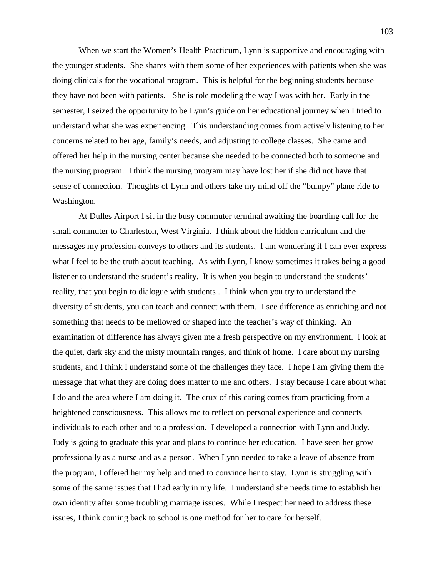When we start the Women's Health Practicum, Lynn is supportive and encouraging with the younger students. She shares with them some of her experiences with patients when she was doing clinicals for the vocational program. This is helpful for the beginning students because they have not been with patients. She is role modeling the way I was with her. Early in the semester, I seized the opportunity to be Lynn's guide on her educational journey when I tried to understand what she was experiencing. This understanding comes from actively listening to her concerns related to her age, family's needs, and adjusting to college classes. She came and offered her help in the nursing center because she needed to be connected both to someone and the nursing program. I think the nursing program may have lost her if she did not have that sense of connection. Thoughts of Lynn and others take my mind off the "bumpy" plane ride to Washington.

At Dulles Airport I sit in the busy commuter terminal awaiting the boarding call for the small commuter to Charleston, West Virginia. I think about the hidden curriculum and the messages my profession conveys to others and its students. I am wondering if I can ever express what I feel to be the truth about teaching. As with Lynn, I know sometimes it takes being a good listener to understand the student's reality. It is when you begin to understand the students' reality, that you begin to dialogue with students . I think when you try to understand the diversity of students, you can teach and connect with them. I see difference as enriching and not something that needs to be mellowed or shaped into the teacher's way of thinking. An examination of difference has always given me a fresh perspective on my environment. I look at the quiet, dark sky and the misty mountain ranges, and think of home. I care about my nursing students, and I think I understand some of the challenges they face. I hope I am giving them the message that what they are doing does matter to me and others. I stay because I care about what I do and the area where I am doing it. The crux of this caring comes from practicing from a heightened consciousness. This allows me to reflect on personal experience and connects individuals to each other and to a profession. I developed a connection with Lynn and Judy. Judy is going to graduate this year and plans to continue her education. I have seen her grow professionally as a nurse and as a person. When Lynn needed to take a leave of absence from the program, I offered her my help and tried to convince her to stay. Lynn is struggling with some of the same issues that I had early in my life. I understand she needs time to establish her own identity after some troubling marriage issues. While I respect her need to address these issues, I think coming back to school is one method for her to care for herself.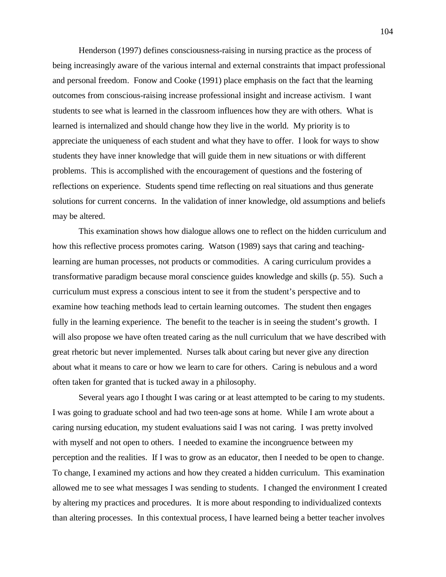Henderson (1997) defines consciousness-raising in nursing practice as the process of being increasingly aware of the various internal and external constraints that impact professional and personal freedom. Fonow and Cooke (1991) place emphasis on the fact that the learning outcomes from conscious-raising increase professional insight and increase activism. I want students to see what is learned in the classroom influences how they are with others. What is learned is internalized and should change how they live in the world. My priority is to appreciate the uniqueness of each student and what they have to offer. I look for ways to show students they have inner knowledge that will guide them in new situations or with different problems. This is accomplished with the encouragement of questions and the fostering of reflections on experience. Students spend time reflecting on real situations and thus generate solutions for current concerns. In the validation of inner knowledge, old assumptions and beliefs may be altered.

This examination shows how dialogue allows one to reflect on the hidden curriculum and how this reflective process promotes caring. Watson (1989) says that caring and teachinglearning are human processes, not products or commodities. A caring curriculum provides a transformative paradigm because moral conscience guides knowledge and skills (p. 55). Such a curriculum must express a conscious intent to see it from the student's perspective and to examine how teaching methods lead to certain learning outcomes. The student then engages fully in the learning experience. The benefit to the teacher is in seeing the student's growth. I will also propose we have often treated caring as the null curriculum that we have described with great rhetoric but never implemented. Nurses talk about caring but never give any direction about what it means to care or how we learn to care for others. Caring is nebulous and a word often taken for granted that is tucked away in a philosophy.

Several years ago I thought I was caring or at least attempted to be caring to my students. I was going to graduate school and had two teen-age sons at home. While I am wrote about a caring nursing education, my student evaluations said I was not caring. I was pretty involved with myself and not open to others. I needed to examine the incongruence between my perception and the realities. If I was to grow as an educator, then I needed to be open to change. To change, I examined my actions and how they created a hidden curriculum. This examination allowed me to see what messages I was sending to students. I changed the environment I created by altering my practices and procedures. It is more about responding to individualized contexts than altering processes. In this contextual process, I have learned being a better teacher involves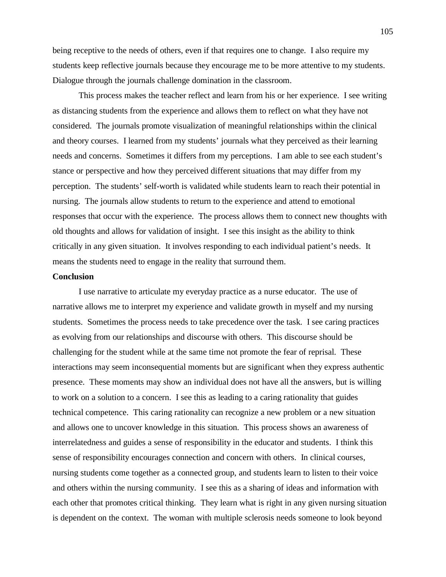being receptive to the needs of others, even if that requires one to change. I also require my students keep reflective journals because they encourage me to be more attentive to my students. Dialogue through the journals challenge domination in the classroom.

This process makes the teacher reflect and learn from his or her experience. I see writing as distancing students from the experience and allows them to reflect on what they have not considered. The journals promote visualization of meaningful relationships within the clinical and theory courses. I learned from my students' journals what they perceived as their learning needs and concerns. Sometimes it differs from my perceptions. I am able to see each student's stance or perspective and how they perceived different situations that may differ from my perception. The students' self-worth is validated while students learn to reach their potential in nursing. The journals allow students to return to the experience and attend to emotional responses that occur with the experience. The process allows them to connect new thoughts with old thoughts and allows for validation of insight. I see this insight as the ability to think critically in any given situation. It involves responding to each individual patient's needs. It means the students need to engage in the reality that surround them.

#### **Conclusion**

I use narrative to articulate my everyday practice as a nurse educator. The use of narrative allows me to interpret my experience and validate growth in myself and my nursing students. Sometimes the process needs to take precedence over the task. I see caring practices as evolving from our relationships and discourse with others. This discourse should be challenging for the student while at the same time not promote the fear of reprisal. These interactions may seem inconsequential moments but are significant when they express authentic presence. These moments may show an individual does not have all the answers, but is willing to work on a solution to a concern. I see this as leading to a caring rationality that guides technical competence. This caring rationality can recognize a new problem or a new situation and allows one to uncover knowledge in this situation. This process shows an awareness of interrelatedness and guides a sense of responsibility in the educator and students. I think this sense of responsibility encourages connection and concern with others. In clinical courses, nursing students come together as a connected group, and students learn to listen to their voice and others within the nursing community. I see this as a sharing of ideas and information with each other that promotes critical thinking. They learn what is right in any given nursing situation is dependent on the context. The woman with multiple sclerosis needs someone to look beyond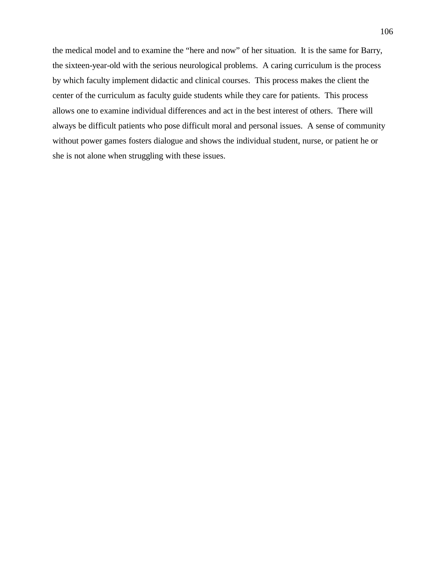the medical model and to examine the "here and now" of her situation. It is the same for Barry, the sixteen-year-old with the serious neurological problems. A caring curriculum is the process by which faculty implement didactic and clinical courses. This process makes the client the center of the curriculum as faculty guide students while they care for patients. This process allows one to examine individual differences and act in the best interest of others. There will always be difficult patients who pose difficult moral and personal issues. A sense of community without power games fosters dialogue and shows the individual student, nurse, or patient he or she is not alone when struggling with these issues.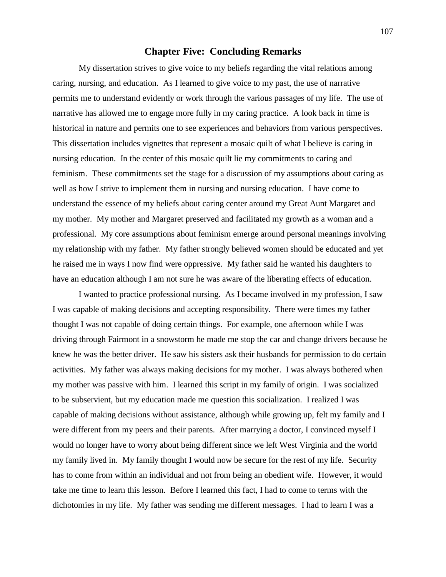## **Chapter Five: Concluding Remarks**

My dissertation strives to give voice to my beliefs regarding the vital relations among caring, nursing, and education. As I learned to give voice to my past, the use of narrative permits me to understand evidently or work through the various passages of my life. The use of narrative has allowed me to engage more fully in my caring practice. A look back in time is historical in nature and permits one to see experiences and behaviors from various perspectives. This dissertation includes vignettes that represent a mosaic quilt of what I believe is caring in nursing education. In the center of this mosaic quilt lie my commitments to caring and feminism. These commitments set the stage for a discussion of my assumptions about caring as well as how I strive to implement them in nursing and nursing education. I have come to understand the essence of my beliefs about caring center around my Great Aunt Margaret and my mother. My mother and Margaret preserved and facilitated my growth as a woman and a professional. My core assumptions about feminism emerge around personal meanings involving my relationship with my father. My father strongly believed women should be educated and yet he raised me in ways I now find were oppressive. My father said he wanted his daughters to have an education although I am not sure he was aware of the liberating effects of education.

I wanted to practice professional nursing. As I became involved in my profession, I saw I was capable of making decisions and accepting responsibility. There were times my father thought I was not capable of doing certain things. For example, one afternoon while I was driving through Fairmont in a snowstorm he made me stop the car and change drivers because he knew he was the better driver. He saw his sisters ask their husbands for permission to do certain activities. My father was always making decisions for my mother. I was always bothered when my mother was passive with him. I learned this script in my family of origin. I was socialized to be subservient, but my education made me question this socialization. I realized I was capable of making decisions without assistance, although while growing up, felt my family and I were different from my peers and their parents. After marrying a doctor, I convinced myself I would no longer have to worry about being different since we left West Virginia and the world my family lived in. My family thought I would now be secure for the rest of my life. Security has to come from within an individual and not from being an obedient wife. However, it would take me time to learn this lesson. Before I learned this fact, I had to come to terms with the dichotomies in my life. My father was sending me different messages. I had to learn I was a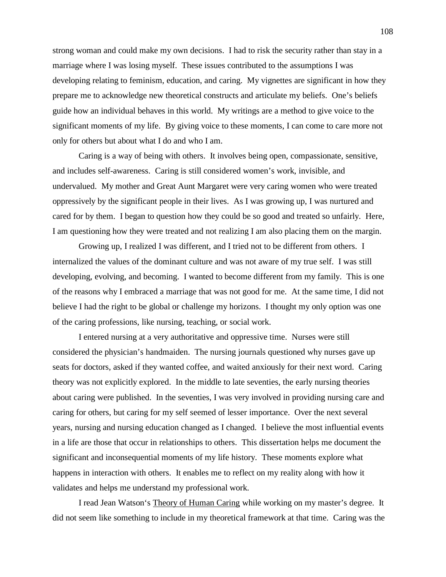strong woman and could make my own decisions. I had to risk the security rather than stay in a marriage where I was losing myself. These issues contributed to the assumptions I was developing relating to feminism, education, and caring. My vignettes are significant in how they prepare me to acknowledge new theoretical constructs and articulate my beliefs. One's beliefs guide how an individual behaves in this world. My writings are a method to give voice to the significant moments of my life. By giving voice to these moments, I can come to care more not only for others but about what I do and who I am.

Caring is a way of being with others. It involves being open, compassionate, sensitive, and includes self-awareness. Caring is still considered women's work, invisible, and undervalued. My mother and Great Aunt Margaret were very caring women who were treated oppressively by the significant people in their lives. As I was growing up, I was nurtured and cared for by them. I began to question how they could be so good and treated so unfairly. Here, I am questioning how they were treated and not realizing I am also placing them on the margin.

Growing up, I realized I was different, and I tried not to be different from others. I internalized the values of the dominant culture and was not aware of my true self. I was still developing, evolving, and becoming. I wanted to become different from my family. This is one of the reasons why I embraced a marriage that was not good for me. At the same time, I did not believe I had the right to be global or challenge my horizons. I thought my only option was one of the caring professions, like nursing, teaching, or social work.

I entered nursing at a very authoritative and oppressive time. Nurses were still considered the physician's handmaiden. The nursing journals questioned why nurses gave up seats for doctors, asked if they wanted coffee, and waited anxiously for their next word. Caring theory was not explicitly explored. In the middle to late seventies, the early nursing theories about caring were published. In the seventies, I was very involved in providing nursing care and caring for others, but caring for my self seemed of lesser importance. Over the next several years, nursing and nursing education changed as I changed. I believe the most influential events in a life are those that occur in relationships to others. This dissertation helps me document the significant and inconsequential moments of my life history. These moments explore what happens in interaction with others. It enables me to reflect on my reality along with how it validates and helps me understand my professional work.

I read Jean Watson's Theory of Human Caring while working on my master's degree. It did not seem like something to include in my theoretical framework at that time. Caring was the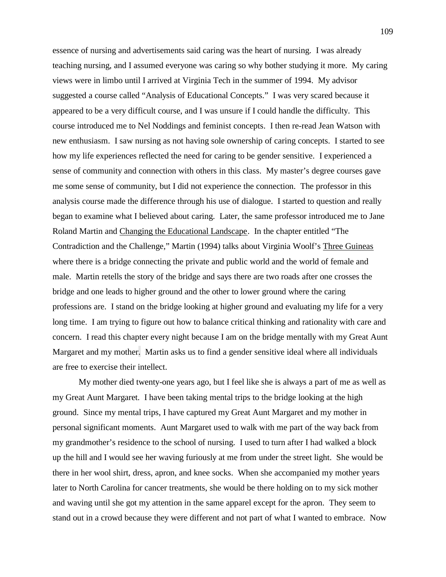essence of nursing and advertisements said caring was the heart of nursing. I was already teaching nursing, and I assumed everyone was caring so why bother studying it more. My caring views were in limbo until I arrived at Virginia Tech in the summer of 1994. My advisor suggested a course called "Analysis of Educational Concepts." I was very scared because it appeared to be a very difficult course, and I was unsure if I could handle the difficulty. This course introduced me to Nel Noddings and feminist concepts. I then re-read Jean Watson with new enthusiasm. I saw nursing as not having sole ownership of caring concepts. I started to see how my life experiences reflected the need for caring to be gender sensitive. I experienced a sense of community and connection with others in this class. My master's degree courses gave me some sense of community, but I did not experience the connection. The professor in this analysis course made the difference through his use of dialogue. I started to question and really began to examine what I believed about caring. Later, the same professor introduced me to Jane Roland Martin and Changing the Educational Landscape. In the chapter entitled "The Contradiction and the Challenge," Martin (1994) talks about Virginia Woolf's Three Guineas where there is a bridge connecting the private and public world and the world of female and male. Martin retells the story of the bridge and says there are two roads after one crosses the bridge and one leads to higher ground and the other to lower ground where the caring professions are. I stand on the bridge looking at higher ground and evaluating my life for a very long time. I am trying to figure out how to balance critical thinking and rationality with care and concern. I read this chapter every night because I am on the bridge mentally with my Great Aunt Margaret and my mother. Martin asks us to find a gender sensitive ideal where all individuals are free to exercise their intellect.

My mother died twenty-one years ago, but I feel like she is always a part of me as well as my Great Aunt Margaret. I have been taking mental trips to the bridge looking at the high ground. Since my mental trips, I have captured my Great Aunt Margaret and my mother in personal significant moments. Aunt Margaret used to walk with me part of the way back from my grandmother's residence to the school of nursing. I used to turn after I had walked a block up the hill and I would see her waving furiously at me from under the street light. She would be there in her wool shirt, dress, apron, and knee socks. When she accompanied my mother years later to North Carolina for cancer treatments, she would be there holding on to my sick mother and waving until she got my attention in the same apparel except for the apron. They seem to stand out in a crowd because they were different and not part of what I wanted to embrace. Now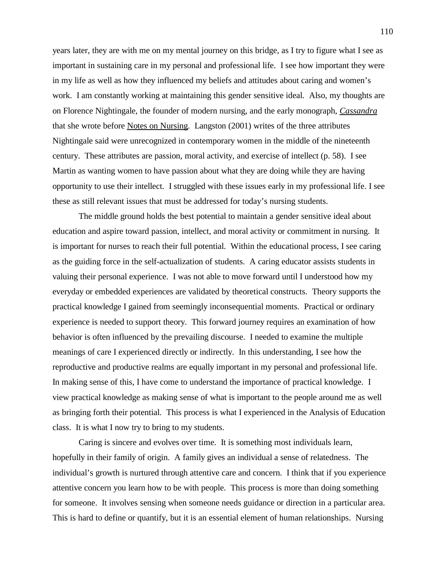years later, they are with me on my mental journey on this bridge, as I try to figure what I see as important in sustaining care in my personal and professional life. I see how important they were in my life as well as how they influenced my beliefs and attitudes about caring and women's work. I am constantly working at maintaining this gender sensitive ideal. Also, my thoughts are on Florence Nightingale, the founder of modern nursing, and the early monograph, *Cassandra* that she wrote before Notes on Nursing. Langston (2001) writes of the three attributes Nightingale said were unrecognized in contemporary women in the middle of the nineteenth century. These attributes are passion, moral activity, and exercise of intellect (p. 58). I see Martin as wanting women to have passion about what they are doing while they are having opportunity to use their intellect. I struggled with these issues early in my professional life. I see these as still relevant issues that must be addressed for today's nursing students.

The middle ground holds the best potential to maintain a gender sensitive ideal about education and aspire toward passion, intellect, and moral activity or commitment in nursing. It is important for nurses to reach their full potential. Within the educational process, I see caring as the guiding force in the self-actualization of students. A caring educator assists students in valuing their personal experience. I was not able to move forward until I understood how my everyday or embedded experiences are validated by theoretical constructs. Theory supports the practical knowledge I gained from seemingly inconsequential moments. Practical or ordinary experience is needed to support theory. This forward journey requires an examination of how behavior is often influenced by the prevailing discourse. I needed to examine the multiple meanings of care I experienced directly or indirectly. In this understanding, I see how the reproductive and productive realms are equally important in my personal and professional life. In making sense of this, I have come to understand the importance of practical knowledge. I view practical knowledge as making sense of what is important to the people around me as well as bringing forth their potential. This process is what I experienced in the Analysis of Education class. It is what I now try to bring to my students.

Caring is sincere and evolves over time. It is something most individuals learn, hopefully in their family of origin. A family gives an individual a sense of relatedness. The individual's growth is nurtured through attentive care and concern. I think that if you experience attentive concern you learn how to be with people. This process is more than doing something for someone. It involves sensing when someone needs guidance or direction in a particular area. This is hard to define or quantify, but it is an essential element of human relationships. Nursing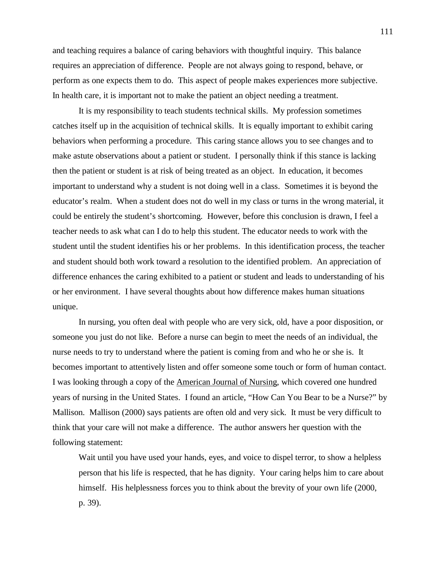and teaching requires a balance of caring behaviors with thoughtful inquiry. This balance requires an appreciation of difference. People are not always going to respond, behave, or perform as one expects them to do. This aspect of people makes experiences more subjective. In health care, it is important not to make the patient an object needing a treatment.

It is my responsibility to teach students technical skills. My profession sometimes catches itself up in the acquisition of technical skills. It is equally important to exhibit caring behaviors when performing a procedure. This caring stance allows you to see changes and to make astute observations about a patient or student. I personally think if this stance is lacking then the patient or student is at risk of being treated as an object. In education, it becomes important to understand why a student is not doing well in a class. Sometimes it is beyond the educator's realm. When a student does not do well in my class or turns in the wrong material, it could be entirely the student's shortcoming. However, before this conclusion is drawn, I feel a teacher needs to ask what can I do to help this student. The educator needs to work with the student until the student identifies his or her problems. In this identification process, the teacher and student should both work toward a resolution to the identified problem. An appreciation of difference enhances the caring exhibited to a patient or student and leads to understanding of his or her environment. I have several thoughts about how difference makes human situations unique.

In nursing, you often deal with people who are very sick, old, have a poor disposition, or someone you just do not like. Before a nurse can begin to meet the needs of an individual, the nurse needs to try to understand where the patient is coming from and who he or she is. It becomes important to attentively listen and offer someone some touch or form of human contact. I was looking through a copy of the American Journal of Nursing, which covered one hundred years of nursing in the United States. I found an article, "How Can You Bear to be a Nurse?" by Mallison. Mallison (2000) says patients are often old and very sick. It must be very difficult to think that your care will not make a difference. The author answers her question with the following statement:

Wait until you have used your hands, eyes, and voice to dispel terror, to show a helpless person that his life is respected, that he has dignity. Your caring helps him to care about himself. His helplessness forces you to think about the brevity of your own life (2000, p. 39).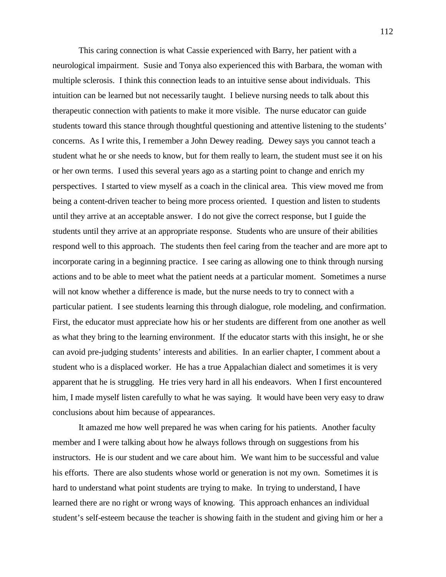This caring connection is what Cassie experienced with Barry, her patient with a neurological impairment. Susie and Tonya also experienced this with Barbara, the woman with multiple sclerosis. I think this connection leads to an intuitive sense about individuals. This intuition can be learned but not necessarily taught. I believe nursing needs to talk about this therapeutic connection with patients to make it more visible. The nurse educator can guide students toward this stance through thoughtful questioning and attentive listening to the students' concerns. As I write this, I remember a John Dewey reading. Dewey says you cannot teach a student what he or she needs to know, but for them really to learn, the student must see it on his or her own terms. I used this several years ago as a starting point to change and enrich my perspectives. I started to view myself as a coach in the clinical area. This view moved me from being a content-driven teacher to being more process oriented. I question and listen to students until they arrive at an acceptable answer. I do not give the correct response, but I guide the students until they arrive at an appropriate response. Students who are unsure of their abilities respond well to this approach. The students then feel caring from the teacher and are more apt to incorporate caring in a beginning practice. I see caring as allowing one to think through nursing actions and to be able to meet what the patient needs at a particular moment. Sometimes a nurse will not know whether a difference is made, but the nurse needs to try to connect with a particular patient. I see students learning this through dialogue, role modeling, and confirmation. First, the educator must appreciate how his or her students are different from one another as well as what they bring to the learning environment. If the educator starts with this insight, he or she can avoid pre-judging students' interests and abilities. In an earlier chapter, I comment about a student who is a displaced worker. He has a true Appalachian dialect and sometimes it is very apparent that he is struggling. He tries very hard in all his endeavors. When I first encountered him, I made myself listen carefully to what he was saying. It would have been very easy to draw conclusions about him because of appearances.

It amazed me how well prepared he was when caring for his patients. Another faculty member and I were talking about how he always follows through on suggestions from his instructors. He is our student and we care about him. We want him to be successful and value his efforts. There are also students whose world or generation is not my own. Sometimes it is hard to understand what point students are trying to make. In trying to understand, I have learned there are no right or wrong ways of knowing. This approach enhances an individual student's self-esteem because the teacher is showing faith in the student and giving him or her a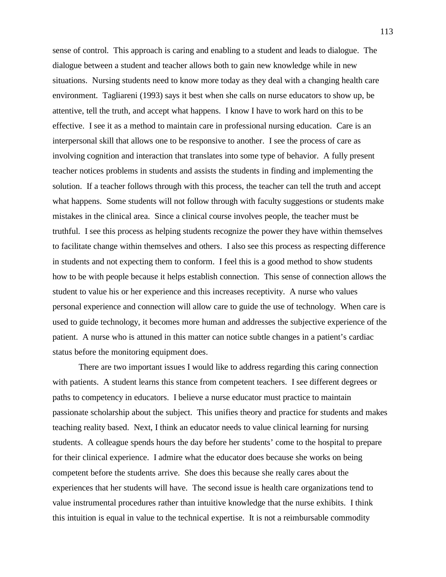sense of control. This approach is caring and enabling to a student and leads to dialogue. The dialogue between a student and teacher allows both to gain new knowledge while in new situations. Nursing students need to know more today as they deal with a changing health care environment. Tagliareni (1993) says it best when she calls on nurse educators to show up, be attentive, tell the truth, and accept what happens. I know I have to work hard on this to be effective. I see it as a method to maintain care in professional nursing education. Care is an interpersonal skill that allows one to be responsive to another. I see the process of care as involving cognition and interaction that translates into some type of behavior. A fully present teacher notices problems in students and assists the students in finding and implementing the solution. If a teacher follows through with this process, the teacher can tell the truth and accept what happens. Some students will not follow through with faculty suggestions or students make mistakes in the clinical area. Since a clinical course involves people, the teacher must be truthful. I see this process as helping students recognize the power they have within themselves to facilitate change within themselves and others. I also see this process as respecting difference in students and not expecting them to conform. I feel this is a good method to show students how to be with people because it helps establish connection. This sense of connection allows the student to value his or her experience and this increases receptivity. A nurse who values personal experience and connection will allow care to guide the use of technology. When care is used to guide technology, it becomes more human and addresses the subjective experience of the patient. A nurse who is attuned in this matter can notice subtle changes in a patient's cardiac status before the monitoring equipment does.

There are two important issues I would like to address regarding this caring connection with patients. A student learns this stance from competent teachers. I see different degrees or paths to competency in educators. I believe a nurse educator must practice to maintain passionate scholarship about the subject. This unifies theory and practice for students and makes teaching reality based. Next, I think an educator needs to value clinical learning for nursing students. A colleague spends hours the day before her students' come to the hospital to prepare for their clinical experience. I admire what the educator does because she works on being competent before the students arrive. She does this because she really cares about the experiences that her students will have. The second issue is health care organizations tend to value instrumental procedures rather than intuitive knowledge that the nurse exhibits. I think this intuition is equal in value to the technical expertise. It is not a reimbursable commodity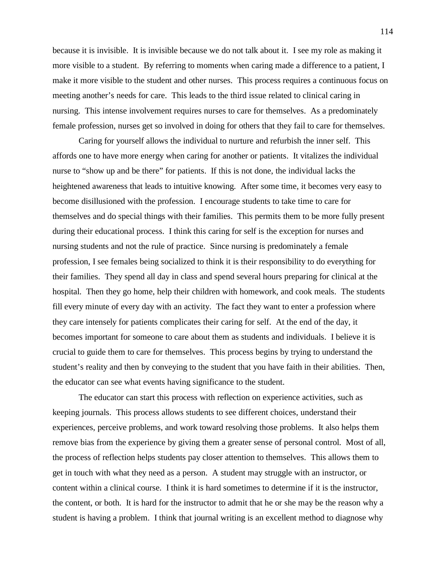because it is invisible. It is invisible because we do not talk about it. I see my role as making it more visible to a student. By referring to moments when caring made a difference to a patient, I make it more visible to the student and other nurses. This process requires a continuous focus on meeting another's needs for care. This leads to the third issue related to clinical caring in nursing. This intense involvement requires nurses to care for themselves. As a predominately female profession, nurses get so involved in doing for others that they fail to care for themselves.

Caring for yourself allows the individual to nurture and refurbish the inner self. This affords one to have more energy when caring for another or patients. It vitalizes the individual nurse to "show up and be there" for patients. If this is not done, the individual lacks the heightened awareness that leads to intuitive knowing. After some time, it becomes very easy to become disillusioned with the profession. I encourage students to take time to care for themselves and do special things with their families. This permits them to be more fully present during their educational process. I think this caring for self is the exception for nurses and nursing students and not the rule of practice. Since nursing is predominately a female profession, I see females being socialized to think it is their responsibility to do everything for their families. They spend all day in class and spend several hours preparing for clinical at the hospital. Then they go home, help their children with homework, and cook meals. The students fill every minute of every day with an activity. The fact they want to enter a profession where they care intensely for patients complicates their caring for self. At the end of the day, it becomes important for someone to care about them as students and individuals. I believe it is crucial to guide them to care for themselves. This process begins by trying to understand the student's reality and then by conveying to the student that you have faith in their abilities. Then, the educator can see what events having significance to the student.

The educator can start this process with reflection on experience activities, such as keeping journals. This process allows students to see different choices, understand their experiences, perceive problems, and work toward resolving those problems. It also helps them remove bias from the experience by giving them a greater sense of personal control. Most of all, the process of reflection helps students pay closer attention to themselves. This allows them to get in touch with what they need as a person. A student may struggle with an instructor, or content within a clinical course. I think it is hard sometimes to determine if it is the instructor, the content, or both. It is hard for the instructor to admit that he or she may be the reason why a student is having a problem. I think that journal writing is an excellent method to diagnose why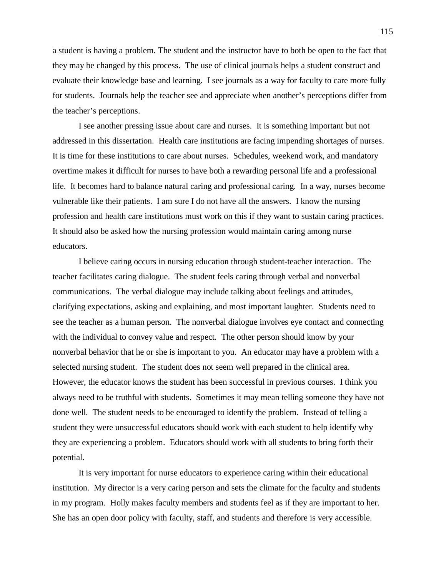a student is having a problem. The student and the instructor have to both be open to the fact that they may be changed by this process. The use of clinical journals helps a student construct and evaluate their knowledge base and learning. I see journals as a way for faculty to care more fully for students. Journals help the teacher see and appreciate when another's perceptions differ from the teacher's perceptions.

I see another pressing issue about care and nurses. It is something important but not addressed in this dissertation. Health care institutions are facing impending shortages of nurses. It is time for these institutions to care about nurses. Schedules, weekend work, and mandatory overtime makes it difficult for nurses to have both a rewarding personal life and a professional life. It becomes hard to balance natural caring and professional caring. In a way, nurses become vulnerable like their patients. I am sure I do not have all the answers. I know the nursing profession and health care institutions must work on this if they want to sustain caring practices. It should also be asked how the nursing profession would maintain caring among nurse educators.

I believe caring occurs in nursing education through student-teacher interaction. The teacher facilitates caring dialogue. The student feels caring through verbal and nonverbal communications. The verbal dialogue may include talking about feelings and attitudes, clarifying expectations, asking and explaining, and most important laughter. Students need to see the teacher as a human person. The nonverbal dialogue involves eye contact and connecting with the individual to convey value and respect. The other person should know by your nonverbal behavior that he or she is important to you. An educator may have a problem with a selected nursing student. The student does not seem well prepared in the clinical area. However, the educator knows the student has been successful in previous courses. I think you always need to be truthful with students. Sometimes it may mean telling someone they have not done well. The student needs to be encouraged to identify the problem. Instead of telling a student they were unsuccessful educators should work with each student to help identify why they are experiencing a problem. Educators should work with all students to bring forth their potential.

It is very important for nurse educators to experience caring within their educational institution. My director is a very caring person and sets the climate for the faculty and students in my program. Holly makes faculty members and students feel as if they are important to her. She has an open door policy with faculty, staff, and students and therefore is very accessible.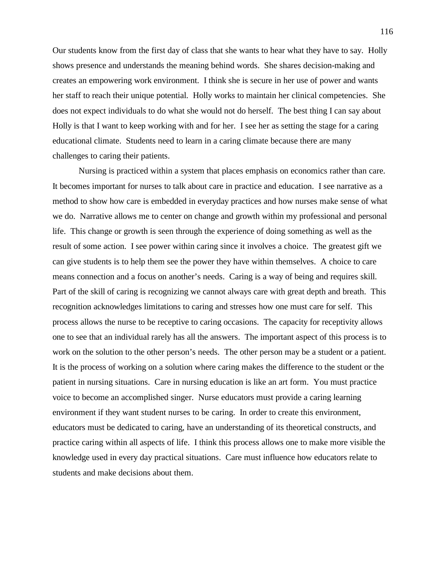Our students know from the first day of class that she wants to hear what they have to say. Holly shows presence and understands the meaning behind words. She shares decision-making and creates an empowering work environment. I think she is secure in her use of power and wants her staff to reach their unique potential. Holly works to maintain her clinical competencies. She does not expect individuals to do what she would not do herself. The best thing I can say about Holly is that I want to keep working with and for her. I see her as setting the stage for a caring educational climate. Students need to learn in a caring climate because there are many challenges to caring their patients.

Nursing is practiced within a system that places emphasis on economics rather than care. It becomes important for nurses to talk about care in practice and education. I see narrative as a method to show how care is embedded in everyday practices and how nurses make sense of what we do. Narrative allows me to center on change and growth within my professional and personal life. This change or growth is seen through the experience of doing something as well as the result of some action. I see power within caring since it involves a choice. The greatest gift we can give students is to help them see the power they have within themselves. A choice to care means connection and a focus on another's needs. Caring is a way of being and requires skill. Part of the skill of caring is recognizing we cannot always care with great depth and breath. This recognition acknowledges limitations to caring and stresses how one must care for self. This process allows the nurse to be receptive to caring occasions. The capacity for receptivity allows one to see that an individual rarely has all the answers. The important aspect of this process is to work on the solution to the other person's needs. The other person may be a student or a patient. It is the process of working on a solution where caring makes the difference to the student or the patient in nursing situations. Care in nursing education is like an art form. You must practice voice to become an accomplished singer. Nurse educators must provide a caring learning environment if they want student nurses to be caring. In order to create this environment, educators must be dedicated to caring, have an understanding of its theoretical constructs, and practice caring within all aspects of life. I think this process allows one to make more visible the knowledge used in every day practical situations. Care must influence how educators relate to students and make decisions about them.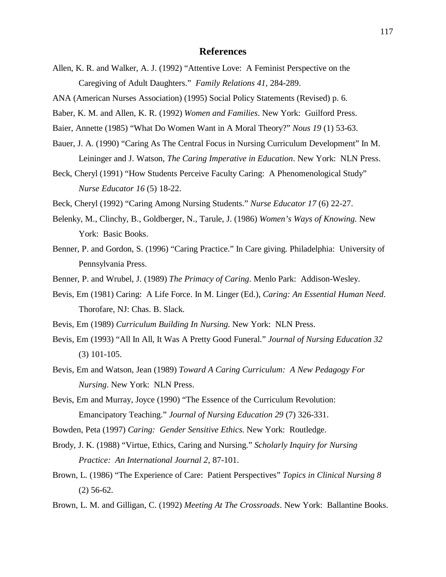## **References**

Allen, K. R. and Walker, A. J. (1992) "Attentive Love: A Feminist Perspective on the Caregiving of Adult Daughters." *Family Relations 41*, 284-289.

ANA (American Nurses Association) (1995) Social Policy Statements (Revised) p. 6.

Baber, K. M. and Allen, K. R. (1992) *Women and Families*. New York: Guilford Press.

Baier, Annette (1985) "What Do Women Want in A Moral Theory?" *Nous 19* (1) 53-63.

- Bauer, J. A. (1990) "Caring As The Central Focus in Nursing Curriculum Development" In M. Leininger and J. Watson, *The Caring Imperative in Education*. New York: NLN Press.
- Beck, Cheryl (1991) "How Students Perceive Faculty Caring: A Phenomenological Study" *Nurse Educator 16* (5) 18-22.
- Beck, Cheryl (1992) "Caring Among Nursing Students." *Nurse Educator 17* (6) 22-27.
- Belenky, M., Clinchy, B., Goldberger, N., Tarule, J. (1986) *Women's Ways of Knowing.* New York: Basic Books.
- Benner, P. and Gordon, S. (1996) "Caring Practice." In Care giving. Philadelphia: University of Pennsylvania Press.
- Benner, P. and Wrubel, J. (1989) *The Primacy of Caring*. Menlo Park: Addison-Wesley.
- Bevis, Em (1981) Caring: A Life Force. In M. Linger (Ed.), *Caring: An Essential Human Need*. Thorofare, NJ: Chas. B. Slack.
- Bevis, Em (1989) *Curriculum Building In Nursing*. New York: NLN Press.
- Bevis, Em (1993) "All In All, It Was A Pretty Good Funeral." *Journal of Nursing Education 32* (3) 101-105.
- Bevis, Em and Watson, Jean (1989) *Toward A Caring Curriculum: A New Pedagogy For Nursing*. New York: NLN Press.
- Bevis, Em and Murray, Joyce (1990) "The Essence of the Curriculum Revolution: Emancipatory Teaching." *Journal of Nursing Education 29* (7) 326-331.
- Bowden, Peta (1997) *Caring: Gender Sensitive Ethics*. New York: Routledge.
- Brody, J. K. (1988) "Virtue, Ethics, Caring and Nursing." *Scholarly Inquiry for Nursing Practice: An International Journal 2*, 87-101.
- Brown, L. (1986) "The Experience of Care: Patient Perspectives" *Topics in Clinical Nursing 8* (2) 56-62.
- Brown, L. M. and Gilligan, C. (1992) *Meeting At The Crossroads*. New York: Ballantine Books.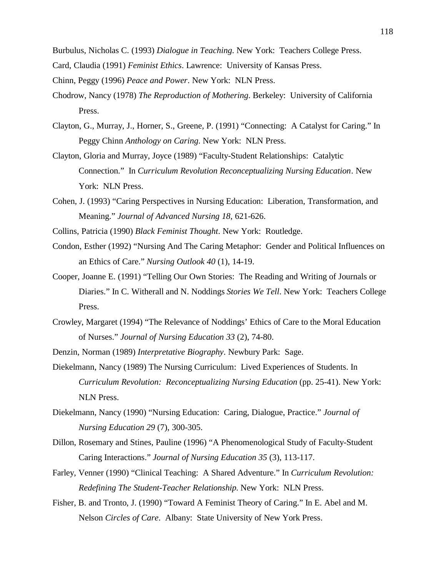Burbulus, Nicholas C. (1993) *Dialogue in Teaching*. New York: Teachers College Press.

- Card, Claudia (1991) *Feminist Ethics*. Lawrence: University of Kansas Press.
- Chinn, Peggy (1996) *Peace and Power*. New York: NLN Press.
- Chodrow, Nancy (1978) *The Reproduction of Mothering*. Berkeley: University of California Press.
- Clayton, G., Murray, J., Horner, S., Greene, P. (1991) "Connecting: A Catalyst for Caring." In Peggy Chinn *Anthology on Caring*. New York: NLN Press.
- Clayton, Gloria and Murray, Joyce (1989) "Faculty-Student Relationships: Catalytic Connection." In *Curriculum Revolution Reconceptualizing Nursing Education*. New York: NLN Press.
- Cohen, J. (1993) "Caring Perspectives in Nursing Education: Liberation, Transformation, and Meaning." *Journal of Advanced Nursing 18*, 621-626.
- Collins, Patricia (1990) *Black Feminist Thought*. New York: Routledge.
- Condon, Esther (1992) "Nursing And The Caring Metaphor: Gender and Political Influences on an Ethics of Care." *Nursing Outlook 40* (1), 14-19.
- Cooper, Joanne E. (1991) "Telling Our Own Stories: The Reading and Writing of Journals or Diaries." In C. Witherall and N. Noddings *Stories We Tell*. New York: Teachers College Press.
- Crowley, Margaret (1994) "The Relevance of Noddings' Ethics of Care to the Moral Education of Nurses." *Journal of Nursing Education 33* (2), 74-80.
- Denzin, Norman (1989) *Interpretative Biography*. Newbury Park: Sage.
- Diekelmann, Nancy (1989) The Nursing Curriculum: Lived Experiences of Students. In *Curriculum Revolution: Reconceptualizing Nursing Education* (pp. 25-41). New York: NLN Press.
- Diekelmann, Nancy (1990) "Nursing Education: Caring, Dialogue, Practice." *Journal of Nursing Education 29* (7), 300-305.
- Dillon, Rosemary and Stines, Pauline (1996) "A Phenomenological Study of Faculty-Student Caring Interactions." *Journal of Nursing Education 35* (3), 113-117.
- Farley, Venner (1990) "Clinical Teaching: A Shared Adventure." In *Curriculum Revolution: Redefining The Student-Teacher Relationship.* New York: NLN Press.
- Fisher, B. and Tronto, J. (1990) "Toward A Feminist Theory of Caring." In E. Abel and M. Nelson *Circles of Care*. Albany: State University of New York Press.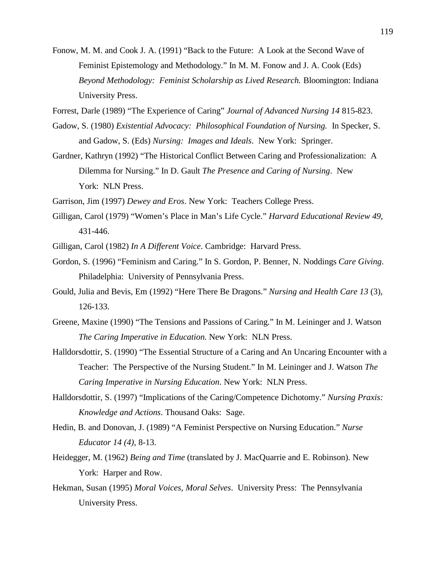- Fonow, M. M. and Cook J. A. (1991) "Back to the Future: A Look at the Second Wave of Feminist Epistemology and Methodology." In M. M. Fonow and J. A. Cook (Eds) *Beyond Methodology: Feminist Scholarship as Lived Research.* Bloomington: Indiana University Press.
- Forrest, Darle (1989) "The Experience of Caring" *Journal of Advanced Nursing 14* 815-823.
- Gadow, S. (1980) *Existential Advocacy: Philosophical Foundation of Nursing.* In Specker, S. and Gadow, S. (Eds) *Nursing: Images and Ideals*. New York: Springer.
- Gardner, Kathryn (1992) "The Historical Conflict Between Caring and Professionalization: A Dilemma for Nursing." In D. Gault *The Presence and Caring of Nursing*. New York: NLN Press.
- Garrison, Jim (1997) *Dewey and Eros*. New York: Teachers College Press.
- Gilligan, Carol (1979) "Women's Place in Man's Life Cycle." *Harvard Educational Review 49*, 431-446.
- Gilligan, Carol (1982) *In A Different Voice*. Cambridge: Harvard Press.
- Gordon, S. (1996) "Feminism and Caring." In S. Gordon, P. Benner, N. Noddings *Care Giving*. Philadelphia: University of Pennsylvania Press.
- Gould, Julia and Bevis, Em (1992) "Here There Be Dragons." *Nursing and Health Care 13* (3), 126-133.
- Greene, Maxine (1990) "The Tensions and Passions of Caring." In M. Leininger and J. Watson *The Caring Imperative in Education*. New York: NLN Press.
- Halldorsdottir, S. (1990) "The Essential Structure of a Caring and An Uncaring Encounter with a Teacher: The Perspective of the Nursing Student." In M. Leininger and J. Watson *The Caring Imperative in Nursing Education*. New York: NLN Press.
- Halldorsdottir, S. (1997) "Implications of the Caring/Competence Dichotomy." *Nursing Praxis: Knowledge and Actions*. Thousand Oaks: Sage.
- Hedin, B. and Donovan, J. (1989) "A Feminist Perspective on Nursing Education." *Nurse Educator 14 (4)*, 8-13.
- Heidegger, M. (1962) *Being and Time* (translated by J. MacQuarrie and E. Robinson). New York: Harper and Row.
- Hekman, Susan (1995) *Moral Voices, Moral Selves*. University Press: The Pennsylvania University Press.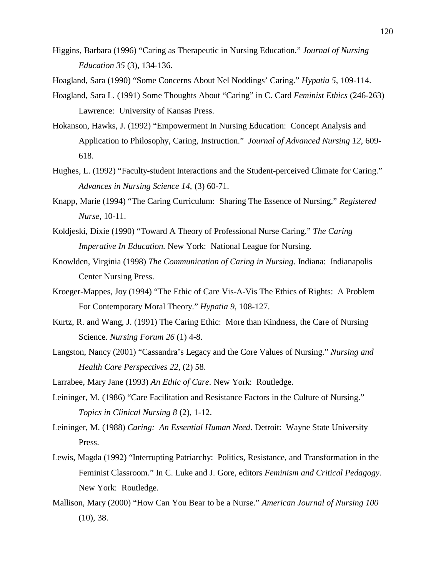- Higgins, Barbara (1996) "Caring as Therapeutic in Nursing Education." *Journal of Nursing Education 35* (3), 134-136.
- Hoagland, Sara (1990) "Some Concerns About Nel Noddings' Caring." *Hypatia 5*, 109-114.
- Hoagland, Sara L. (1991) Some Thoughts About "Caring" in C. Card *Feminist Ethics* (246-263) Lawrence: University of Kansas Press.
- Hokanson, Hawks, J. (1992) "Empowerment In Nursing Education: Concept Analysis and Application to Philosophy, Caring, Instruction." *Journal of Advanced Nursing 12*, 609- 618.
- Hughes, L. (1992) "Faculty-student Interactions and the Student-perceived Climate for Caring." *Advances in Nursing Science 14,* (3) 60-71.
- Knapp, Marie (1994) "The Caring Curriculum: Sharing The Essence of Nursing." *Registered Nurse*, 10-11.
- Koldjeski, Dixie (1990) "Toward A Theory of Professional Nurse Caring." *The Caring Imperative In Education*. New York: National League for Nursing.
- Knowlden, Virginia (1998) *The Communication of Caring in Nursing*. Indiana: Indianapolis Center Nursing Press.
- Kroeger-Mappes, Joy (1994) "The Ethic of Care Vis-A-Vis The Ethics of Rights: A Problem For Contemporary Moral Theory." *Hypatia 9*, 108-127.
- Kurtz, R. and Wang, J. (1991) The Caring Ethic: More than Kindness, the Care of Nursing Science. *Nursing Forum 26* (1) 4-8.
- Langston, Nancy (2001) "Cassandra's Legacy and the Core Values of Nursing." *Nursing and Health Care Perspectives 22*, (2) 58.
- Larrabee, Mary Jane (1993) *An Ethic of Care*. New York: Routledge.
- Leininger, M. (1986) "Care Facilitation and Resistance Factors in the Culture of Nursing." *Topics in Clinical Nursing 8* (2), 1-12.
- Leininger, M. (1988) *Caring: An Essential Human Need*. Detroit: Wayne State University Press.
- Lewis, Magda (1992) "Interrupting Patriarchy: Politics, Resistance, and Transformation in the Feminist Classroom." In C. Luke and J. Gore, editors *Feminism and Critical Pedagogy.* New York: Routledge.
- Mallison, Mary (2000) "How Can You Bear to be a Nurse." *American Journal of Nursing 100* (10), 38.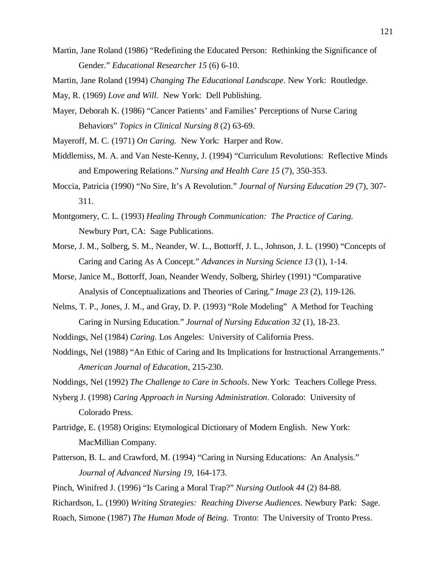- Martin, Jane Roland (1986) "Redefining the Educated Person: Rethinking the Significance of Gender." *Educational Researcher 15* (6) 6-10.
- Martin, Jane Roland (1994) *Changing The Educational Landscape*. New York: Routledge.
- May, R. (1969) *Love and Will*. New York: Dell Publishing.
- Mayer, Deborah K. (1986) "Cancer Patients' and Families' Perceptions of Nurse Caring Behaviors" *Topics in Clinical Nursing 8* (2) 63-69.
- Mayeroff, M. C. (1971) *On Caring.* New York: Harper and Row.
- Middlemiss, M. A. and Van Neste-Kenny, J. (1994) "Curriculum Revolutions: Reflective Minds and Empowering Relations." *Nursing and Health Care 15* (7), 350-353.
- Moccia, Patricia (1990) "No Sire, It's A Revolution." *Journal of Nursing Education 29* (7), 307- 311.
- Montgomery, C. L. (1993) *Healing Through Communication: The Practice of Caring.* Newbury Port, CA: Sage Publications.
- Morse, J. M., Solberg, S. M., Neander, W. L., Bottorff, J. L., Johnson, J. L. (1990) "Concepts of Caring and Caring As A Concept." *Advances in Nursing Science 13* (1), 1-14.
- Morse, Janice M., Bottorff, Joan, Neander Wendy, Solberg, Shirley (1991) "Comparative Analysis of Conceptualizations and Theories of Caring." *Image 23* (2), 119-126.
- Nelms, T. P., Jones, J. M., and Gray, D. P. (1993) "Role Modeling" A Method for Teaching Caring in Nursing Education." *Journal of Nursing Education 32* (1), 18-23.
- Noddings, Nel (1984) *Caring*. Los Angeles: University of California Press.
- Noddings, Nel (1988) "An Ethic of Caring and Its Implications for Instructional Arrangements." *American Journal of Education*, 215-230.
- Noddings, Nel (1992) *The Challenge to Care in Schools*. New York: Teachers College Press.
- Nyberg J. (1998) *Caring Approach in Nursing Administration*. Colorado: University of Colorado Press.
- Partridge, E. (1958) Origins: Etymological Dictionary of Modern English. New York: MacMillian Company.
- Patterson, B. L. and Crawford, M. (1994) "Caring in Nursing Educations: An Analysis." *Journal of Advanced Nursing 19*, 164-173.
- Pinch, Winifred J. (1996) "Is Caring a Moral Trap?" *Nursing Outlook 44* (2) 84-88.
- Richardson, L. (1990) *Writing Strategies: Reaching Diverse Audiences*. Newbury Park: Sage.
- Roach, Simone (1987) *The Human Mode of Being.* Tronto: The University of Tronto Press.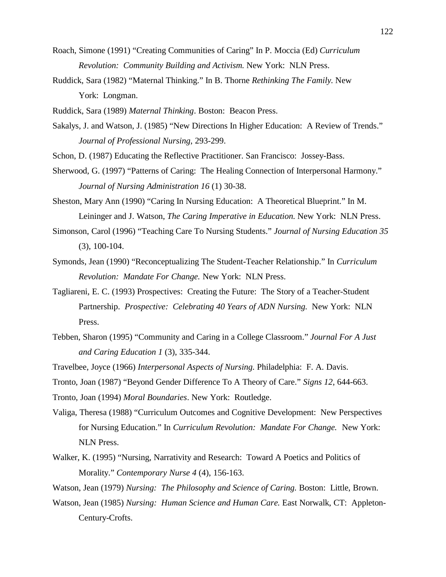- Roach, Simone (1991) "Creating Communities of Caring" In P. Moccia (Ed) *Curriculum Revolution: Community Building and Activism*. New York: NLN Press.
- Ruddick, Sara (1982) "Maternal Thinking." In B. Thorne *Rethinking The Family*. New York: Longman.
- Ruddick, Sara (1989) *Maternal Thinking*. Boston: Beacon Press.
- Sakalys, J. and Watson, J. (1985) "New Directions In Higher Education: A Review of Trends." *Journal of Professional Nursing*, 293-299.
- Schon, D. (1987) Educating the Reflective Practitioner. San Francisco: Jossey-Bass.
- Sherwood, G. (1997) "Patterns of Caring: The Healing Connection of Interpersonal Harmony." *Journal of Nursing Administration 16* (1) 30-38.
- Sheston, Mary Ann (1990) "Caring In Nursing Education: A Theoretical Blueprint." In M. Leininger and J. Watson, *The Caring Imperative in Education*. New York: NLN Press.
- Simonson, Carol (1996) "Teaching Care To Nursing Students." *Journal of Nursing Education 35* (3), 100-104.
- Symonds, Jean (1990) "Reconceptualizing The Student-Teacher Relationship." In *Curriculum Revolution: Mandate For Change.* New York: NLN Press.
- Tagliareni, E. C. (1993) Prospectives: Creating the Future: The Story of a Teacher-Student Partnership. *Prospective: Celebrating 40 Years of ADN Nursing.* New York: NLN Press.
- Tebben, Sharon (1995) "Community and Caring in a College Classroom." *Journal For A Just and Caring Education 1* (3), 335-344.
- Travelbee, Joyce (1966) *Interpersonal Aspects of Nursing*. Philadelphia: F. A. Davis.
- Tronto, Joan (1987) "Beyond Gender Difference To A Theory of Care." *Signs 12*, 644-663.
- Tronto, Joan (1994) *Moral Boundaries*. New York: Routledge.
- Valiga, Theresa (1988) "Curriculum Outcomes and Cognitive Development: New Perspectives for Nursing Education." In *Curriculum Revolution: Mandate For Change.* New York: NLN Press.
- Walker, K. (1995) "Nursing, Narrativity and Research: Toward A Poetics and Politics of Morality." *Contemporary Nurse 4* (4), 156-163.
- Watson, Jean (1979) *Nursing: The Philosophy and Science of Caring.* Boston: Little, Brown.
- Watson, Jean (1985) *Nursing: Human Science and Human Care.* East Norwalk, CT: Appleton-Century-Crofts.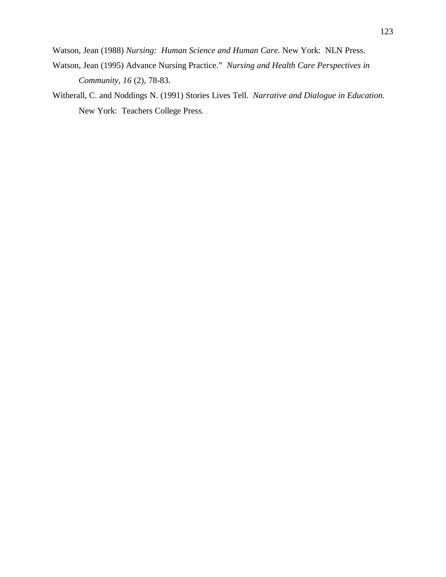Watson, Jean (1988) *Nursing: Human Science and Human Care*. New York: NLN Press.

- Watson, Jean (1995) Advance Nursing Practice." *Nursing and Health Care Perspectives in Community, 16* (2), 78-83.
- Witherall, C. and Noddings N. (1991) Stories Lives Tell. *Narrative and Dialogue in Education.* New York: Teachers College Press.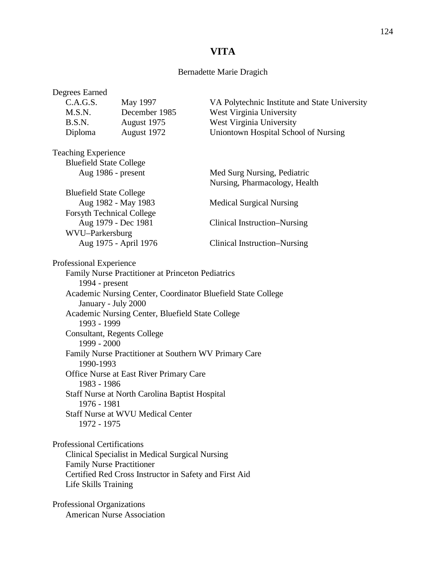# **VITA**

## Bernadette Marie Dragich

| Degrees Earned                                                                      |                                                        |                                                              |
|-------------------------------------------------------------------------------------|--------------------------------------------------------|--------------------------------------------------------------|
| C.A.G.S.                                                                            | May 1997                                               | VA Polytechnic Institute and State University                |
| M.S.N.                                                                              | December 1985                                          | West Virginia University                                     |
| B.S.N.                                                                              | August 1975                                            | West Virginia University                                     |
| Diploma                                                                             | August 1972                                            | Uniontown Hospital School of Nursing                         |
| <b>Teaching Experience</b>                                                          |                                                        |                                                              |
| <b>Bluefield State College</b>                                                      |                                                        |                                                              |
| Aug 1986 - present                                                                  |                                                        | Med Surg Nursing, Pediatric<br>Nursing, Pharmacology, Health |
| <b>Bluefield State College</b>                                                      |                                                        |                                                              |
| Aug 1982 - May 1983                                                                 |                                                        | <b>Medical Surgical Nursing</b>                              |
| <b>Forsyth Technical College</b>                                                    |                                                        |                                                              |
| Aug 1979 - Dec 1981                                                                 |                                                        | <b>Clinical Instruction–Nursing</b>                          |
| WVU-Parkersburg                                                                     |                                                        |                                                              |
|                                                                                     | Aug 1975 - April 1976                                  | Clinical Instruction-Nursing                                 |
| Professional Experience                                                             |                                                        |                                                              |
|                                                                                     | Family Nurse Practitioner at Princeton Pediatrics      |                                                              |
| 1994 - present                                                                      |                                                        |                                                              |
| January - July 2000                                                                 |                                                        | Academic Nursing Center, Coordinator Bluefield State College |
| 1993 - 1999                                                                         | Academic Nursing Center, Bluefield State College       |                                                              |
| 1999 - 2000                                                                         | <b>Consultant, Regents College</b>                     |                                                              |
| 1990-1993                                                                           | Family Nurse Practitioner at Southern WV Primary Care  |                                                              |
| 1983 - 1986                                                                         | Office Nurse at East River Primary Care                |                                                              |
| 1976 - 1981                                                                         | Staff Nurse at North Carolina Baptist Hospital         |                                                              |
| <b>Staff Nurse at WVU Medical Center</b><br>1972 - 1975                             |                                                        |                                                              |
| <b>Professional Certifications</b>                                                  |                                                        |                                                              |
|                                                                                     |                                                        |                                                              |
| Clinical Specialist in Medical Surgical Nursing<br><b>Family Nurse Practitioner</b> |                                                        |                                                              |
|                                                                                     | Certified Red Cross Instructor in Safety and First Aid |                                                              |
| Life Skills Training                                                                |                                                        |                                                              |
| Professional Organizations                                                          |                                                        |                                                              |
| <b>American Nurse Association</b>                                                   |                                                        |                                                              |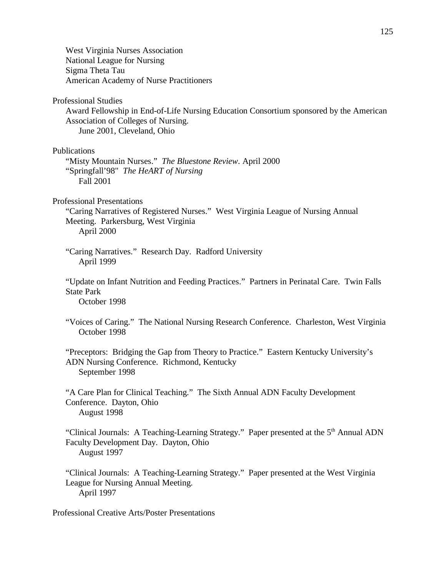West Virginia Nurses Association National League for Nursing Sigma Theta Tau American Academy of Nurse Practitioners Professional Studies Award Fellowship in End-of-Life Nursing Education Consortium sponsored by the American Association of Colleges of Nursing. June 2001, Cleveland, Ohio Publications "Misty Mountain Nurses." *The Bluestone Review*. April 2000 "Springfall'98" *The HeART of Nursing* Fall 2001 Professional Presentations "Caring Narratives of Registered Nurses." West Virginia League of Nursing Annual Meeting. Parkersburg, West Virginia April 2000 "Caring Narratives." Research Day. Radford University April 1999 "Update on Infant Nutrition and Feeding Practices." Partners in Perinatal Care. Twin Falls State Park October 1998 "Voices of Caring." The National Nursing Research Conference. Charleston, West Virginia October 1998 "Preceptors: Bridging the Gap from Theory to Practice." Eastern Kentucky University's ADN Nursing Conference. Richmond, Kentucky September 1998 "A Care Plan for Clinical Teaching." The Sixth Annual ADN Faculty Development Conference. Dayton, Ohio August 1998 "Clinical Journals: A Teaching-Learning Strategy." Paper presented at the 5<sup>th</sup> Annual ADN Faculty Development Day. Dayton, Ohio August 1997 "Clinical Journals: A Teaching-Learning Strategy." Paper presented at the West Virginia League for Nursing Annual Meeting. April 1997 Professional Creative Arts/Poster Presentations

125